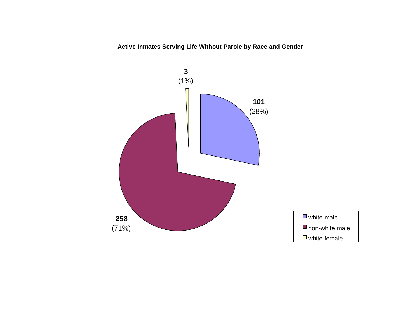**Active Inmates Serving Life Without Parole by Race and Gender**

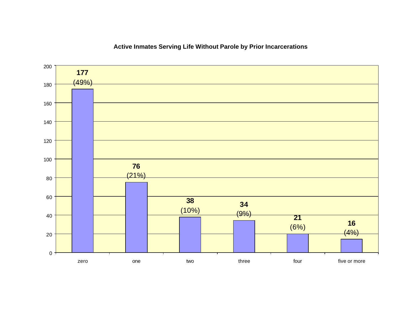### $(4%)$  (6%)  $(9%)$  (10%)  $(21%)$   $(49%)$  $0 -$  zero one two three four five or more

### **Active Inmates Serving Life Without Parole by Prior Incarcerations**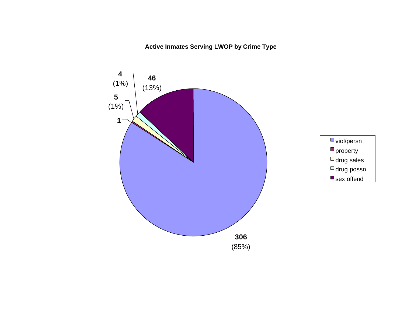### **Active Inmates Serving LWOP by Crime Type**

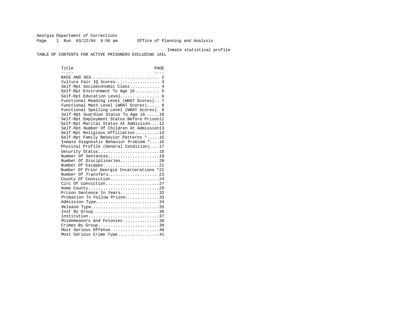Georgia Department of Corrections Page 1 Run 03/22/04 9:56 am Office of Planning and Analysis

#### Inmate statistical profile

TABLE OF CONTENTS FOR ACTIVE PRISONERS EXCLUDING JAIL

Title PAGE ----- ---- RACE AND SEX............................ 2 Culture Fair IQ Scores.................. 3 Self-Rpt Socioeconomic Class............ 4 Self-Rpt Environment To Age 16.......... 5 Self-Rpt Education Level................ 6 Functional Reading Level (WRAT Scores).. 7 Functional Math Level (WRAT Scores)..... 8 Functional Spelling Level (WRAT Scores). 9 Self-Rpt Guardian Status To Age 16......10 Self-Rpt Employment Status Before Prison11 Self-Rpt Marital Status At Admission....12 Self-Rpt Number Of Children At Admission13 Self-Rpt Religious Affiliation..........14 Self-Rpt Family Behavior Patterns \*.....15 Inmate Diagnostic Behavior Problem \*....16 Physical Profile (General Condition)....17 Security Status............................18 Number Of Sentences.....................19 Number Of Disciplinaries................20 Number Of Escapes.........................21 Number Of Prior Georgia Incarcerations \*22 Number Of Transfers.....................23 County Of Conviction....................24 Circ Of Conviction........................27 Home County.............................29 Prison Sentence In Years................32 Probation To Follow Prison...............33 Admission Type............................34 Release Type................................35 Inst By Group..............................36 Institution.............................37 Misdemeanors And Felonies...............38 Crimes By Group.............................39 Most Serious Offense....................40 Most Serious Crime Type.................41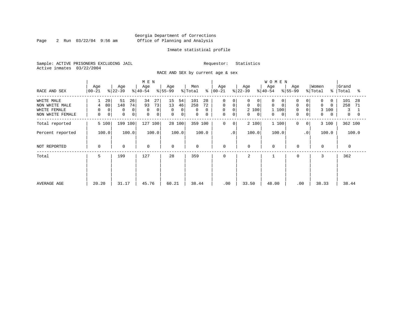Page 2 Run  $03/22/04$  9:56 am

#### Inmate statistical profile

Sample: ACTIVE PRISONERS EXCLUDING JAIL Requestor: Statistics Active inmates 03/22/2004

RACE AND SEX by current age & sex

|                                                                  | Age                               | Age                                       | M E N<br>Age                                       | Age<br>$ 55-99 $                                   | Men<br>န္                                         | Age                                                      | Age                                                                  | <b>WOMEN</b><br>Age                                  | Age                                                                      | Women<br>$\approx$                                   | Grand                                         |
|------------------------------------------------------------------|-----------------------------------|-------------------------------------------|----------------------------------------------------|----------------------------------------------------|---------------------------------------------------|----------------------------------------------------------|----------------------------------------------------------------------|------------------------------------------------------|--------------------------------------------------------------------------|------------------------------------------------------|-----------------------------------------------|
| RACE AND SEX                                                     | $ 00 - 21 $                       | $ 22-39 $                                 | $ 40-54 $                                          |                                                    | $\frac{1}{2}$ Total                               | $ 00 - 21 $                                              | $ 22-39 $                                                            | $ 40-54 $                                            | $8 55-99$                                                                | % Total                                              | Total<br>°≈                                   |
| WHITE MALE<br>NON WHITE MALE<br>WHITE FEMALE<br>NON WHITE FEMALE | 20<br>80<br>4<br>0<br>0<br>0<br>0 | 51<br>26<br>148<br>74<br>0<br>0<br>0<br>0 | 34<br>27<br>73<br>93<br>0<br>0<br>$\mathbf 0$<br>0 | 15<br>54<br>13<br>46<br>0<br>0<br>$\mathbf 0$<br>0 | 101<br>28<br>258<br>72<br>0<br>$\Omega$<br>0<br>0 | 0<br>0<br>0<br>0<br>0<br>$\mathbf 0$<br>$\mathbf 0$<br>0 | 0<br>0<br>$\mathbf 0$<br>$\mathbf 0$<br>2 100<br>0<br>$\overline{0}$ | 0<br>0<br>$\Omega$<br>$\mathbf 0$<br>1 100<br>0<br>0 | 0<br>$\mathbf 0$<br>$\overline{0}$<br>0<br>$\mathbf 0$<br>$\overline{0}$ | 0<br>0<br>$\Omega$<br>$\Omega$<br>3<br>100<br>0<br>0 | 101<br>28<br>258<br>71<br>3<br>$\overline{0}$ |
| Total reported                                                   | 5 100                             | 199 100                                   | 127 100                                            | 28 100                                             | 359 100                                           | $\mathbf 0$<br>0                                         | 2 100                                                                | 1 100                                                | 0<br>$\overline{0}$                                                      | 3 100                                                | 362 100                                       |
| Percent reported                                                 | 100.0                             | 100.0                                     | 100.0                                              | 100.0                                              | 100.0                                             | $\cdot$ 0                                                | 100.0                                                                | 100.0                                                | $\cdot$ 0                                                                | 100.0                                                | 100.0                                         |
| NOT REPORTED                                                     | 0                                 | $\mathbf 0$                               | $\mathbf 0$                                        | $\mathbf 0$                                        | 0                                                 | 0                                                        | $\mathbf 0$                                                          | $\mathbf 0$                                          | $\mathbf 0$                                                              | $\mathbf 0$                                          | $\mathbf 0$                                   |
| Total                                                            | 5                                 | 199                                       | 127                                                | 28                                                 | 359                                               | 0                                                        | 2                                                                    |                                                      | 0                                                                        | 3                                                    | 362                                           |
| AVERAGE AGE                                                      | 20.20                             | 31.17                                     | 45.76                                              | 60.21                                              | 38.44                                             | .00                                                      | 33.50                                                                | 48.00                                                | .00                                                                      | 38.33                                                | 38.44                                         |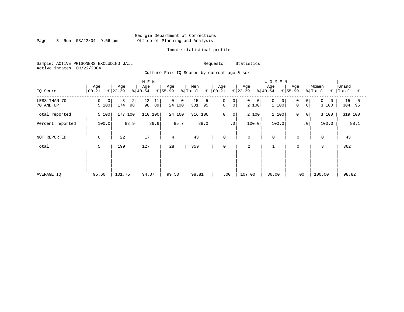Page 3 Run  $03/22/04$  9:56 am

#### Inmate statistical profile

Sample: ACTIVE PRISONERS EXCLUDING JAIL Requestor: Statistics Active inmates 03/22/2004

Culture Fair IQ Scores by current age & sex

| IQ Score                  | Age<br>$ 00-21$              | Age<br>$ 22-39 $    | M E N<br>Age<br>$ 40-54 $ | Age<br>$ 55-99 $           | Men<br>% Total<br>⊱  | Age<br>$ 00 - 21$                                 | Age<br>$ 22-39 $          | <b>WOMEN</b><br>Age<br>$ 40-54$ | Age<br>$ 55-99$                                      | Women<br>% Total<br>ႜ | Grand<br>Total<br>ႜ  |
|---------------------------|------------------------------|---------------------|---------------------------|----------------------------|----------------------|---------------------------------------------------|---------------------------|---------------------------------|------------------------------------------------------|-----------------------|----------------------|
| LESS THAN 70<br>70 AND UP | 0<br>0 <sup>1</sup><br>5 100 | 3<br>2<br>174<br>98 | 11<br>12<br>98<br>89      | $\mathbf 0$<br>0<br>24 100 | 15<br>5<br>301<br>95 | $\mathbf 0$<br>$\mathbf 0$<br>$\overline{0}$<br>0 | 0<br>$\mathbf 0$<br>2 100 | $\mathbf 0$<br>1 100            | $\Omega$<br>$\overline{0}$<br>$\mathbf 0$<br>$\circ$ | 0<br>3 100            | 15<br>5<br>304<br>95 |
| Total reported            | 5 100                        | 177<br>100          | 110 100                   | 24 100                     | 316 100              | 0<br>$\mathbf{0}$                                 | 2 100                     | 1 100                           | 0<br>0 <sup>1</sup>                                  | 3 100                 | 319 100              |
| Percent reported          | 100.0                        | 88.9                | 86.6                      | 85.7                       | 88.0                 | $\cdot$ 0                                         | 100.0                     | 100.0                           | $\cdot$ 0                                            | 100.0                 | 88.1                 |
| NOT REPORTED              | $\mathbf 0$                  | 22                  | 17                        | 4                          | 43                   | 0                                                 | $\mathbf 0$               | $\mathsf{O}$                    | $\mathbf 0$                                          | $\mathbf 0$           | 43                   |
| Total                     | 5                            | 199                 | 127                       | 28                         | 359                  | $\mathbf 0$                                       | 2                         |                                 | $\mathbf 0$                                          | 3                     | 362                  |
| AVERAGE IQ                | 95.60                        | 101.75              | 94.07                     | 99.50                      | 98.81                | .00                                               | 107.00                    | 86.00                           | .00                                                  | 100.00                | 98.82                |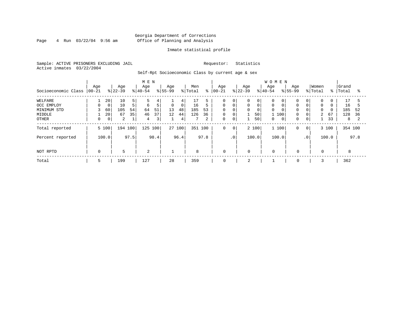Page  $4$  Run  $03/22/04$  9:56 am

#### Inmate statistical profile

Sample: ACTIVE PRISONERS EXCLUDING JAIL Requestor: Statistics Active inmates 03/22/2004

Self-Rpt Socioeconomic Class by current age & sex

|                     |                 |             | M E N            |                |                  |      |                    |                |                | <b>WOMEN</b> |                   |             |                  |       |                  |              |                    |                |                  |          |                |      |
|---------------------|-----------------|-------------|------------------|----------------|------------------|------|--------------------|----------------|----------------|--------------|-------------------|-------------|------------------|-------|------------------|--------------|--------------------|----------------|------------------|----------|----------------|------|
| Socioeconomic Class | Age<br>$ 00-21$ |             | Age<br>$ 22-39 $ |                | Age<br>$8 40-54$ |      | Age<br>$8155 - 99$ |                | Men<br>% Total | နွ           | Age<br>$ 00 - 21$ |             | Age<br>$ 22-39 $ |       | Age<br>$8 40-54$ |              | Age<br>$8155 - 99$ |                | Women<br>% Total | % ၊      | Grand<br>Total | °≈   |
| WELFARE             |                 | 20          | 10               | 5              | 5                | 4    |                    | 4              | 17             |              | $\Omega$          | $\mathbf 0$ | 0                | 0     | $\Omega$         | 0            |                    | 0              | $\mathbf 0$      |          | 17             |      |
| OCC EMPLOY          | $\Omega$        | $\mathbf 0$ | 10               | 5 <sup>1</sup> | 6                | 5    | $\mathbf 0$        | 0 <sup>1</sup> | 16             | 5            | $\mathbf 0$       | $\mathbf 0$ | 0                | 0     | $\mathbf 0$      |              | $\Omega$           | $\mathbf 0$    | $\mathbf 0$      | $\Omega$ | 16             |      |
| MINIMUM STD         |                 | 60          | 105              | 54             | 64               | 51   | 13                 | 48             | 185            | 53           | $\Omega$          | $\Omega$    | 0                | 0     | $\Omega$         |              | $\Omega$           | $\mathbf 0$    | $\Omega$         | $\Omega$ | 185            | 52   |
| MIDDLE              |                 | 20          | 67               | 35             | 46               | 37   | 12                 | 44             | 126            | 36           | 0                 | $\mathbf 0$ |                  | 50    | 1 100            |              | 0                  | $\mathbf 0$    | $\overline{a}$   | 67       | 128            | 36   |
| OTHER               |                 | 0           | 2                |                | 4                | 3    |                    | 4              |                | 2            | 0                 | 0           |                  | 50    | 0                | $\mathbf{0}$ | 0                  | 0              |                  | 33       | 8              |      |
| Total reported      |                 | 5 100       | 194 100          |                | 125 100          |      |                    | 27 100         | 351            | 100          | 0                 | $\mathbf 0$ |                  | 2 100 | 1 100            |              | 0                  | 0 <sup>1</sup> |                  | 3 100    | 354 100        |      |
| Percent reported    |                 | 100.0       |                  | 97.5           |                  | 98.4 |                    | 96.4           |                | 97.8         |                   | $\cdot$ 0   |                  | 100.0 | 100.0            |              |                    | $\cdot$ 0      |                  | 100.0    |                | 97.8 |
| NOT RPTD            | 0               |             | 5                |                | 2                |      |                    |                | 8              |              | 0                 |             | $\mathbf 0$      |       | 0                |              | $\mathbf 0$        |                | 0                |          | 8              |      |
| Total               | 5               |             | 199              |                | 127              |      | 28                 |                | 359            |              | 0                 |             | 2                |       |                  |              | 0                  |                |                  |          | 362            |      |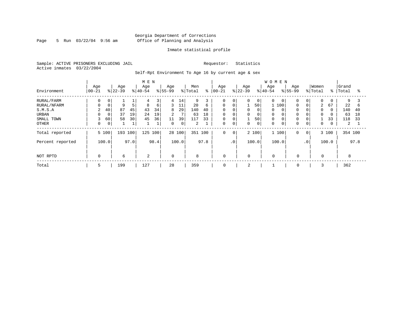Page 5 Run 03/22/04 9:56 am

#### Inmate statistical profile

Sample: ACTIVE PRISONERS EXCLUDING JAIL Requestor: Statistics Active inmates 03/22/2004

Self-Rpt Environment To Age 16 by current age & sex

|                  |                  |             |                  |      | M E N            |              |                 |        |                |      |                   |                |                  |                | <b>WOMEN</b>    |   |                    |                 |                  |               |                |      |
|------------------|------------------|-------------|------------------|------|------------------|--------------|-----------------|--------|----------------|------|-------------------|----------------|------------------|----------------|-----------------|---|--------------------|-----------------|------------------|---------------|----------------|------|
| Environment      | Age<br>$ 00-21 $ |             | Age<br>$ 22-39 $ |      | Age<br>$ 40-54 $ |              | Age<br>$ 55-99$ |        | Men<br>% Total | ႜ    | Age<br>$ 00 - 21$ |                | Age<br>$8 22-39$ |                | Age<br>$ 40-54$ |   | Age<br>$8155 - 99$ |                 | Women<br>% Total | $\frac{8}{6}$ | Grand<br>Total | °    |
| RURAL/FARM       | 0                | 0           |                  | ┻    | 4                | 3            | 4               | 14     | 9              |      | $\Omega$          | $\overline{0}$ | 0                | $\overline{0}$ | $\Omega$        | 0 | $\mathbf 0$        | $\overline{0}$  | 0                | 0             | 9              |      |
| RURAL/NFARM      |                  | $\mathbf 0$ | 9                | 5    | 8                | 6            | 3               | 11     | 20             | 6    | $\Omega$          | $\mathbf 0$    |                  | 50             | 1 100           |   | $\Omega$           | $\overline{0}$  | 2                | 67            | 22             | b    |
| S.M.S.A          | 2                | 40          | 87               | 45   | 43               | 34           | 8               | 29     | 140            | 40   | 0                 | $\Omega$       | 0                | 0              | $\Omega$        |   | $\mathbf 0$        | 0               | $\Omega$         | $\Omega$      | 140            | 40   |
| URBAN            |                  | $\mathbf 0$ | 37               | 19   | 24               | 19           | $\overline{2}$  | 7      | 63             | 18   | $\mathbf 0$       | $\mathbf 0$    | $\mathbf 0$      | 0              | $\mathbf 0$     |   | $\mathbf 0$        | 0               | $\mathbf 0$      | 0             | 63             | 18   |
| SMALL TOWN       | 3                | 60          | 58               | 30   | 45               | 36           | 11              | 39     | 117            | 33   | 0                 | $\mathbf 0$    |                  | 50             | $\Omega$        |   | 0                  | 0               |                  | 33            | 118            | 33   |
| <b>OTHER</b>     | $\Omega$         | 0           |                  |      |                  | $\mathbf{a}$ | $\mathbf 0$     | 0      | 2              |      | 0                 | $\mathbf 0$    | 0                | 0              | $\Omega$        |   | $\mathbf 0$        | $\overline{0}$  | 0                | 0             | 2              |      |
| Total reported   |                  | 5 100       | 193 100          |      | 125              | 100          |                 | 28 100 | 351 100        |      | 0                 | $\Omega$       |                  | 2 100          | 1 100           |   | $\mathbf 0$        | $\circ$         |                  | 3 100         | 354 100        |      |
| Percent reported |                  | 100.0       |                  | 97.0 |                  | 98.4         |                 | 100.0  |                | 97.8 |                   | $\cdot$ 0      |                  | 100.0          | 100.0           |   |                    | .0 <sup>1</sup> |                  | 100.0         |                | 97.8 |
|                  |                  |             |                  |      |                  |              |                 |        |                |      |                   |                |                  |                |                 |   |                    |                 |                  |               |                |      |
| NOT RPTD         | 0                |             | 6                |      | $\overline{a}$   |              | $\Omega$        |        | 8              |      | $\mathbf 0$       |                | $\Omega$         |                | $\Omega$        |   | $\mathbf 0$        |                 | $\Omega$         |               | 8              |      |
| Total            | 5                |             | 199              |      | 127              |              | 28              |        | 359            |      | $\mathbf 0$       |                | 2                |                |                 |   | $\mathbf 0$        |                 |                  |               | 362            |      |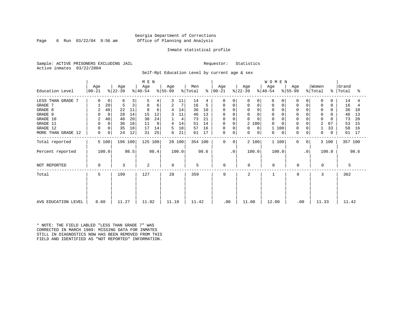Page 6 Run  $03/22/04$  9:56 am

#### Inmate statistical profile

Sample: ACTIVE PRISONERS EXCLUDING JAIL Requestor: Statistics Active inmates 03/22/2004

Self-Rpt Education Level by current age & sex

|                     |                  |              |                  |      | M E N            |      |                  |        |                |         |                      |           |                         |                         | <b>WOMEN</b> |                            |             |                  |               |                |      |
|---------------------|------------------|--------------|------------------|------|------------------|------|------------------|--------|----------------|---------|----------------------|-----------|-------------------------|-------------------------|--------------|----------------------------|-------------|------------------|---------------|----------------|------|
| Education Level     | Age<br>$ 00-21 $ |              | Age<br>$ 22-39 $ |      | Age<br>$ 40-54 $ |      | Age<br>$ 55-99 $ |        | Men<br>% Total |         | Age<br>$8   00 - 21$ |           | Age<br>$ 22-39 $        | Age<br>$ 40-54 $        |              | Age<br>$\frac{1}{6}$ 55-99 |             | Women<br>% Total | $\frac{8}{6}$ | Grand<br>Total | ႜ    |
| LESS THAN GRADE 7   | $\Omega$         | $\mathbf{0}$ | 6                | 3    | 5                | 4    |                  | 11     | 14             | 4       | $\Omega$             | $\Omega$  | 0                       | $\Omega$<br>$\Omega$    |              | O                          |             | $\Omega$         | 0             | 14             | 4    |
| GRADE 7             |                  | 20           | 5                | 3    | 8                | 6    | 2                | 7      | 16             | 5       | 0                    | 0         | 0                       | 0<br>0                  | 0            | <sup>0</sup>               | 0           | 0                | $\Omega$      | 16             |      |
| GRADE 8             | 2                | 40           | 22               | 11   | 8                | 6    | 4                | 14     | 36             | 10      | $\Omega$             | $\Omega$  | $\Omega$<br>$\mathbf 0$ | $\Omega$                |              |                            |             | $\mathbf 0$      |               | 36             | 10   |
| GRADE 9             | $\Omega$         | $\Omega$     | 28               | 14   | 15               | 12   |                  | 11     | 46             | 13      | $\Omega$             | ∩         | 0                       | $\Omega$<br>$\Omega$    |              |                            |             | $\Omega$         |               | 46             | 13   |
| GRADE 10            | 2                | 40           | 40               | 20   | 30               | 24   |                  | 4      | 73             | 21      | $\mathbf 0$          | $\Omega$  | 0                       | $\Omega$<br>$\mathbf 0$ | 0            |                            | 0           | $\mathbf 0$      | $\Omega$      | 73             | 20   |
| GRADE 11            |                  | $\Omega$     | 36               | 18   | 11               | 9    | 4                | 14     | 51             | 14      | 0                    | 0         | 2 100                   | $\Omega$                |              |                            |             | $\overline{2}$   | 67            | 53             | 15   |
| GRADE 12            |                  | 0            | 35               | 18   | 17               | 14   | 5                | 18     | 57             | 16      | 0                    | $\Omega$  | $\Omega$<br>0           |                         | 100          | $\Omega$                   | $\mathbf 0$ |                  | 33            | 58             | 16   |
| MORE THAN GRADE 12  | 0                | 0            | 24               | 12   | 31               | 25   | 6                | 21     | 61             | 17      | $\mathbf 0$          | 0         | 0                       | $\overline{0}$<br>0     | $\mathbf 0$  | $\Omega$                   | $\mathbf 0$ | 0                | $\Omega$      | 61             | 17   |
| Total reported      |                  | 5 100        | 196 100          |      | 125 100          |      |                  | 28 100 |                | 354 100 | $\Omega$             | $\Omega$  | 2 100                   |                         | 1 100        | $\Omega$                   | 0           |                  | 3 100         | 357 100        |      |
| Percent reported    |                  | 100.0        |                  | 98.5 |                  | 98.4 |                  | 100.0  |                | 98.6    |                      | $\cdot$ 0 | 100.0                   |                         | 100.0        |                            | $\cdot$ 0   |                  | 100.0         |                | 98.6 |
| NOT REPORTED        | 0                |              | 3                |      | 2                |      | $\Omega$         |        | 5              |         | $\mathbf 0$          |           | $\Omega$                | $\mathbf 0$             |              | 0                          |             | $\Omega$         |               | 5              |      |
| Total               | 5                |              | 199              |      | 127              |      | 28               |        | 359            |         | $\Omega$             |           | $\mathbf{2}$            |                         |              | $\Omega$                   |             | 3                |               | 362            |      |
|                     |                  |              |                  |      |                  |      |                  |        |                |         |                      |           |                         |                         |              |                            |             |                  |               |                |      |
| AVG EDUCATION LEVEL | 8.60             |              | 11.27            |      | 11.82            |      | 11.18            |        | 11.42          |         | .00                  |           | 11.00                   | 12.00                   |              | .00                        |             | 11.33            |               | 11.42          |      |

\* NOTE: THE FIELD LABLED "LESS THAN GRADE 7" WAS CORRECTED IN MARCH 1989: MISSING DATA FOR INMATES STILL IN DIAGNOSTICS NOW HAS BEEN REMOVED FROM THIS FIELD AND IDENTIFIED AS "NOT REPORTED" INFORMATION.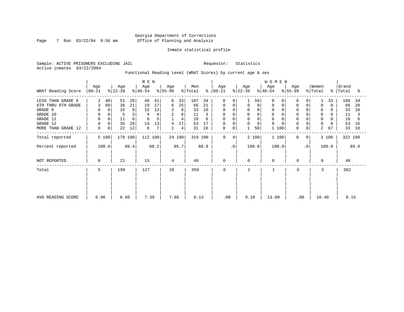Page 7 Run  $03/22/04$  9:56 am

#### Inmate statistical profile

Sample: ACTIVE PRISONERS EXCLUDING JAIL Requestor: Statistics Active inmates 03/22/2004

Functional Reading Level (WRAT Scores) by current age & sex

|                    |                   |             |                  |      | M E N            |      |                 |                |                |               |                    |                |                  |             | <b>WOMEN</b>     |                  |                |                  |       |                    |      |
|--------------------|-------------------|-------------|------------------|------|------------------|------|-----------------|----------------|----------------|---------------|--------------------|----------------|------------------|-------------|------------------|------------------|----------------|------------------|-------|--------------------|------|
| WRAT Reading Score | Age<br>$ 00 - 21$ |             | Age<br>$ 22-39 $ |      | Age<br>$ 40-54 $ |      | Age<br>$ 55-99$ |                | Men<br>% Total | $\frac{8}{6}$ | Age<br>$ 00 - 21 $ |                | Age<br>$ 22-39 $ |             | Age<br>$ 40-54 $ | Age<br>$ 55-99 $ |                | Women<br>% Total |       | Grand<br>%   Total | ႜ    |
| LESS THAN GRADE 6  | 2                 | 40          | 51               | 29   | 46               | 41   | 8               | 33             | 107            | 34            | $\Omega$           | $\Omega$       |                  | 50          | $\Omega$<br>0    | $\Omega$         | 0              |                  | 33    | 108                | 34   |
| 6TH THRU 8TH GRADE | 3                 | 60          | 38               | 21   | 19               | 17   | 6               | 25             | 66             | 21            | 0                  | 0              | 0                | $\mathbf 0$ | $\Omega$         | $\mathbf 0$      | 0              | $\Omega$         | 0     | 66                 | 20   |
| GRADE 9            | 0                 | 0           | 16               | 9    | 15               | 13   | 2               | 8              | 33             | 10            |                    |                | $\Omega$         |             |                  | $\mathbf 0$      |                | 0                |       | 33                 | 10   |
| GRADE 10           | 0                 | $\mathbf 0$ |                  | 3    |                  | 4    | 2               | 8              | 11             | 3             | 0                  | 0              | 0                |             | $\mathbf 0$      | $\mathbf 0$      | 0              | $\mathbf{0}$     | 0     | 11                 |      |
| GRADE 11           | $\mathbf 0$       |             | 11               | 6    | 6                | 5    |                 | $\overline{4}$ | 18             | 6             | <sup>0</sup>       |                | $\Omega$         |             | $\Omega$         | $\Omega$         |                | $\mathbf 0$      |       | 18                 | 6    |
| GRADE 12           | $\mathbf 0$       |             | 35               | 20   | 14               | 13   | 4               | 17             | 53             | 17            | 0                  |                | 0                |             | $\Omega$         | $\mathbf 0$      |                | 0                |       | 53                 | 16   |
| MORE THAN GRADE 12 | 0                 | 0           | 22               | 12   | 8                | 7    |                 | 4              | 31             | 10            | 0                  | $\mathbf 0$    | $\mathbf{1}$     | 50          | 100              | $\mathbf 0$      | 0 <sup>1</sup> | 2                | 67    | 33                 | 10   |
| Total reported     | 5 100             |             | 178 100          |      | 112 100          |      |                 | 24 100         |                | 319 100       | $\mathbf 0$        | 0 <sup>1</sup> |                  | 2 100       | 1 100            | $\mathbf 0$      | 0 <sup>1</sup> |                  | 3 100 | 322 100            |      |
| Percent reported   | 100.0             |             |                  | 89.4 |                  | 88.2 |                 | 85.7           |                | 88.9          |                    | $\cdot$ 0      | 100.0            |             | 100.0            |                  | $\cdot$ 0      |                  | 100.0 |                    | 89.0 |
| NOT REPORTED       | 0                 |             | 21               |      | 15               |      | 4               |                | 40             |               | 0                  |                | 0                |             | $\mathbf 0$      | $\mathbf 0$      |                | 0                |       | 40                 |      |
| Total              | 5                 |             | 199              |      | 127              |      | 28              |                | 359            |               | $\Omega$           |                | 2                |             |                  | 0                |                | 3                |       | 362                |      |
|                    |                   |             |                  |      |                  |      |                 |                |                |               |                    |                |                  |             |                  |                  |                |                  |       |                    |      |
|                    |                   |             |                  |      |                  |      |                 |                |                |               |                    |                |                  |             |                  |                  |                |                  |       |                    |      |
| AVG READING SCORE  | 6.96              |             | 8.66             |      | 7.39             |      | 7.86            |                | 8.13           |               | .00                |                | 9.10             |             | 13.00            |                  | .00            | 10.40            |       | 8.15               |      |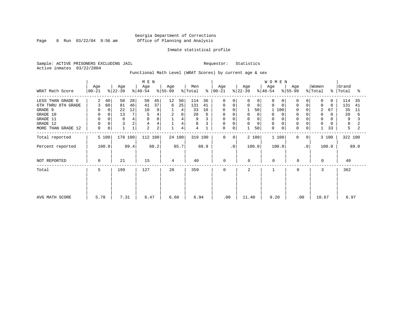Page 8 Run  $03/22/04$  9:56 am

#### Inmate statistical profile

Sample: ACTIVE PRISONERS EXCLUDING JAIL Requestor: Statistics Active inmates 03/22/2004

Functional Math Level (WRAT Scores) by current age & sex

| WRAT Math Score                                                                                              | Age<br>$00 - 21$                                         | Age<br>$ 22-39 $                                                        | M E N<br>Age<br>$ 40-54 $                                                    | Age<br>$ 55-99 $                                  | Men<br>% Total<br>$\frac{8}{6}$                              | Age<br>$ 00-21 $                                                         | Age<br>$ 22-39 $                                                                  | WOMEN<br>Age<br>$\frac{1}{6}$ 55-99<br>$ 40-54 $                           | Age                                    | Women<br>% Total<br>$\frac{8}{6}$                                                           | Grand<br>Total<br>ႜ                                          |
|--------------------------------------------------------------------------------------------------------------|----------------------------------------------------------|-------------------------------------------------------------------------|------------------------------------------------------------------------------|---------------------------------------------------|--------------------------------------------------------------|--------------------------------------------------------------------------|-----------------------------------------------------------------------------------|----------------------------------------------------------------------------|----------------------------------------|---------------------------------------------------------------------------------------------|--------------------------------------------------------------|
| LESS THAN GRADE 6<br>6TH THRU 8TH GRADE<br>GRADE 9<br>GRADE 10<br>GRADE 11<br>GRADE 12<br>MORE THAN GRADE 12 | 2<br>40<br>60<br>3<br>0<br>$\circ$<br>$\Omega$<br>0<br>0 | 50<br>28<br>81<br>46<br>12<br>22<br>13<br>7 <sub>1</sub><br>8<br>4<br>2 | 45<br>50<br>37<br>41<br>10<br>9<br>5<br>$\Omega$<br>4<br>$\overline{a}$<br>2 | 12<br>50<br>25<br>6<br>4<br>2<br>8<br>4<br>4<br>4 | 114<br>36<br>131<br>41<br>33<br>10<br>20<br>6<br>9<br>8<br>4 | $\Omega$<br>$\Omega$<br>0<br>0<br>0<br>0<br>$\Omega$<br>0<br>0<br>0<br>0 | $\Omega$<br>0<br>$\mathbf 0$<br>0<br>50<br>$\Omega$<br>$\Omega$<br>$\Omega$<br>50 | $\Omega$<br>0<br>0<br>100<br>0<br>$\Omega$<br>$\Omega$<br>$\mathbf 0$<br>0 | $\mathbf 0$<br>$\Omega$<br>$\mathbf 0$ | 0<br>$\Omega$<br>0<br>$\Omega$<br>2<br>67<br>0<br>$\Omega$<br>$\Omega$<br>$\mathbf 0$<br>33 | 114<br>35<br>131<br>41<br>35<br>11<br>20<br>6<br>9<br>8<br>5 |
| Total reported<br>Percent reported                                                                           | 5 100<br>100.0                                           | 178 100<br>89.4                                                         | 112 100<br>88.2                                                              | 24 100<br>85.7                                    | 319 100<br>88.9                                              | $\mathbf 0$<br>$\mathbf{0}$<br>$\cdot$ 0                                 | 2 100<br>100.0                                                                    | 1 100<br>100.0                                                             | $\mathbf{0}$<br>0<br>$\cdot$ 0         | 3 100<br>100.0                                                                              | 322 100<br>89.0                                              |
| NOT REPORTED                                                                                                 | $\Omega$                                                 | 21                                                                      | 15                                                                           | 4                                                 | 40                                                           | 0                                                                        | $\Omega$                                                                          | $\mathbf 0$                                                                | 0                                      | 0                                                                                           | 40                                                           |
| Total                                                                                                        | 5                                                        | 199                                                                     | 127                                                                          | 28                                                | 359                                                          | $\mathbf 0$                                                              | 2                                                                                 |                                                                            | 0                                      | 3                                                                                           | 362                                                          |
| AVG MATH SCORE                                                                                               | 5.78                                                     | 7.31                                                                    | 6.47                                                                         | 6.60                                              | 6.94                                                         | .00                                                                      | 11.40                                                                             | 9.20                                                                       | .00                                    | 10.67                                                                                       | 6.97                                                         |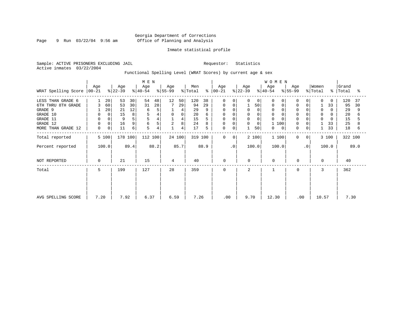Page 9 Run 03/22/04 9:56 am

#### Inmate statistical profile

Sample: ACTIVE PRISONERS EXCLUDING JAIL Requestor: Statistics Active inmates 03/22/2004

Functional Spelling Level (WRAT Scores) by current age & sex

|                     |                 |                 |                  |      | M E N            |      |                  |             |                |         |                  |                |                  |          | WOMEN            |     |                  |                |                              |          |                    |      |
|---------------------|-----------------|-----------------|------------------|------|------------------|------|------------------|-------------|----------------|---------|------------------|----------------|------------------|----------|------------------|-----|------------------|----------------|------------------------------|----------|--------------------|------|
| WRAT Spelling Score | Age<br>$ 00-21$ |                 | Age<br>$ 22-39 $ |      | Age<br>$ 40-54 $ |      | Age<br>$8 55-99$ |             | Men<br>% Total | ွေ      | Age<br>$ 00-21 $ |                | Age<br>$ 22-39 $ |          | Age<br>$ 40-54 $ |     | Age<br>$ 55-99 $ |                | Women<br>$\frac{1}{2}$ Total |          | Grand<br>%   Total | ႜ    |
| LESS THAN GRADE 6   |                 | 20 <sup>°</sup> | 53               | 30   | 54               | 48   | 12               | 50          | 120            | 38      | 0                | 0              | 0                | 0        | $\Omega$         |     | $\Omega$         | 0              | $\Omega$                     | $\Omega$ | 120                | 37   |
| 6TH THRU 8TH GRADE  | 3               | 60              | 53               | 30   | 31               | 28   |                  | 29          | 94             | 29      | 0                | 0              |                  | 50       | 0                |     | $\mathbf 0$      | 0              |                              | 33       | 95                 | 30   |
| GRADE 9             |                 | 20              | 21               | 12   | 6                | 5    |                  | 4           | 29             |         |                  |                | $\Omega$         | $\Omega$ | $\Omega$         |     |                  |                | 0                            | 0        | 29                 | 9    |
| GRADE 10            | 0               | 0               | 15               | 8    |                  |      | $\mathbf 0$      | $\mathbf 0$ | 20             |         | $\Omega$         |                | 0                |          | 0                |     | $\mathbf 0$      |                | 0                            | 0        | 20                 |      |
| GRADE 11            | $\mathbf 0$     |                 | 9                | 5    |                  |      |                  | 4           | 15             |         | <sup>0</sup>     |                | $\mathbf 0$      |          | $\Omega$         |     |                  |                | $\Omega$                     |          | 15                 |      |
| GRADE 12            | $\mathbf 0$     | 0               | 16               | 9    | 6                | 5    | 2                | 8           | 24             |         | 0                | 0              | 0                | $\Omega$ |                  | 100 | $\Omega$         | 0              |                              | 33       | 25                 |      |
| MORE THAN GRADE 12  | 0               | 0               | 11               | 6    | 5                | 4    |                  | 4           | 17             | 5       | 0                | 0              |                  | 50       | 0                | 0   | 0                | 0              |                              | 33       | 18                 | 6    |
| Total reported      | 5 100           |                 | 178 100          |      | 112 100          |      |                  | 24 100      |                | 319 100 | $\mathbf 0$      | 0 <sup>1</sup> |                  | 2 100    | 1 100            |     | $\mathbf 0$      | 0 <sup>1</sup> |                              | 3 100    | 322 100            |      |
| Percent reported    | 100.0           |                 |                  | 89.4 |                  | 88.2 |                  | 85.7        |                | 88.9    |                  | $\cdot$ 0      |                  | 100.0    | 100.0            |     |                  | $\cdot$ 0      |                              | 100.0    |                    | 89.0 |
| NOT REPORTED        | 0               |                 | 21               |      | 15               |      | 4                |             | 40             |         | $\mathbf 0$      |                | 0                |          | $\mathbf 0$      |     | 0                |                | $\Omega$                     |          | 40                 |      |
| Total               | 5               |                 | 199              |      | 127              |      | 28               |             | 359            |         | $\mathbf 0$      |                | 2                |          |                  |     | $\mathbf 0$      |                | 3                            |          | 362                |      |
|                     |                 |                 |                  |      |                  |      |                  |             |                |         |                  |                |                  |          |                  |     |                  |                |                              |          |                    |      |
| AVG SPELLING SCORE  | 7.20            |                 | 7.92             |      | 6.37             |      | 6.59             |             | 7.26           |         |                  | .00            | 9.70             |          | 12.30            |     | .00              |                | 10.57                        |          | 7.30               |      |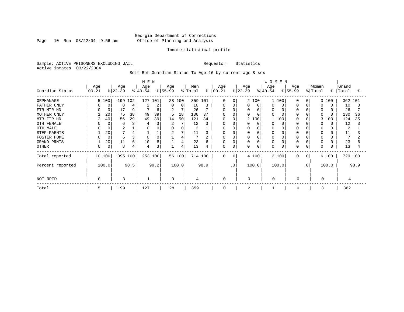Page 10 Run  $03/22/04$  9:56 am

#### Inmate statistical profile

Sample: ACTIVE PRISONERS EXCLUDING JAIL Requestor: Statistics Active inmates 03/22/2004

Self-Rpt Guardian Status To Age 16 by current age & sex

|                  |                   |             |                  |         | M E N            |      |                 |        |                |      |                   |             |                  |          |                  | <b>WOMEN</b> |                  |           |                  |       |                |         |
|------------------|-------------------|-------------|------------------|---------|------------------|------|-----------------|--------|----------------|------|-------------------|-------------|------------------|----------|------------------|--------------|------------------|-----------|------------------|-------|----------------|---------|
| Guardian Status  | Age<br>$ 00 - 21$ |             | Age<br>$ 22-39 $ |         | Age<br>$ 40-54 $ |      | Age<br>$ 55-99$ |        | Men<br>% Total | န္   | Age<br>$ 00 - 21$ |             | Age<br>$ 22-39 $ |          | Age<br>$8 40-54$ |              | Age<br>$8 55-99$ |           | Women<br>% Total | ႜႜ    | Grand<br>Total | °       |
| ORPHANAGE        |                   | 5 100       | 199 102          |         | 127 101          |      |                 | 28 100 | 359            | 101  | $\Omega$          | n           |                  | 2 100    |                  | 1 100        | <sup>0</sup>     | $\Omega$  |                  | 3 100 | 362 101        |         |
| FATHER ONLY      |                   | 0           | 8                | 4       |                  | 2    | $\Omega$        | 0      | 10             | 3    | 0                 | 0           | 0                | $\Omega$ | O                |              |                  |           | <sup>0</sup>     |       | 10             |         |
| FTR MTR HD       |                   | $\Omega$    | 17               | 9       |                  | 6    | 2               | 7      | 26             |      | $\Omega$          |             | 0                | $\Omega$ | 0                |              |                  |           | $\Omega$         |       | 26             |         |
| MOTHER ONLY      |                   | 20          | 75               | 38      | 49               | 39   | 5               | 18     | 130            | 37   | O                 |             |                  | O        | $\cap$           |              |                  |           | $\Omega$         |       | 130            | 36      |
| MTR FTR HD       | 2                 | 40          | 56               | 29      | 49               | 39   | 14              | 50     | 121            | 34   | $\Omega$          |             |                  | 2 100    |                  | 100          |                  |           | 3                | 100   | 124            | 35      |
| OTH FEMALE       |                   | 0           | 6                | 3       |                  | 3    | 2               |        | 12             |      |                   |             |                  | $\Omega$ | O                |              |                  |           |                  |       | 12             |         |
| OTH MALE         |                   |             | 2                |         |                  |      | 0               |        | 2              |      | U                 |             |                  |          | 0                |              |                  |           | 0                |       | 2              |         |
| STEP-PARNTS      |                   | 20          |                  | 4       |                  |      | $\overline{2}$  | 7      | 11             |      | 0                 |             |                  | 0        | 0                |              |                  |           |                  |       | 11             |         |
| FOSTER HOME      |                   | $\mathbf 0$ | 6                | 3       |                  |      |                 | 4      |                |      | O                 |             |                  |          | $\Omega$         |              |                  |           | 0                |       | 7              |         |
| GRAND PRNTS      |                   | 20          | 11               | 6       | 10               | 8    |                 | 4      | 23             | 6    | 0                 | O           |                  | 0        | 0                |              |                  |           | 0                |       | 23             | 6       |
| <b>OTHER</b>     |                   | 0           | 8                | 4       | 4                | 3    |                 | 4      | 13             | 4    | 0                 | $\mathbf 0$ | U                | 0        | 0                |              | <sup>0</sup>     | 0         | $\Omega$         |       | 13             |         |
| Total reported   |                   | 10 100      |                  | 395 100 | 253 100          |      |                 | 56 100 | 714 100        |      | $\Omega$          | $\Omega$    |                  | 4 100    |                  | 2 100        | $\Omega$         | $\Omega$  |                  | 6 100 |                | 720 100 |
| Percent reported |                   | 100.0       |                  | 98.5    |                  | 99.2 |                 | 100.0  |                | 98.9 |                   | $\cdot$ 0   |                  | 100.0    |                  | 100.0        |                  | $\cdot$ 0 |                  | 100.0 |                | 98.9    |
| NOT RPTD         | 0                 |             | 3                |         |                  |      | $\Omega$        |        | 4              |      | $\Omega$          |             | $\Omega$         |          | 0                |              | 0                |           | $\Omega$         |       |                |         |
| Total            | 5                 |             | 199              |         | 127              |      | 28              |        | 359            |      | 0                 |             | $\overline{2}$   |          |                  |              | 0                |           |                  |       | 362            |         |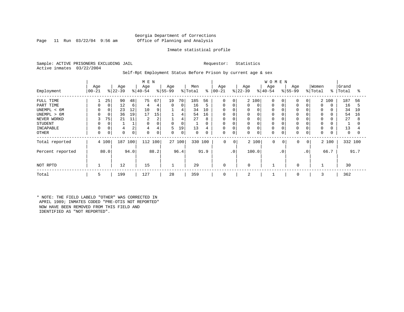### Georgia Department of Corrections Page 11 Run 03/22/04 9:56 am Office of Planning and Analysis

#### Inmate statistical profile

Sample: ACTIVE PRISONERS EXCLUDING JAIL Requestor: Statistics Active inmates 03/22/2004

#### Self-Rpt Employment Status Before Prison by current age & sex

|                                             |                    |             |                 |                     | M E N                     |              |                      |              |                   |               |                           |                                      |                  |                   | <b>WOMEN</b>         |           |                      |                      |                                  |                   |                |               |
|---------------------------------------------|--------------------|-------------|-----------------|---------------------|---------------------------|--------------|----------------------|--------------|-------------------|---------------|---------------------------|--------------------------------------|------------------|-------------------|----------------------|-----------|----------------------|----------------------|----------------------------------|-------------------|----------------|---------------|
| Employment                                  | Age<br>$ 00 - 21 $ |             | Age<br>$ 22-39$ |                     | Age<br>$ 40-54 $          |              | Age<br>$ 55-99 $     |              | Men<br>% Total    | ႜ             | Age<br>$ 00 - 21$         |                                      | Age<br>$ 22-39 $ |                   | Age<br>$ 40-54 $     |           | Age<br>$ 55-99$      |                      | Women<br>% Total                 | ွေ                | Grand<br>Total | ႜ             |
| FULL TIME<br>PART TIME                      |                    | 25<br>0     | 90<br>12        | 48<br>6             | 75<br>4                   | 67<br>4      | 19<br>$\overline{0}$ | 70<br>0      | 185<br>16         | 56<br>5       | $\Omega$<br>0             | 0<br>0                               | 0                | 2 100<br>$\Omega$ | $\Omega$<br>0        |           | $\Omega$<br>$\Omega$ | $\Omega$<br>$\Omega$ | $\Omega$                         | 2 100<br>$\Omega$ | 187<br>16      | 56<br>5       |
| UNEMPL < 6M<br>UNEMPL > 6M<br>NEVER WORKD   | 3                  | 75          | 23<br>36<br>21  | 12<br>19<br>11      | 10<br>17<br>2             | 9<br>15<br>2 |                      | 4<br>4<br>4  | 34<br>54<br>27    | 10<br>16<br>8 | $\Omega$<br>0<br>$\Omega$ | $\Omega$<br>$\Omega$<br>$\mathsf{C}$ | 0<br>0<br>0      |                   |                      |           | 0<br>$\Omega$        |                      | $\Omega$<br>$\Omega$<br>$\Omega$ |                   | 34<br>54<br>27 | 10<br>16<br>8 |
| <b>STUDENT</b><br>INCAPABLE<br><b>OTHER</b> | 0                  | $\mathbf 0$ | $\Omega$        | $\overline{2}$<br>0 | $\Omega$<br>4<br>$\Omega$ | 4<br>0       | 0<br>5<br>0          | 0<br>19<br>0 | 13<br>$\mathbf 0$ | 0<br>4<br>0   | 0<br>0<br>0               | C<br>$\Omega$<br>0                   | 0<br>0<br>0      | 0                 | $\Omega$<br>$\Omega$ | 0         | 0<br>0               | 0                    | $\Omega$<br>0<br>0               |                   | 13<br>0        |               |
| Total reported                              |                    | 4 100       | 187             | 100                 | 112 100                   |              |                      | 27 100       | 330 100           |               | $\mathbf 0$               | 0                                    |                  | 2 100             | $\mathbf 0$          | 0         | 0                    | $\overline{0}$       |                                  | 2 100             |                | 332 100       |
| Percent reported                            |                    | 80.0        |                 | 94.0                |                           | 88.2         |                      | 96.4         |                   | 91.9          |                           | $\cdot$ 0                            |                  | 100.0             |                      | $\cdot$ 0 |                      | .0 <sup>°</sup>      |                                  | 66.7              |                | 91.7          |
| NOT RPTD                                    |                    |             | 12              |                     | 15                        |              |                      |              | 29                |               | 0                         |                                      | $\Omega$         |                   |                      |           | $\Omega$             |                      |                                  |                   | 30             |               |
| Total                                       | 5                  |             | 199             |                     | 127                       |              | 28                   |              | 359               |               | 0                         |                                      | 2                |                   |                      |           | 0                    |                      | 3                                |                   | 362            |               |

\* NOTE: THE FIELD LABELD "OTHER" WAS CORRECTED IN APRIL 1989; INMATES CODED "PRE-OTIS NOT REPORTED" NOW HAVE BEEN REMOVED FROM THIS FIELD AND IDENTIFIED AS "NOT REPORTED".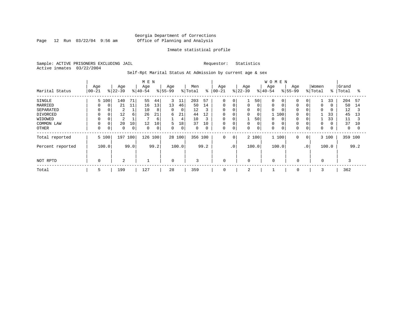Page 12 Run 03/22/04 9:56 am

#### Inmate statistical profile

Sample: ACTIVE PRISONERS EXCLUDING JAIL Requestor: Statistics Active inmates 03/22/2004

Self-Rpt Marital Status At Admission by current age & sex

|                                                                                     |                                  |                         |                                                           | M E N                           |                                     |                                       |                                     |                                                  |                                     |                                                               |                       |                  |                                             | <b>WOMEN</b>                                       |     |                    |                             |                                      |                |                                                   |                           |
|-------------------------------------------------------------------------------------|----------------------------------|-------------------------|-----------------------------------------------------------|---------------------------------|-------------------------------------|---------------------------------------|-------------------------------------|--------------------------------------------------|-------------------------------------|---------------------------------------------------------------|-----------------------|------------------|---------------------------------------------|----------------------------------------------------|-----|--------------------|-----------------------------|--------------------------------------|----------------|---------------------------------------------------|---------------------------|
| Marital Status                                                                      | Age<br>$ 00-21 $                 | Age<br>$8 22-39$        |                                                           | Age<br>$ 40-54 $                |                                     | Age<br>$8 55-99$                      |                                     | Men<br>% Total                                   | ៖                                   | Age<br>$ 00 - 21$                                             |                       | Age<br>$8 22-39$ |                                             | Age<br>$ 40-54$                                    |     | Age<br>$8155 - 99$ |                             | Women<br>% Total                     | $\frac{8}{6}$  | Grand<br>Total                                    | °≈                        |
| SINGLE<br>MARRIED<br>SEPARATED<br>DIVORCED<br>WIDOWED<br>COMMON LAW<br><b>OTHER</b> | 5 100<br>0<br>$\Omega$<br>0<br>0 | 140<br>0<br>0<br>0<br>0 | 71<br>21<br>11<br>2<br>12<br>6<br>2<br>20<br>10<br>0<br>0 | 55<br>16<br>10<br>26<br>12<br>0 | 44<br>13<br>8<br>21<br>6<br>10<br>0 | 3<br>13<br>$\mathbf 0$<br>6<br>5<br>0 | 11<br>46<br>0<br>21<br>4<br>18<br>0 | 203<br>50<br>12<br>44<br>10<br>37<br>$\mathbf 0$ | 57<br>14<br>3<br>12<br>3<br>10<br>0 | $\mathbf 0$<br>0<br>$\mathbf 0$<br>0<br>0<br>$\mathbf 0$<br>0 | 0<br>0<br>0<br>0<br>0 | 0<br>0<br>0<br>0 | 50<br>0<br>0<br>0<br>50<br>$\mathbf 0$<br>0 | $\Omega$<br>0<br>$\Omega$<br>0<br>$\mathbf 0$<br>0 | 100 | $\Omega$<br>0      | 0<br>0<br>$\Omega$<br>0     | 0<br>$\mathbf 0$<br>$\mathbf 0$<br>0 | 33<br>33<br>33 | 204<br>50<br>12<br>45<br>11<br>37<br>$\mathbf{0}$ | 57<br>14<br>3<br>13<br>10 |
| Total reported<br>Percent reported                                                  | 5 100<br>100.0                   | 197                     | 100<br>99.0                                               | 126 100                         | 99.2                                |                                       | 28 100<br>100.0                     | 356 100                                          | 99.2                                | $\mathbf 0$                                                   | 0<br>.0 <sup>1</sup>  |                  | 2 100<br>100.0                              | 1 100<br>100.0                                     |     | 0                  | $\overline{0}$<br>$\cdot$ 0 |                                      | 3 100<br>100.0 | 359 100                                           | 99.2                      |
| NOT RPTD                                                                            | 0                                |                         | 2                                                         |                                 |                                     | $\mathbf 0$                           |                                     | 3                                                |                                     | $\mathbf 0$                                                   |                       | $\mathbf 0$      |                                             | $\mathbf 0$                                        |     | $\mathbf 0$        |                             | $\mathbf 0$                          |                |                                                   |                           |
| Total                                                                               | 5                                | 199                     |                                                           | 127                             |                                     | 28                                    |                                     | 359                                              |                                     | 0                                                             |                       | 2                |                                             |                                                    |     | 0                  |                             | 3                                    |                | 362                                               |                           |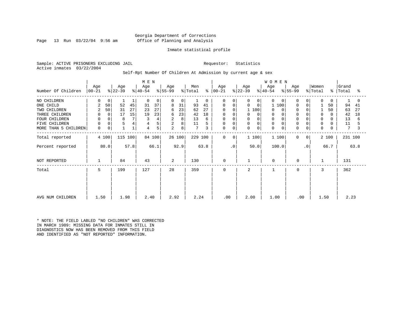### Georgia Department of Corrections Page 13 Run 03/22/04 9:56 am Office of Planning and Analysis

#### Inmate statistical profile

Sample: ACTIVE PRISONERS EXCLUDING JAIL Requestor: Statistics Active inmates 03/22/2004

#### Self-Rpt Number Of Children At Admission by current age & sex

|                      |                    |       |                  |      | M E N            |        |                         |        |                            |          |                  |           |                  |                  | <b>WOMEN</b>         |                  |                |                  |           |                |      |
|----------------------|--------------------|-------|------------------|------|------------------|--------|-------------------------|--------|----------------------------|----------|------------------|-----------|------------------|------------------|----------------------|------------------|----------------|------------------|-----------|----------------|------|
| Number Of Children   | Age<br>$ 00 - 21 $ |       | Age<br>$ 22-39 $ |      | Age<br>$ 40-54 $ |        | Age<br>$ 55-99 $        |        | Men<br>$\frac{1}{2}$ Total | ႜ        | Age<br>$ 00-21 $ |           | Age<br>$ 22-39 $ | Age<br>$ 40-54 $ |                      | Age<br>$ 55-99 $ |                | Women<br>% Total | $\approx$ | Grand<br>Total | °    |
|                      |                    |       |                  |      |                  |        |                         |        |                            |          |                  |           |                  |                  |                      |                  |                |                  |           |                |      |
| NO CHILDREN          | 0                  | 0     |                  |      | 0                | 0      | $\Omega$                | 0      |                            | $\Omega$ | $\Omega$         | $\Omega$  | 0                | $\Omega$         | $\Omega$<br>$\Omega$ | $\Omega$         | 0              | $\mathbf 0$      | $\Omega$  |                | 0    |
| ONE CHILD            | 2                  | 50    | 52               | 45   | 31               | 37     | 8                       | 31     | 93                         | 41       | 0                | 0         | 0<br>0           |                  | 100<br>1             | $\Omega$         | $\Omega$       |                  | 50        | 94             | 41   |
| TWO CHILDREN         | 2                  | 50    | 31               | 27   | 23               | 27     | 6                       | 23     | 62                         | 27       | $\Omega$         | $\Omega$  | 1 100            |                  | $\Omega$<br>$\Omega$ |                  |                |                  | 50        | 63             | 27   |
| THREE CHILDREN       | 0                  | 0     | 17               | 15   | 19               | 23     | 6                       | 23     | 42                         | 18       | 0                | 0         | 0                | $\Omega$         | 0<br>0               | $\Omega$         |                | 0                |           | 42             | 18   |
| FOUR CHILDREN        | $\mathbf 0$        |       | 8                | 7    |                  | 4      | 2                       | 8      | 13                         | 6        | 0                | 0         | 0                |                  | $\mathbf 0$          |                  |                | $\Omega$         |           | 13             | 6    |
| FIVE CHILDREN        | $\mathbf 0$        | 0     | 5                | 4    | 4                | 5      | $\overline{\mathbf{c}}$ | 8      | 11                         |          | 0                | $\Omega$  | 0                | $\Omega$         | $\mathbf 0$          | $\Omega$         |                | $\mathbf 0$      |           | 11             | 5    |
| MORE THAN 5 CHILDREN | 0                  | 0     |                  |      | 4                | 5      | 2                       | 8      | $7\phantom{.0}$            | 3        | 0                | 0         | 0<br>0           |                  | 0<br>0               | $\Omega$         | 0              | $\mathbf 0$      |           | 7              | 3    |
| Total reported       |                    | 4 100 | 115 100          |      |                  | 84 100 |                         | 26 100 | 229 100                    |          | 0                | 0         | 1 100            |                  | 1 100                | $\mathbf 0$      | $\overline{0}$ |                  | 2 100     | 231 100        |      |
| Percent reported     |                    | 80.0  |                  | 57.8 |                  | 66.1   |                         | 92.9   |                            | 63.8     |                  | $\cdot$ 0 | 50.0             |                  | 100.0                |                  | $\cdot$ 0      |                  | 66.7      |                | 63.8 |
| NOT REPORTED         |                    |       | 84               |      | 43               |        | 2                       |        | 130                        |          | $\mathbf 0$      |           |                  |                  | $\mathbf 0$          | $\mathbf 0$      |                | $\mathbf{1}$     |           | 131            |      |
| Total                | 5                  |       | 199              |      | 127              |        | 28                      |        | 359                        |          | $\mathbf 0$      |           | $\overline{a}$   |                  | $\mathbf{1}$         | 0                |                | 3                |           | 362            |      |
|                      |                    |       |                  |      |                  |        |                         |        |                            |          |                  |           |                  |                  |                      |                  |                |                  |           |                |      |
|                      |                    |       |                  |      |                  |        |                         |        |                            |          |                  |           |                  |                  |                      |                  |                |                  |           |                |      |
| AVG NUM CHILDREN     | 1.50               |       | 1.98             |      | 2.40             |        | 2.92                    |        | 2.24                       |          | .00              |           | 2.00             |                  | 1.00                 | .00              |                | 1.50             |           | 2.23           |      |

\* NOTE: THE FIELD LABLED "NO CHILDREN" WAS CORRECTED IN MARCH 1989: MISSING DATA FOR INMATES STILL IN DIAGNOSTICS NOW HAS BEEN REMOVED FROM THIS FIELD AND IDENTIFIED AS "NOT REPORTED" INFORMATION.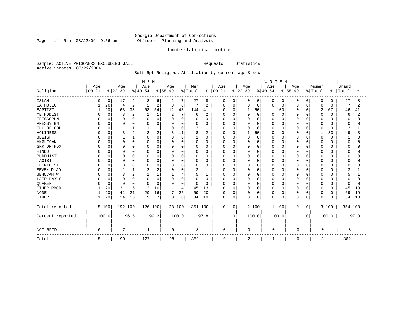Page 14 Run  $03/22/04$  9:56 am

#### Inmate statistical profile

Sample: ACTIVE PRISONERS EXCLUDING JAIL Requestor: Statistics Active inmates 03/22/2004

### Self-Rpt Religious Affiliation by current age & sex

|                  |           |             |           |          | M E N    |          |           |          |          |               |              |             |          |              | WOMEN        |             |           |             |          |          |                |      |
|------------------|-----------|-------------|-----------|----------|----------|----------|-----------|----------|----------|---------------|--------------|-------------|----------|--------------|--------------|-------------|-----------|-------------|----------|----------|----------------|------|
|                  | Age       |             | Age       |          | Age      |          | Age       |          | Men      |               | Age          |             | Age      |              | Age          |             | Age       |             | Women    |          | Grand          |      |
| Religion         | $00 - 21$ |             | $8 22-39$ |          | $ 40-54$ |          | $8 55-99$ |          | % Total  | $\frac{1}{6}$ | $00 - 21$    |             | $ 22-39$ |              | $ 40-54 $    |             | $8 55-99$ |             | % Total  | ႜ        | Total          | °    |
| <b>ISLAM</b>     | O         | 0           | 17        | 9        | 8        | 6        | 2         | 7        | 27       | 8             | 0            | 0           | $\Omega$ | 0            | 0            | 0           | 0         | 0           | 0        | 0        | 27             | 8    |
| CATHOLIC         |           | 20          | 4         | 2        | 2        | 2        | 0         | 0        | 7        | 2             | $\Omega$     | $\mathbf 0$ | 0        | 0            | 0            | 0           | $\Omega$  | $\mathbf 0$ | 0        | 0        | 7              | 2    |
| <b>BAPTIST</b>   |           | 20          | 63        | 33       | 68       | 54       | 12        | 43       | 144      | 41            | $\Omega$     | $\mathbf 0$ |          | 50           | $\mathbf{1}$ | 100         | O         | $\Omega$    | 2        | 67       | 146            | 41   |
| METHODIST        |           | $\Omega$    | 3         | 2        |          | 1        | 2         | 7        | 6        | 2             |              | $\Omega$    | $\Omega$ | $\Omega$     | 0            | 0           | O         | $\Omega$    | 0        | $\Omega$ | 6              |      |
| EPISCOPLN        |           | $\Omega$    | $\Omega$  | $\Omega$ |          | $\Omega$ | $\Omega$  | 0        | 0        | $\Omega$      |              | $\Omega$    |          | $\Omega$     | Ω            | 0           | 0         | $\Omega$    | 0        | $\Omega$ | $\Omega$       |      |
| PRESBYTRN        |           | $\Omega$    | $\Omega$  | 0        |          | $\cap$   | 0         | 0        | 0        | $\Omega$      |              | $\Omega$    | 0        | $\Omega$     | 0            | $\Omega$    | 0         | $\Omega$    | 0        | $\Omega$ | $\Omega$       |      |
| CHC OF GOD       |           | $\Omega$    |           |          |          |          | $\Omega$  | $\Omega$ | 2        | 1             |              | $\Omega$    | U        | $\Omega$     | O            | $\Omega$    | O         | $\Omega$    | O        | $\Omega$ | $\overline{c}$ |      |
| <b>HOLINESS</b>  |           | $\Omega$    | κ         | 2        | 2        | 2        | 3         | 11       | 8        | 2             | O            | $\Omega$    |          | 50           | O            | $\Omega$    | $\Omega$  | $\Omega$    |          | 33       | 9              |      |
| <b>JEWISH</b>    |           | $\Omega$    |           |          | U        | $\Omega$ | $\Omega$  | $\Omega$ | 1        | $\Omega$      | O            | $\Omega$    | $\Omega$ | $\Omega$     | O            | 0           | $\Omega$  | $\Omega$    | $\Omega$ | $\Omega$ |                | ∩    |
| ANGLICAN         |           | $\Omega$    | $\Omega$  | $\Omega$ | O        | O        | $\Omega$  | 0        | 0        | 0             |              | $\Omega$    |          | $\Omega$     | O            | 0           | Ω         | 0           | 0        | 0        | <sup>0</sup>   |      |
| GRK ORTHDX       |           | $\Omega$    | 0         | 0        | U        | $\Omega$ | O         | 0        | 0        | 0             | ∩            | 0           | 0        | $\Omega$     | O            | 0           | O         | $\Omega$    | O        | O        | <sup>0</sup>   |      |
| HINDU            |           | $\Omega$    | $\Omega$  | 0        |          | $\Omega$ | $\Omega$  | 0        | 0        | $\Omega$      |              | $\Omega$    | 0        | $\Omega$     | Λ            | 0           | Ω         | $\Omega$    | 0        | 0        | $\Omega$       |      |
| <b>BUDDHIST</b>  |           | $\cap$      | $\Omega$  | 0        |          | $\Omega$ | $\Omega$  | 0        | 0        | $\Omega$      |              | $\Omega$    | 0        | $\Omega$     |              | $\mathbf 0$ | 0         | $\Omega$    | 0        | 0        |                |      |
| TAOIST           |           | U           | $\Omega$  | 0        | U        | $\Omega$ | O         | 0        | 0        | 0             |              | $\Omega$    | 0        | <sup>n</sup> | Λ            | $\mathbf 0$ | O         | $\Omega$    | 0        | O        | <sup>0</sup>   |      |
| SHINTOIST        |           | $\Omega$    | $\Omega$  | U        | O        | $\Omega$ | $\Omega$  | 0        | O        | U             |              | $\Omega$    | $\Omega$ | $\Omega$     | O            | $\Omega$    | O         | $\Omega$    | O        | $\Omega$ | <sup>0</sup>   |      |
| SEVEN D AD       |           | $\cap$      |           |          |          | 2        | $\Omega$  | 0        | 3        | 1             | U            | $\Omega$    | $\Omega$ | $\cap$       | O            | 0           | $\Omega$  | $\Omega$    | $\Omega$ | O        | 3              |      |
| JEHOVAH WT       |           | $\Omega$    | 3         | 2        |          |          |           | 4        | 5        |               |              | $\Omega$    | 0        | $\Omega$     | 0            | 0           | 0         | 0           | $\Omega$ | O        | 5              |      |
| LATR DAY S       |           |             | $\Omega$  | $\Omega$ |          | $\Omega$ | $\Omega$  | 0        | 0        | 0             |              | $\Omega$    |          | $\Omega$     | 0            | 0           | 0         | $\Omega$    | 0        | 0        | $\Omega$       |      |
| QUAKER           |           | $\mathbf 0$ | $\Omega$  | 0        | $\Omega$ | $\Omega$ | $\Omega$  | $\Omega$ | $\Omega$ | 0             | ∩            | $\Omega$    | 0        | $\Omega$     | O            | 0           | 0         | $\Omega$    | 0        | 0        | $\Omega$       | n    |
| OTHER PROD       |           | 20          | 31        | 16       | 12       | 10       | 1         | 4        | 45       | 13            | $\Omega$     | $\Omega$    | 0        | $\Omega$     | O            | 0           | $\Omega$  | $\Omega$    | 0        | 0        | 45             | 13   |
| <b>NONE</b>      |           | 20          | 41        | 21       | 20       | 16       | 7         | 25       | 69       | 20            | 0            | 0           | 0        | 0            | 0            | 0           | 0         | $\Omega$    | 0        | $\Omega$ | 69             | 19   |
| <b>OTHER</b>     |           | 20          | 24        | 13       | 9        | 7        | $\Omega$  | 0        | 34       | 10            | $\Omega$     | $\mathbf 0$ | $\Omega$ | $\mathbf 0$  | $\Omega$     | $\mathbf 0$ | 0         | $\mathbf 0$ | 0        | 0        | 34             | 10   |
| Total reported   |           | 5 100       | 192 100   |          | 126 100  |          |           | 28 100   | 351 100  |               | 0            | 0           |          | 2 100        |              | 1 100       | 0         | 0           |          | 3 100    | 354 100        |      |
| Percent reported |           | 100.0       |           | 96.5     |          | 99.2     |           | 100.0    |          | 97.8          |              | $\cdot$ 0   |          | 100.0        |              | 100.0       |           | $\cdot$ 0   |          | 100.0    |                | 97.8 |
| NOT RPTD         | $\Omega$  |             | 7         |          | 1        |          | $\Omega$  |          | 8        |               | $\mathbf{0}$ |             | 0        |              | $\mathbf 0$  |             | $\Omega$  |             | $\Omega$ |          | 8              |      |
| Total            | 5         |             | 199       |          | 127      |          | 28        |          | 359      |               | $\mathbf 0$  |             | 2        |              | 1            |             | 0         |             | 3        |          | 362            |      |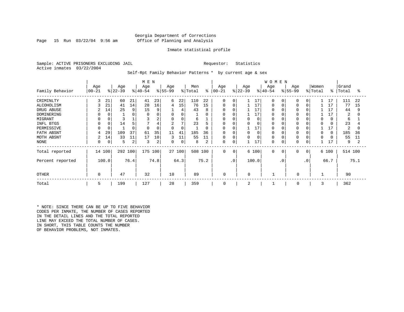### Georgia Department of Corrections Page 15 Run 03/22/04 9:56 am Office of Planning and Analysis

#### Inmate statistical profile

Sample: ACTIVE PRISONERS EXCLUDING JAIL **Requestor:** Statistics Active inmates 03/22/2004

Self-Rpt Family Behavior Patterns \* by current age & sex

|                  |           |       |           |      | M E N        |          |                |        |         |      |             |                |           |          | <b>WOMEN</b> |             |             |                |          |             |         |      |
|------------------|-----------|-------|-----------|------|--------------|----------|----------------|--------|---------|------|-------------|----------------|-----------|----------|--------------|-------------|-------------|----------------|----------|-------------|---------|------|
|                  | Age       |       | Age       |      | Age          |          | Age            |        | Men     |      | Age         |                | Age       |          | Age          |             | Age         |                | Women    |             | Grand   |      |
| Family Behavior  | $00 - 21$ |       | $ 22-39 $ |      | $ 40-54 $    |          | $ 55-99$       |        | % Total | ៖    | $00 - 21$   |                | $ 22-39 $ |          | $8 40-54$    |             | $ 55-99 $   |                | % Total  | $\approx$ 1 | Total   | °    |
| CRIMINLTY        | 3         | 21    | 60        | 21   | 41           | 23       | 6              | 22     | 110     | 22   | 0           | 0              |           | 17       | $\Omega$     | $\Omega$    | 0           | $\overline{0}$ |          | 17          | 111     | 22   |
| ALCOHOLISM       |           | 21    | 41        | 14   | 28           | 16       | 4              | 15     | 76      | 15   | $\Omega$    | 0              |           | 17       | $\Omega$     |             | $\Omega$    | 0              |          | 17          | 77      | 15   |
| DRUG ABUSE       | 2         | 14    | 25        | 9    | 15           | 9        |                | 4      | 43      | 8    | 0           | O              |           | 17       |              |             |             |                |          | 17          | 44      | 9    |
| DOMINERING       |           |       |           | 0    |              |          | 0              | 0      |         | 0    | 0           |                |           | 17       |              |             |             |                |          |             | 2       | 0    |
| MIGRANT          |           |       |           |      |              | 2        | 0              | 0      | 6       |      | 0           | 0              | 0         | $\Omega$ |              |             | $\Omega$    |                | $\Omega$ | O           | 6       |      |
| INFL BTGS        |           |       | 14        | 5    |              | 4        | $\overline{2}$ | 7      | 23      |      | 0           | 0              | 0         |          |              |             |             |                | $\Omega$ |             | 23      |      |
| PERMISSIVE       |           |       |           | 0    | <sup>0</sup> | $\Omega$ | $\Omega$       | 0      |         | 0    | $\Omega$    | $\mathbf C$    |           | 17       | $\Omega$     |             | $\Omega$    |                |          |             | 2       | 0    |
| FATH ABSNT       |           | 29    | 109       | 37   | 61           | 35       | 11             | 41     | 185     | 36   | $\Omega$    | $\Omega$       | $\Omega$  |          |              |             | 0           |                | $\Omega$ | $\Omega$    | 185     | 36   |
| MOTH ABSNT       | 2         | 14    | 33        | 11   | 17           | 10       | 3              | 11     | 55      | 11   | 0           | $\Omega$       | $\Omega$  |          | $\Omega$     |             |             |                | $\Omega$ |             | 55      | 11   |
| NONE             | 0         | 0     | 5         | 2    | 3            | 2        | 0              | 0      | 8       | 2    | 0           | 0              |           | 17       | $\Omega$     |             | 0           | 0              |          | 17          | 9       |      |
| Total reported   | 14        | 100   | 292 100   |      | 175 100      |          |                | 27 100 | 508 100 |      | $\mathbf 0$ | $\overline{0}$ |           | 6 100    | $\mathbf 0$  | $\mathbf 0$ | $\mathbf 0$ | $\circ$        |          | 6 100       | 514 100 |      |
| Percent reported |           | 100.0 |           | 76.4 |              | 74.8     |                | 64.3   |         | 75.2 |             | $\cdot$ 0      |           | 100.0    |              | $\cdot$ 0   |             | .0             |          | 66.7        |         | 75.1 |
| OTHER            | 0         |       | 47        |      | 32           |          | 10             |        | 89      |      | $\mathbf 0$ |                | $\Omega$  |          |              |             | 0           |                |          |             | 90      |      |
| Total            | 5         |       | 199       |      | 127          |          | 28             |        | 359     |      | $\mathbf 0$ |                | 2         |          |              |             | 0           |                | 3        |             | 362     |      |

\* NOTE: SINCE THERE CAN BE UP TO FIVE BEHAVIOR CODES PER INMATE, THE NUMBER OF CASES REPORTED IN THE DETAIL LINES AND THE TOTAL REPORTED LINE MAY EXCEED THE TOTAL NUMBER OF CASES. IN SHORT, THIS TABLE COUNTS THE NUMBER OF BEHAVIOR PROBLEMS, NOT INMATES.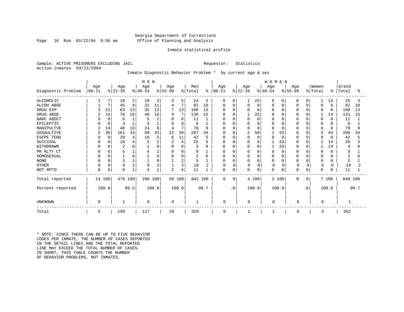### Georgia Department of Corrections Page 16 Run 03/22/04 9:56 am Office of Planning and Analysis

#### Inmate statistical profile

Sample: ACTIVE PRISONERS EXCLUDING JAIL **Requestor:** Statistics Active inmates 03/22/2004

Inmate Diagnostic Behavior Problem \* by current age & sex

|                    | M E N      |             |                |          |          |          |                |                |         |                |             |             |                |             | <b>WOMEN</b> |             |          |           |             |              |                |      |
|--------------------|------------|-------------|----------------|----------|----------|----------|----------------|----------------|---------|----------------|-------------|-------------|----------------|-------------|--------------|-------------|----------|-----------|-------------|--------------|----------------|------|
|                    | Age        |             | Age            |          | Age      |          | Age            |                | Men     |                | Age         |             | Age            |             | Age          |             | Age      |           | Women       |              | Grand          |      |
| Diagnostic Problem | $ 00 - 21$ |             | $ 22-39 $      |          | $ 40-54$ |          | $ 55-99 $      |                | % Total | ႜၟ             | $ 00 - 21$  |             | $ 22-39 $      |             | $ 40-54 $    |             | $ 55-99$ |           | % Total     | ៖            | Total          | ႜ    |
| <b>ALCOHOLIC</b>   |            |             | 10             | 2        | 10       | 3        | 3              | 5              | 24      | 3              | 0           | 0           |                | 25          | 0            | $\Omega$    | 0        | 0         |             | 14           | 25             |      |
| <b>ALCOH ABSE</b>  |            | 7           | 45             | 9        | 32       | 11       | 4              | 7              | 82      | 10             | $\Omega$    | $\Omega$    | 0              | $\mathbf 0$ | $\Omega$     | $\mathbf 0$ | O        | $\Omega$  | 0           | $\Omega$     | 82             | 10   |
| DRUG EXP           |            | 21          | 63             | 13       | 35       | 12       |                | 13             | 108     | 13             |             | $\Omega$    |                | $\Omega$    | O            | $\Omega$    | O        | $\Omega$  | O           | $\Omega$     | 108            | 13   |
| DRUG ABSE          |            | 14          | 76             | 16       | 48       | 16       | 4              | 7              | 130     | 15             |             | $\Omega$    |                | 25          |              | $\Omega$    |          | $\Omega$  |             | 14           | 131            | 15   |
| NARC ADDCT         |            | $\mathbf 0$ | 6              |          | 5        | 2        | $\Omega$       | 0              | 11      |                |             | $\Omega$    |                | $\Omega$    |              | $\Omega$    | ი        | $\cap$    | 0           | $\Omega$     | 11             |      |
| EPILEPTIC          |            | $\mathbf 0$ | 3              |          | 3        |          |                | 0              | 6       |                |             | $\Omega$    |                | $\Omega$    |              |             |          | $\Omega$  | 0           | $\Omega$     | 6              |      |
| MANIPULTVE         |            | 14          | 48             | 10       | 24       | 8        | $\overline{4}$ | 7              | 78      | 9              |             | $\Omega$    | O              | $\Omega$    |              | $\Omega$    | N        | $\cap$    |             | $\Omega$     | 78             | 9    |
| <b>ASSAULTIVE</b>  | 5          | 36          | 161            | 34       | 99       | 33       | 22             | 39             | 287     | 34             |             | $\Omega$    | 2              | 50          |              | 33          |          | $\Omega$  | 3           | 43           | 290            | 34   |
| ESCPE TEND         |            | $\Omega$    | 20             | 4        | 16       | 5        | 6              | 11             | 42      | 5              |             | $\Omega$    | O              | $\Omega$    | Λ            | $\Omega$    | $\Omega$ | $\Omega$  |             | $\Omega$     | 42             |      |
| SUICIDAL           |            |             | 18             |          | 5        | 2        | $\overline{2}$ | 4              | 25      | 3              |             | $\Omega$    |                | $\Omega$    |              | 33          |          | $\Omega$  |             | 14           | 26             |      |
| WITHDRAWN          |            |             | $\overline{c}$ |          |          |          | U              | $\Omega$       | 3       | U              | O           | $\Omega$    | <sup>0</sup>   | $\Omega$    |              | 33          | O        | $\Omega$  |             | 14           | 4              |      |
| PR RLTY CT         |            | $\Omega$    | 5              |          |          |          | $\Omega$       | 0              | 9       |                | O           | $\Omega$    | $\Omega$       | $\Omega$    | 0            | $\Omega$    | 0        | $\Omega$  | 0           | $\Omega$     | 9              |      |
| HOMOSEXUAL         |            | $\Omega$    |                | $\Omega$ |          | $\Omega$ | $\Omega$       | 0              | 2       | $\Omega$       | O           | $\Omega$    | $\Omega$       | $\Omega$    | $\Omega$     | $\Omega$    | $\Omega$ | $\Omega$  | 0           | <sup>0</sup> | $\overline{c}$ |      |
| <b>NONE</b>        |            |             | 3              |          |          | $\Omega$ |                | 2              | 5       |                |             | $\Omega$    |                | $\Omega$    | $\Omega$     | $\mathbf 0$ | $\Omega$ | $\Omega$  | 0           | $\Omega$     | 5              |      |
| <b>OTHER</b>       |            | $\Omega$    | 8              | 2        | 9        | 3        | $\mathbf{1}$   | $\overline{2}$ | 18      | $\overline{a}$ | 0           | $\Omega$    | 0              | $\mathbf 0$ | $\mathbf{0}$ | $\Omega$    | $\Omega$ | $\Omega$  | $\mathbf 0$ |              | 18             |      |
| NOT RPTD           | $\Omega$   | $\Omega$    | 6              |          | 3        |          | 2              | 4              | 11      |                | $\Omega$    | $\mathbf 0$ | $\Omega$       | $\mathbf 0$ | $\Omega$     | 0           | 0        | 0         | 0           | 0            | 11             |      |
| Total reported     |            | 14 100      | 476 100        |          | 296 100  |          |                | 56 100         | 842 100 |                | $\mathbf 0$ | 0           |                | 4 100       |              | 3 100       | $\Omega$ | $\Omega$  |             | 7 100        | 849 100        |      |
| Percent reported   |            | 100.0       |                | 99.5     |          | 100.0    |                | 100.0          |         | 99.7           |             | $\cdot$ 0   |                | 100.0       |              | 100.0       |          | $\cdot$ 0 |             | 100.0        |                | 99.7 |
| UNKNOWN            | $\Omega$   |             |                |          | 0        |          | 0              |                |         |                | $\mathbf 0$ |             | 0              |             | 0            |             | O        |           | ∩           |              |                |      |
| Total              | 5          |             | 199            |          | 127      |          | 28             |                | 359     |                | 0           |             | $\overline{2}$ |             | $\mathbf{1}$ |             | 0        |           | 3           |              | 362            |      |

\* NOTE: SINCE THERE CAN BE UP TO FIVE BEHAVIOR CODES PER INMATE, THE NUMBER OF CASES REPORTED IN THE DETAIL LINES AND THE TOTAL REPORTED LINE MAY EXCEED THE TOTAL NUMBER OF CASES. IN SHORT, THIS TABLE COUNTS THE NUMBER OF BEHAVIOR PROBLEMS, NOT INMATES.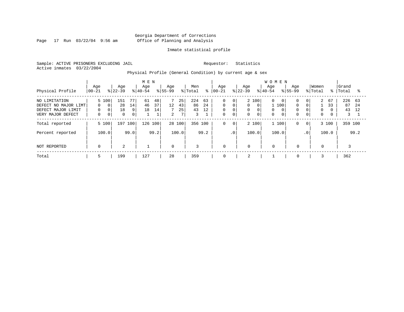Page 17 Run 03/22/04 9:56 am

#### Inmate statistical profile

Sample: ACTIVE PRISONERS EXCLUDING JAIL Requestor: Statistics Active inmates 03/22/2004

Physical Profile (General Condition) by current age & sex

|                                                                                  |                                    |                                           |                      |                    | M E N            |                                |                           |                     |                      |                |                                                          |                                       |                    |                                                 | <b>WOMEN</b>          |                                         |                           |                                                   |                              |          |                      |                |
|----------------------------------------------------------------------------------|------------------------------------|-------------------------------------------|----------------------|--------------------|------------------|--------------------------------|---------------------------|---------------------|----------------------|----------------|----------------------------------------------------------|---------------------------------------|--------------------|-------------------------------------------------|-----------------------|-----------------------------------------|---------------------------|---------------------------------------------------|------------------------------|----------|----------------------|----------------|
| Physical Profile                                                                 | Age<br>$00 - 21$                   | $ 22-39 $                                 | Age                  |                    | Age<br>$8 40-54$ |                                | Age<br>$ 55-99$           |                     | Men<br>% Total       | ៖              | Age<br>$ 00-21$                                          |                                       | Age<br>$ 22-39 $   |                                                 | Age<br>$8 40-54$      | $8155 - 99$                             | Aqe                       |                                                   | Women<br>% Total             | ႜႜ       | Grand<br>Total       | °≈             |
| NO LIMITATION<br>DEFECT NO MAJOR LIMT<br>DEFECT MAJOR LIMIT<br>VERY MAJOR DEFECT | 5 100<br>$\Omega$<br>0<br>$\Omega$ | $\Omega$<br>$\overline{0}$<br>$\mathbf 0$ | 151<br>28<br>18<br>0 | 77<br>14<br>9<br>0 | 61<br>46<br>18   | 48<br>37<br>14<br>$\mathbf{1}$ | $12 \,$<br>$\overline{a}$ | 25<br>43<br>25<br>7 | 224<br>86<br>43<br>3 | 63<br>24<br>12 | $\mathbf 0$<br>$\mathbf 0$<br>$\mathbf 0$<br>$\mathbf 0$ | 0<br>$\mathbf 0$<br>0<br>$\mathbf{0}$ | $\Omega$<br>0<br>0 | 2 100<br>$\Omega$<br>$\mathbf 0$<br>$\mathbf 0$ | 0<br>0<br>$\mathbf 0$ | $\overline{0}$<br>100<br>$\overline{0}$ | $\Omega$<br>0<br>$\Omega$ | 0 <sup>1</sup><br>$\Omega$<br>0<br>$\overline{0}$ | 2<br>$\Omega$<br>$\mathbf 0$ | 67<br>33 | 226<br>87<br>43<br>3 | 63<br>24<br>12 |
| Total reported                                                                   | 5 100                              |                                           | 197                  | 100                | 126              | 100                            | 28 100                    |                     | 356 100              |                | 0                                                        | $\mathbf 0$                           |                    | 2 100                                           | 1 100                 |                                         | 0                         | $\mathbf{0}$                                      |                              | 3 100    | 359 100              |                |
| Percent reported                                                                 | 100.0                              |                                           |                      | 99.0               |                  | 99.2                           |                           | 100.0               |                      | 99.2           |                                                          | .0 <sup>1</sup>                       |                    | 100.0                                           | 100.0                 |                                         |                           | $\cdot$ 0                                         |                              | 100.0    |                      | 99.2           |
| NOT REPORTED                                                                     | $\Omega$                           |                                           | 2                    |                    |                  |                                | $\overline{0}$            |                     | 3                    |                | $\mathbf 0$                                              |                                       | $\mathbf 0$        |                                                 | $\mathbf 0$           |                                         | $\mathbf 0$               |                                                   | $\mathbf 0$                  |          |                      |                |
| Total                                                                            | ל                                  |                                           | 199                  |                    | 127              |                                | 28                        |                     | 359                  |                | 0                                                        |                                       | 2                  |                                                 |                       |                                         | 0                         |                                                   |                              |          | 362                  |                |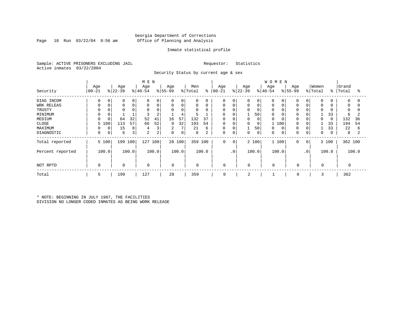### Georgia Department of Corrections Page 18 Run 03/22/04 9:56 am Office of Planning and Analysis

#### Inmate statistical profile

Sample: ACTIVE PRISONERS EXCLUDING JAIL Requestor: Statistics Active inmates 03/22/2004

Security Status by current age & sex

|                  |             |             |             |       | M E N       |       |             |        |             |       |             |                 |           |             | <b>WOMEN</b> |             |             |                |          |             |             |       |
|------------------|-------------|-------------|-------------|-------|-------------|-------|-------------|--------|-------------|-------|-------------|-----------------|-----------|-------------|--------------|-------------|-------------|----------------|----------|-------------|-------------|-------|
|                  | Age         |             | Age         |       | Age         |       | Age         |        | Men         |       | Age         |                 | Age       |             | Age          |             | Age         |                | Women    |             | Grand       |       |
| Security         | 00-21       |             | $ 22-39$    |       | $ 40-54$    |       | $8 55-99$   |        | % Total     | နွ    | $ 00 - 21$  |                 | $8 22-39$ |             | $8 40-54$    |             | $8155 - 99$ |                | % Total  | ႜ           | Total       | ႜႜ    |
| DIAG INCOM       | $\Omega$    | $\mathbf 0$ | 0           | 0     | 0           | 0     | $\mathbf 0$ | 0      | $\mathbf 0$ | 0     | $\mathbf 0$ | 0               | 0         | 0           | 0            | $\mathbf 0$ | $\Omega$    |                | $\Omega$ | 0           | $\mathbf 0$ |       |
| WRK RELEAS       | $\Omega$    | 0           | $\mathbf 0$ | 0     | $\mathbf 0$ | 0     | $\mathbf 0$ | 0      | 0           | 0     | 0           | $\mathbf 0$     |           | $\mathbf 0$ | 0            | 0           | $\Omega$    |                | $\Omega$ | 0           | 0           |       |
| TRUSTY           |             |             |             |       | $\Omega$    |       |             | 0      | $\Omega$    |       | $\mathbf 0$ |                 |           | 0           |              | $\Omega$    |             |                | $\Omega$ |             | 0           |       |
| MINIMUM          | $\Omega$    |             |             |       | 3           | 2     |             | 4      |             |       | 0           |                 |           | 50          | 0            | 0           | 0           |                |          | 33          | 6           |       |
| MEDIUM           | $\Omega$    |             | 64          | 32    | 52          | 41    | 16          | 57     | 132         | 37    | $\mathbf 0$ |                 | 0         | $\mathbf 0$ | 0            | $\Omega$    | $\Omega$    |                | $\Omega$ | $\Omega$    | 132         | 36    |
| CLOSE            |             | 5 100       | 113         | 57    | 66          | 52    | 9           | 32     | 193         | 54    | 0           |                 | 0         | 0           |              | 100         | $\Omega$    |                |          | 33          | 194         | 54    |
| MAXIMUM          | $\Omega$    | 0           | 15          | 8     | 4           | 3     | 2           | 7      | 21          | 6     | 0           | 0               |           | 50          | 0            | 0           | $\Omega$    |                |          | 33          | 22          | 6     |
| DIAGNOSTIC       | $\mathbf 0$ | 0           | 6           | 3     | 2           | 2     | $\mathbf 0$ | 0      | 8           | 2     | 0           | 0               | 0         | $\mathbf 0$ | 0            | 0           | $\Omega$    |                | $\Omega$ | $\mathbf 0$ | 8           |       |
| Total reported   |             | 5 100       | 199 100     |       | 127         | 100   |             | 28 100 | 359         | 100   | 0           | 0               |           | 2 100       |              | 1 100       | $\mathbf 0$ | 0 <sup>1</sup> |          | 3 100       | 362 100     |       |
| Percent reported |             | 100.0       |             | 100.0 |             | 100.0 |             | 100.0  |             | 100.0 |             | .0 <sup>1</sup> |           | 100.0       |              | 100.0       |             | $\cdot$ 0      |          | 100.0       |             | 100.0 |
| NOT RPTD         | $\Omega$    |             | $\mathbf 0$ |       | $\mathbf 0$ |       | $\mathbf 0$ |        | $\mathbf 0$ |       | 0           |                 | $\Omega$  |             | $\Omega$     |             | $\mathbf 0$ |                | $\Omega$ |             |             |       |
| Total            | 5           |             | 199         |       | 127         |       | 28          |        | 359         |       | 0           |                 | 2         |             |              |             | 0           |                | 3        |             | 362         |       |

\* NOTE: BEGINNING IN JULY 1987, THE FACILITIES DIVISION NO LONGER CODED INMATES AS BEING WORK RELEASE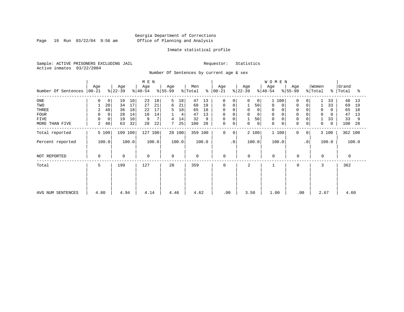Page 19 Run 03/22/04 9:56 am

#### Inmate statistical profile

Sample: ACTIVE PRISONERS EXCLUDING JAIL Requestor: Statistics Active inmates 03/22/2004

Number Of Sentences by current age & sex

|                     |                |       |             |       | M E N     |       |           |        |                     |       |             |           |             |             | <b>WOMEN</b>               |             |                |             |       |           |       |
|---------------------|----------------|-------|-------------|-------|-----------|-------|-----------|--------|---------------------|-------|-------------|-----------|-------------|-------------|----------------------------|-------------|----------------|-------------|-------|-----------|-------|
|                     | Age            |       | Age         |       | Age       |       | Age       |        | Men                 |       | Age         |           | Age         |             | Age                        | Age         |                | Women       |       | Grand     |       |
| Number Of Sentences | $ 00-21$       |       | $ 22-39 $   |       | $ 40-54 $ |       | $ 55-99 $ |        | $\frac{1}{2}$ Total | န္    | $ 00-21 $   |           | $ 22-39 $   |             | $ 40-54 $                  | $ 55-99 $   |                | % Total     |       | %   Total | ႜ     |
| $_{\rm ONE}$        | 0              | 0     | 19          | 10    | 23        | 18    | 5         | 18     | 47                  | 13    | 0           | 0         | 0           | 0           | 100<br>$\mathbf{1}$        | 0           | 0              |             | 33    | 48        | 13    |
| TWO                 |                | 20    | 34          | 17    | 27        | 21    | 6         | 21     | 68                  | 19    | 0           |           |             | 50          | 0                          | $\mathbf 0$ | 0              |             | 33    | 69        | 19    |
| THREE               | 2              | 40    | 36          | 18    | 22        | 17    | 5         | 18     | 65                  | 18    | 0           |           | 0           |             | 0                          | $\Omega$    |                | $\Omega$    | 0     | 65        | 18    |
| <b>FOUR</b>         | 0              | 0     | 28          | 14    | 18        | 14    |           | 4      | 47                  | 13    | $\mathbf 0$ |           | $\Omega$    |             |                            |             |                | $\Omega$    | 0     | 47        | 13    |
| FIVE                | 0              | 0     | 19          | 10    | 9         |       |           | 14     | 32                  | 9     | 0           |           | 1           | 50          | 0                          | 0           |                |             | 33    | 33        | 9     |
| MORE THAN FIVE      | $\overline{a}$ | 40    | 63          | 32    | 28        | 22    |           | 25     | 100                 | 28    | 0           | 0         | 0           | $\mathbf 0$ | $\mathbf 0$<br>$\mathbf 0$ | $\mathbf 0$ | 0              | $\mathbf 0$ | 0     | 100       | 28    |
| Total reported      |                | 5 100 | 199 100     |       | 127 100   |       |           | 28 100 | 359 100             |       | 0           | 0         | 2 100       |             | 1 100                      | 0           | 0 <sup>1</sup> |             | 3 100 | 362 100   |       |
| Percent reported    |                | 100.0 |             | 100.0 |           | 100.0 |           | 100.0  |                     | 100.0 |             | $\cdot$ 0 | 100.0       |             | 100.0                      |             | $\cdot$ 0      |             | 100.0 |           | 100.0 |
| NOT REPORTED        | 0              |       | $\mathbf 0$ |       | 0         |       | 0         |        | 0                   |       | 0           |           | $\mathbf 0$ |             | $\mathbf 0$                | 0           |                | $\Omega$    |       | 0         |       |
| Total               | 5              |       | 199         |       | 127       |       | 28        |        | 359                 |       | $\Omega$    |           | 2           |             |                            | $\Omega$    |                | 3           |       | 362       |       |
|                     |                |       |             |       |           |       |           |        |                     |       |             |           |             |             |                            |             |                |             |       |           |       |
|                     |                |       |             |       |           |       |           |        |                     |       |             |           |             |             |                            |             |                |             |       |           |       |
| AVG NUM SENTENCES   | 4.80           |       | 4.94        |       | 4.14      |       | 4.46      |        | 4.62                |       | .00         |           | 3.50        |             | 1.00                       |             | .00            | 2.67        |       | 4.60      |       |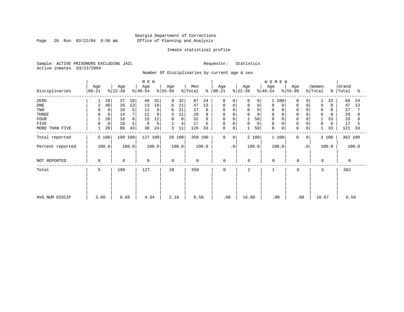Page 20 Run 03/22/04 9:56 am

#### Inmate statistical profile

Sample: ACTIVE PRISONERS EXCLUDING JAIL Requestor: Statistics Active inmates 03/22/2004

Number Of Disciplinaries by current age & sex

|                  |                      | Age         | M E N<br>Age | Age              | Men           | Age                     |                  | WOMEN<br>Age<br>Age              | Women                                              | Grand            |
|------------------|----------------------|-------------|--------------|------------------|---------------|-------------------------|------------------|----------------------------------|----------------------------------------------------|------------------|
| Disciplinaries   | Age<br>$ 00-21$      | $ 22-39 $   | $ 40-54 $    | $ 55-99$         | % Total<br>န္ | $ 00-21$                | Age<br>$ 22-39 $ | $\frac{1}{6}$ 55-99<br>$ 40-54 $ | % Total                                            | ွေ<br>Total<br>ႜ |
| ZERO             | 20                   | 37<br>19    | 40<br>31     | 9<br>32          | 87<br>24      | $\mathbf 0$<br>$\Omega$ | 0<br>0           | 100<br>1                         | 33<br>$\Omega$<br>0                                | 88<br>24         |
| $_{\rm ONE}$     | 40<br>$\overline{2}$ | 26<br>13    | 13<br>10     | 21<br>6          | 13<br>47      | $\mathbf 0$<br>0        | $\mathbf 0$<br>0 | 0<br>0                           | $\mathbf 0$<br>$\Omega$<br>$\mathbf 0$<br>$\Omega$ | 47<br>13         |
| TWO              | $\mathbf 0$          | 5<br>10     | 11<br>9      | 21<br>6          | 27<br>8       | $\Omega$<br>0           | $\Omega$         | 0                                | 0                                                  | 27               |
| THREE            | $\mathbf 0$          | 7<br>14     | 12<br>9      | 11               | 29<br>8       | 0<br>0                  | $\mathbf 0$      | 0                                | $\Omega$<br>$\Omega$                               | 29               |
| <b>FOUR</b>      | 20                   | 8<br>16     | 12<br>15     | 0<br>$\mathbf 0$ | 32<br>9       | $\mathbf 0$             | 50               | $\mathbf 0$                      | $\Omega$<br>33                                     | 33<br>9          |
| <b>FIVE</b>      | 0<br>0               | 10<br>5     | 5<br>6       | 4                | 5<br>17       | 0<br>0                  | 0<br>0           | 0                                | $\Omega$<br>$\Omega$<br>$\Omega$                   | 17               |
| MORE THAN FIVE   | 20                   | 43<br>86    | 30<br>24     | 3<br>11          | 120<br>33     | 0<br>0                  | 50               | $\mathbf 0$<br>0                 | $\mathbf 0$<br>33<br>0                             | 121<br>33        |
| Total reported   | 5 100                | 199 100     | 127 100      | 28 100           | 359 100       | $\mathbf 0$<br>0        | 2 100            | 1 100                            | 0<br>3 100<br>0                                    | 362 100          |
| Percent reported | 100.0                | 100.0       | 100.0        | 100.0            | 100.0         | $\cdot$ 0               | 100.0            | 100.0                            | $\cdot$ 0<br>100.0                                 | 100.0            |
| NOT REPORTED     | 0                    | $\mathbf 0$ | 0            | $\Omega$         | $\mathbf 0$   | 0                       | 0                | $\mathbf 0$                      | 0<br>$\mathbf 0$                                   | $\Omega$         |
| Total            | 5                    | 199         | 127          | 28               | 359           | 0                       | 2                | $\mathbf{1}$                     | 3<br>0                                             | 362              |
|                  |                      |             |              |                  |               |                         |                  |                                  |                                                    |                  |
|                  |                      |             |              |                  |               |                         |                  |                                  |                                                    |                  |
| AVG NUM DISCIP   | 3.80                 | 8.66        | 4.34         | 2.18             | 6.56          | .00                     | 16.00            | .00                              | .00<br>10.67                                       | 6.59             |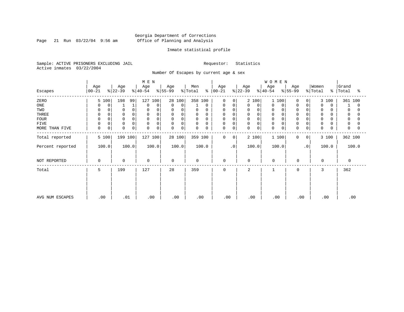Page 21 Run 03/22/04 9:56 am

#### Inmate statistical profile

Sample: ACTIVE PRISONERS EXCLUDING JAIL Requestor: Statistics Active inmates 03/22/2004

Number Of Escapes by current age & sex

|                  |                  |                      | M E N                      |                  |                         |                            |                  | WOMEN            |                   |                                   |                     |
|------------------|------------------|----------------------|----------------------------|------------------|-------------------------|----------------------------|------------------|------------------|-------------------|-----------------------------------|---------------------|
| Escapes          | Age<br>$00 - 21$ | Age<br>$ 22-39 $     | Age<br>$ 40-54 $           | Age<br>$ 55-99 $ | Men<br>% Total<br>ະ     | Age<br>$ 00 - 21 $         | Age<br>$ 22-39 $ | Age<br>$8 40-54$ | Age<br>$ 55-99 $  | Women<br>% Total<br>$\frac{1}{6}$ | Grand<br>Total<br>ႜ |
| ZERO             | 5 100            | 198<br>99            | 127 100                    | 28 100           | 358 100                 | $\Omega$<br>$\Omega$       | 2 100            | 100              | 0<br>$\Omega$     | 3 100                             | 361 100             |
| ONE              | 0<br>0           |                      | $\mathbf 0$<br>$\Omega$    | 0<br>$\mathbf 0$ | 0                       | 0<br>0                     | 0<br>0           | 0<br>0           | 0<br>0            | $\mathbf 0$<br>$\Omega$           | 0                   |
| TWO              | $\Omega$         | 0                    | $\Omega$                   | 0<br>$\Omega$    | 0<br>$\Omega$           | 0<br>$\Omega$              | 0<br>$\Omega$    | 0                | $\mathbf 0$       | 0                                 | 0                   |
| THREE            | $\mathbf 0$      | $\Omega$             | $\Omega$                   | 0<br>0           | $\mathbf 0$<br>0        | 0<br>$\Omega$              | 0                | $\mathbf 0$      | $\mathbf 0$       | 0                                 | 0                   |
| <b>FOUR</b>      | $\Omega$         |                      | $\Omega$                   | 0<br>$\Omega$    | $\mathbf 0$<br>$\Omega$ | 0                          | 0                | $\Omega$         | $\Omega$          | $\Omega$                          |                     |
| FIVE             | $\mathbf 0$<br>0 | $\mathbf 0$          | 0<br>$\Omega$              | $\mathbf 0$<br>0 | 0<br>0                  | 0<br>$\Omega$              | 0<br>$\Omega$    | 0                | $\Omega$          | 0                                 | 0                   |
| MORE THAN FIVE   | $\mathbf 0$<br>0 | $\Omega$<br>$\Omega$ | $\mathbf 0$<br>$\mathbf 0$ | 0<br>$\Omega$    | $\mathbf 0$<br>0        | $\mathbf 0$<br>$\mathbf 0$ | 0<br>0           | $\mathbf 0$<br>0 | 0<br>0            | $\mathbf 0$                       | $\Omega$            |
| Total reported   | 5 100            | 199 100              | 127 100                    | 28 100           | 359 100                 | 0<br>$\mathbf{0}$          | 2 100            | 1 100            | $\mathbf{0}$<br>0 | 3 100                             | 362 100             |
| Percent reported | 100.0            | 100.0                | 100.0                      | 100.0            | 100.0                   | $\cdot$ 0                  | 100.0            | 100.0            | $\cdot$ 0         | 100.0                             | 100.0               |
| NOT REPORTED     | $\Omega$         | $\mathbf 0$          | $\mathbf 0$                | $\Omega$         | $\mathbf 0$             | 0                          | $\Omega$         | $\mathbf 0$      | $\mathbf 0$       | $\Omega$                          | 0                   |
| Total            | 5                | 199                  | 127                        | 28               | 359                     | $\mathbf 0$                | 2                |                  | 0                 | 3                                 | 362                 |
|                  |                  |                      |                            |                  |                         |                            |                  |                  |                   |                                   |                     |
|                  |                  |                      |                            |                  |                         |                            |                  |                  |                   |                                   |                     |
| AVG NUM ESCAPES  | .00              | .01                  | .00                        | .00              | .00                     | .00                        | .00              | .00              | .00               | .00                               | .00                 |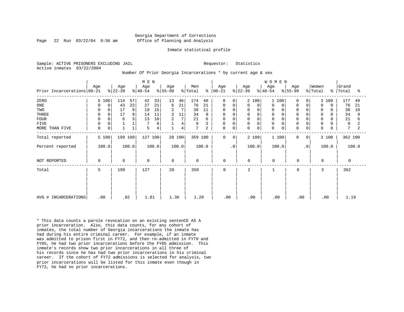#### Georgia Department of Corrections Page 22 Run 03/22/04 9:56 am Office of Planning and Analysis

#### Inmate statistical profile

Sample: ACTIVE PRISONERS EXCLUDING JAIL **Requestor:** Statistics Active inmates 03/22/2004

Number Of Prior Georgia Incarcerations \* by current age & sex

|                            |                  |                  | M E N            |                  |                             |                         |                  | <b>WOMEN</b>                              |                                 |                     |
|----------------------------|------------------|------------------|------------------|------------------|-----------------------------|-------------------------|------------------|-------------------------------------------|---------------------------------|---------------------|
| Prior Incarcerations 00-21 | Age              | Age<br>$ 22-39 $ | Age<br>$ 40-54 $ | Age<br>$ 55-99 $ | Men<br>$\approx$<br>% Total | Age<br>$ 00 - 21 $      | Age<br>$ 22-39 $ | Age<br>Age<br>$ 40-54 $<br>$ 55-99 $      | Women<br>% Total<br>$\approx$ 1 | Grand<br>Total<br>ႜ |
| ZERO                       | 5 100            | 57<br>114        | 33<br>42         | 13<br>46         | 174<br>48                   | $\mathbf 0$             | 2 100            | 1 100<br>$\Omega$                         | 3 100<br>$\overline{0}$         | 177<br>49           |
| ONE                        | 0<br>0           | 22<br>43         | 21<br>27         | 21<br>6          | 76<br>21                    | 0<br>0                  | $\mathbf 0$<br>0 | $\Omega$<br>0<br>0                        | 0<br>$\Omega$<br>0              | 76<br>21            |
| TWO                        |                  | 17<br>9          | 15<br>19         | 2<br>7           | 38<br>11                    | $\mathbf 0$             | $\mathbf 0$      | $\mathbf 0$<br>$\Omega$                   | $\Omega$                        | 38<br>10            |
| THREE                      | $\mathbf 0$<br>0 | 17<br>9          | 11<br>14         | 3<br>11          | 34<br>9                     | $\mathbf 0$             | $\mathbf 0$      | $\mathbf 0$<br>$\Omega$<br>0              | 0<br>$\Omega$<br>0              | 34<br>9             |
| <b>FOUR</b>                | $\Omega$         | 3<br>6           | 10<br>13         | 7<br>2           | 21<br>6                     | 0                       | $\mathbf 0$      | $\mathbf 0$<br>$\Omega$                   | 0<br>O                          | 21                  |
| FIVE                       | 0<br>$\Omega$    |                  | 6                | 4                | 9                           | 0                       | $\mathsf 0$      | $\mathbf 0$<br>$\Omega$                   | $\Omega$                        | 9                   |
| MORE THAN FIVE             | 0<br>0           | 1                | 5<br>4           | 4                | $\overline{7}$<br>2         | 0<br>0                  | $\mathbf 0$<br>0 | $\mathbf 0$<br>$\mathbf 0$<br>$\mathbf 0$ | 0<br>0<br>O                     | 7                   |
| Total reported             | 5 100            | 199 100          | 127 100          | 28 100           | 359 100                     | $\mathbf 0$<br>$\Omega$ | 2 100            | 1100<br>$\Omega$                          | 3 100<br>0 <sup>1</sup>         | 362 100             |
| Percent reported           | 100.0            | 100.0            | 100.0            | 100.0            | 100.0                       | $\cdot$ 0               | 100.0            | 100.0                                     | $\cdot$ 0<br>100.0              | 100.0               |
| NOT REPORTED               | $\Omega$         | $\Omega$         | $\mathbf 0$      | $\mathbf 0$      | $\mathbf 0$                 | $\mathbf 0$             | $\mathbf 0$      | $\Omega$<br>$\Omega$                      | $\Omega$                        | $\Omega$            |
| Total                      | 5                | 199              | 127              | 28               | 359                         | 0                       | 2                | 0<br>$\mathbf{1}$                         | 3                               | 362                 |
|                            |                  |                  |                  |                  |                             |                         |                  |                                           |                                 |                     |
|                            |                  |                  |                  |                  |                             |                         |                  |                                           |                                 |                     |
| AVG # INCARCERATIONS       | .00              | .82              | 1.81             | 1.36             | 1.20                        | .00                     | .00              | .00<br>.00                                | .00                             | 1.19                |

\* This data counts a parole revocation on an existing sentenCE AS A prior incarceration. Also, this data counts, for any cohort of inmates, the total number of Georgia incarcerations the inmate has had during his entire criminal career. For example, if an inmate was admitted to prison first in FY72, and then re-admitted in FY79 and FY85, he had two prior incarcerations before the FY85 admission. This inmate's records show two prior incarcerations in all three of his records since he has had two prior incarcerations in his criminal career. If the cohort of FY72 admissions is selected for analysis, two prior incarcerations will be listed for this inmate even though in FY72, he had no prior incarcerations.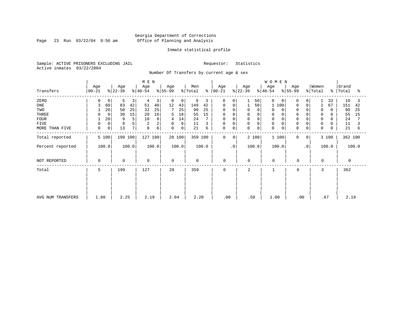Page 23 Run 03/22/04 9:56 am

#### Inmate statistical profile

Sample: ACTIVE PRISONERS EXCLUDING JAIL Requestor: Statistics Active inmates 03/22/2004

Number Of Transfers by current age & sex

|                   |                 |                         | M E N                    |                  |                |                      |                  | <b>WOMEN</b>     |                  |                      |                          |
|-------------------|-----------------|-------------------------|--------------------------|------------------|----------------|----------------------|------------------|------------------|------------------|----------------------|--------------------------|
| Transfers         | Age<br>$ 00-21$ | Age<br>$ 22-39 $        | Age<br>$ 40-54 $         | Age<br>$ 55-99 $ | Men<br>% Total | Age<br>$8   00 - 21$ | Age<br>$ 22-39 $ | Age<br>$ 40-54 $ | Age<br>$ 55-99 $ | Women<br>% Total     | Grand<br>%   Total<br>°≈ |
| ZERO              | <sup>0</sup>    | 5<br>0                  | 4<br>3<br>3              | 0<br>0           | 9<br>3         | $\mathbf 0$          | 50<br>$\Omega$   | 0<br>$\Omega$    | <sup>0</sup>     | 33                   | 10<br>3                  |
| ONE               | 3<br>60         | 83<br>42                | 51<br>40                 | 12<br>43         | 149<br>42      | 0<br>0               | 50               | 100              | 0<br>0           | $\overline{2}$<br>67 | 151<br>42                |
| TWO               | 20              | 50<br>25                | 25<br>32                 | 7<br>25          | 90<br>25       | $\Omega$             | 0<br>0           | 0<br>$\Omega$    |                  | 0                    | 90<br>25                 |
| THREE             |                 | 30<br>15<br>$\mathbf 0$ | 16<br>20                 | 18<br>5          | 15<br>55       | 0                    | 0<br>0           | 0                | $\Omega$         | 0                    | 55<br>15                 |
| <b>FOUR</b>       | 20              | 9                       | 10<br>8                  | 14<br>4          | 24             | 0<br>$\Omega$        | $\mathbf 0$<br>0 | 0                | $\Omega$         | 0                    | 24                       |
| FIVE              |                 | 0                       | 2<br>2                   | 0<br>0           | 11<br>3        | 0<br>$\Omega$        | 0<br>0           | 0                | $\Omega$         | 0                    | 11                       |
| MORE THAN FIVE    | 0               | 0 <sup>1</sup><br>13    | б<br>$7\phantom{.}$<br>8 | 0<br>0           | 21<br>6        | $\mathbf 0$<br>0     | $\mathbf 0$<br>0 | $\mathbf 0$<br>0 | 0<br>0           | $\mathbf 0$          | 21<br>6                  |
| Total reported    | 5 100           | 199 100                 | 127 100                  | 28 100           | 359 100        | 0<br>0               | 2 100            | 1 100            | 0<br>0           | 3 100                | 362 100                  |
| Percent reported  | 100.0           | 100.0                   | 100.0                    | 100.0            | 100.0          | $\cdot$ 0            | 100.0            | 100.0            | $\cdot$ 0        | 100.0                | 100.0                    |
| NOT REPORTED      | $\Omega$        | $\mathbf 0$             | 0                        | $\Omega$         | $\mathbf 0$    | $\mathbf 0$          | $\Omega$         | $\mathbf 0$      | $\mathbf 0$      | 0                    | $\Omega$                 |
| Total             | 5               | 199                     | 127                      | 28               | 359            | $\mathbf 0$          | 2                | 1                | $\mathbf 0$      | 3                    | 362                      |
|                   |                 |                         |                          |                  |                |                      |                  |                  |                  |                      |                          |
|                   |                 |                         |                          |                  |                |                      |                  |                  |                  |                      |                          |
| AVG NUM TRANSFERS | 1.80            | 2.25                    | 2.19                     | 2.04             | 2.20           | .00                  | .50              | 1.00             | .00              | .67                  | 2.19                     |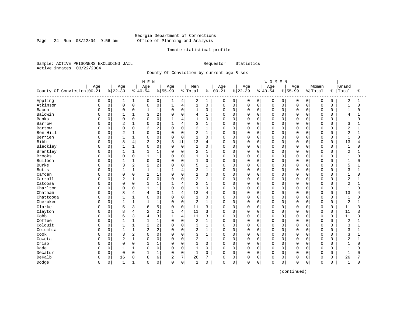Page 24 Run  $03/22/04$  9:56 am

#### Inmate statistical profile

Sample: ACTIVE PRISONERS EXCLUDING JAIL Requestor: Statistics Active inmates 03/22/2004

County Of Conviction by current age & sex

|                            |     |          |                |                | M E N          |                |              |                |                |                |             |             |             |             | WOMEN       |             |             |             |             |              |                |              |
|----------------------------|-----|----------|----------------|----------------|----------------|----------------|--------------|----------------|----------------|----------------|-------------|-------------|-------------|-------------|-------------|-------------|-------------|-------------|-------------|--------------|----------------|--------------|
|                            | Age |          | Age            |                | Age            |                | Age          |                | Men            |                | Age         |             | Age         |             | Age         |             | Age         |             | Women       |              | Grand          |              |
| County Of Conviction 00-21 |     |          | $8 22-39$      |                | $ 40-54$       |                | $8 55-99$    |                | % Total        | ႜ              | $00 - 21$   |             | $ 22 - 39$  |             | $8 40-54$   |             | $8 55-99$   |             | % Total     | ႜ            | Total          | ႜ            |
| Appling                    | 0   | 0        | 1              | $\mathbf{1}$   | 0              | 0              | 1            | 4              | 2              | 1              | 0           | 0           | 0           | 0           | 0           | 0           | 0           | $\mathbf 0$ | $\mathbf 0$ | $\mathbf 0$  | 2              | 1            |
| Atkinson                   | 0   | 0        | $\mathbf 0$    | 0              | $\mathbf 0$    | $\mathsf 0$    | $\mathbf{1}$ | $\overline{4}$ | $1\,$          | $\mathsf 0$    | $\mathbf 0$ | 0           | $\mathbf 0$ | 0           | $\mathbf 0$ | $\mathbf 0$ | $\mathbf 0$ | $\mathbf 0$ | $\mathbf 0$ | 0            | $\mathbf{1}$   | $\Omega$     |
| Bacon                      | U   | 0        | $\mathbf 0$    | 0              | $\mathbf{1}$   | 1              | $\Omega$     | $\mathbf 0$    | 1              | 0              | $\mathbf 0$ | $\mathbf 0$ | $\mathbf 0$ | 0           | $\mathbf 0$ | 0           | $\Omega$    | $\Omega$    | $\mathbf 0$ | 0            | $\mathbf{1}$   | 0            |
| Baldwin                    | U   | 0        | $\mathbf{1}$   | $1\,$          | 3              | 2              | $\Omega$     | $\mathbf 0$    | 4              | $\mathbf{1}$   | $\Omega$    | $\Omega$    | $\Omega$    | $\Omega$    | $\Omega$    | $\Omega$    | $\cap$      | $\Omega$    | $\mathbf 0$ | $\Omega$     | 4              |              |
| Banks                      | U   | $\Omega$ | $\Omega$       | $\mathbf 0$    | $\Omega$       | $\Omega$       | 1            | 4              | $\mathbf{1}$   | $\Omega$       | U           | $\Omega$    | $\Omega$    | $\Omega$    | $\Omega$    | $\cap$      | $\cap$      | $\Omega$    | $\mathbf 0$ | <sup>n</sup> | 1              | $\Omega$     |
| Barrow                     | U   | $\Omega$ | $\overline{2}$ | $\mathbf 1$    | $\Omega$       | $\mathbf 0$    | $\mathbf{1}$ | $\overline{4}$ | 3              | 1              | 0           | 0           | $\Omega$    | $\Omega$    | $\Omega$    | $\Omega$    | $\Omega$    | $\Omega$    | $\mathbf 0$ | $\Omega$     | 3              | 1            |
| Bartow                     |     | 0        | $\Omega$       | 0              | $\overline{c}$ | 2              | $\Omega$     | $\mathbf 0$    | 2              | $\mathbf{1}$   | 0           | 0           | $\Omega$    | 0           | $\Omega$    | 0           | $\Omega$    | $\mathbf 0$ | $\mathbf 0$ | 0            | $\overline{2}$ | $\mathbf{1}$ |
| Ben Hill                   | U   | 0        | $\overline{2}$ | $\mathbf{1}$   | $\cap$         | $\mathbf 0$    | $\Omega$     | $\mathbf 0$    | $\overline{2}$ | $\mathbf{1}$   | $\mathbf 0$ | 0           | $\mathbf 0$ | 0           | $\Omega$    | 0           | $\cap$      | $\Omega$    | $\mathbf 0$ | $\Omega$     | $\overline{2}$ | 1            |
| Berrien                    | U   | 0        | 1              | $1\,$          | $\Omega$       | $\mathbf 0$    | $\Omega$     | $\mathbf 0$    | 1              | $\mathbf 0$    | 0           | 0           | 0           | 0           | $\Omega$    | 0           | $\Omega$    | $\Omega$    | $\mathbf 0$ | $\Omega$     | $\mathbf{1}$   | 0            |
| <b>Bibb</b>                | U   | 0        | 8              | $\overline{4}$ | $\overline{c}$ | $\overline{2}$ | 3            | 11             | 13             | $\overline{4}$ | $\mathbf 0$ | $\Omega$    | $\Omega$    | $\mathbf 0$ | $\Omega$    | $\mathbf 0$ | $\Omega$    | $\Omega$    | $\mathbf 0$ | 0            | 13             | 4            |
| Bleckley                   | 0   | $\Omega$ | $\mathbf{1}$   | $\mathbf{1}$   | $\Omega$       | $\Omega$       | $\Omega$     | $\mathbf 0$    | $\mathbf{1}$   | $\Omega$       | $\Omega$    | $\Omega$    | $\Omega$    | $\Omega$    | $\Omega$    | $\Omega$    | $\Omega$    | $\Omega$    | $\Omega$    | $\Omega$     | $\overline{1}$ | $\Omega$     |
| Brantley                   | 0   | $\Omega$ | $\mathbf{1}$   | $\mathbf{1}$   | 1              | $\mathbf{1}$   | $\Omega$     | $\mathbf 0$    | 2              | 1              | 0           | $\Omega$    | 0           | $\Omega$    | $\Omega$    | $\Omega$    | O           | $\Omega$    | $\mathbf 0$ | 0            | 2              | 1            |
| Brooks                     |     | 0        | $\mathbf 0$    | 0              |                | $\mathbf{1}$   | $\Omega$     | $\mathsf 0$    | $1\,$          | $\mathbf 0$    | 0           | 0           | 0           | 0           | $\mathbf 0$ | 0           | $\Omega$    | $\mathbf 0$ | $\mathbf 0$ | 0            | $\mathbf{1}$   | 0            |
| Bulloch                    | U   | 0        | $\mathbf{1}$   | $1\,$          | $\Omega$       | $\mathbf 0$    | $\Omega$     | $\mathbf 0$    | $\mathbf 1$    | $\mathbf 0$    | 0           | $\Omega$    | $\Omega$    | 0           | $\Omega$    | 0           | $\Omega$    | $\Omega$    | $\mathbf 0$ | $\Omega$     | $\mathbf{1}$   | $\Omega$     |
| <b>Burke</b>               | O   | 0        | 3              | $\overline{c}$ | $\overline{2}$ | $\overline{2}$ | $\Omega$     | $\mathbf 0$    | 5              | 1              | 0           | 0           | 0           | 0           | $\Omega$    | 0           | $\Omega$    | $\Omega$    | $\mathbf 0$ | 0            | 5              |              |
| <b>Butts</b>               | O   | 0        | 1              | $1\,$          |                | 1              |              | 4              | 3              | 1              | $\mathbf 0$ | $\Omega$    | $\Omega$    | 0           | $\Omega$    | $\Omega$    | $\Omega$    | $\Omega$    | $\mathbf 0$ | 0            | 3              | 1            |
| Camden                     | O   | $\Omega$ | $\Omega$       | $\Omega$       | $\mathbf{1}$   | $\mathbf{1}$   | $\Omega$     | $\Omega$       | 1              | $\Omega$       | 0           | $\Omega$    | $\Omega$    | $\Omega$    | $\Omega$    | $\Omega$    | $\Omega$    | $\Omega$    | $\Omega$    | $\Omega$     | $\mathbf{1}$   | $\Omega$     |
| Carroll                    | 0   | $\Omega$ | $\overline{2}$ | $\mathbf 1$    | $\Omega$       | $\mathbf 0$    | $\Omega$     | $\mathbf 0$    | $\overline{2}$ | $\mathbf{1}$   | 0           | $\mathbf 0$ | $\Omega$    | $\Omega$    | $\Omega$    | $\Omega$    | 0           | $\Omega$    | $\mathbf 0$ | O            | $\overline{2}$ |              |
| Catoosa                    | O   | 0        | $\Omega$       | 0              |                | $\mathbf{1}$   | $\mathbf{1}$ | $\overline{4}$ | $\overline{c}$ | $\mathbf{1}$   | 0           | $\mathbf 0$ | $\Omega$    | $\mathbf 0$ | $\Omega$    | $\Omega$    | $\Omega$    | $\Omega$    | $\mathbf 0$ | $\Omega$     | $\overline{2}$ | $\mathbf{1}$ |
| Charlton                   | O   | 0        | $\Omega$       | $\mathbf 0$    | $\mathbf{1}$   | $\mathbf{1}$   | $\Omega$     | $\Omega$       | $\mathbf{1}$   | $\Omega$       | $\Omega$    | $\mathbf 0$ | $\mathbf 0$ | $\Omega$    | $\Omega$    | $\Omega$    | $\Omega$    | $\Omega$    | $\mathbf 0$ | $\Omega$     | $\overline{1}$ | $\Omega$     |
| Chatham                    | O   | 0        | 8              | $\,4$          | 4              | 3              |              | $\overline{4}$ | 13             | 4              | 0           | $\Omega$    | 0           | $\Omega$    | $\Omega$    | $\Omega$    | O           | $\Omega$    | 0           | $\Omega$     | 13             | 4            |
| Chattooga                  | O   | $\Omega$ | $\mathbf{1}$   | $\mathbf{1}$   | $\Omega$       | $\Omega$       | $\Omega$     | $\mathbf 0$    | $\mathbf{1}$   | $\Omega$       | $\Omega$    | $\mathbf 0$ | $\mathbf 0$ | $\Omega$    | $\Omega$    | $\Omega$    | $\cap$      | $\cap$      | $\mathbf 0$ | $\Omega$     | $\mathbf{1}$   | $\Omega$     |
| Cherokee                   | U   | 0        | $\mathbf{1}$   | $1\,$          | 1              | $\mathbf{1}$   | $\Omega$     | $\mathbf 0$    | $\overline{2}$ | 1              | $\mathbf 0$ | $\mathbf 0$ | $\Omega$    | 0           | $\Omega$    | $\Omega$    | $\Omega$    | $\Omega$    | $\mathbf 0$ | 0            | $\overline{2}$ | 1            |
| Clarke                     | 0   | $\Omega$ | 5              | 3              | 6              | 5              | $\Omega$     | $\mathbf 0$    | 11             | 3              | 0           | $\Omega$    | $\Omega$    | $\Omega$    | $\Omega$    | $\Omega$    | 0           | $\Omega$    | $\mathbf 0$ | $\Omega$     | 11             | 3            |
| Clayton                    |     | 0        | 8              | $\overline{4}$ | $\overline{a}$ | 2              | 1            | $\overline{4}$ | 11             | 3              | 0           | 0           | $\Omega$    | $\mathbf 0$ | $\Omega$    | $\Omega$    | $\Omega$    | $\Omega$    | $\mathbf 0$ | 0            | 11             | 3            |
| Cobb                       | Ω   | 0        | 6              | 3              | 4              | 3              | $\mathbf{1}$ | $\overline{4}$ | 11             | 3              | $\Omega$    | $\Omega$    | $\Omega$    | $\Omega$    | $\Omega$    | $\Omega$    | $\Omega$    | $\Omega$    | $\mathbf 0$ | $\Omega$     | 11             | 3            |
| Coffee                     | O   | 0        |                | $1\,$          |                | 1              | $\Omega$     | $\mathbf 0$    | 2              | 1              | 0           | $\Omega$    | $\Omega$    | $\Omega$    | $\Omega$    | $\Omega$    | $\Omega$    | $\Omega$    | $\mathbf 0$ | O            | $\overline{2}$ |              |
| Colquit                    | U   | 0        | $\mathbf{1}$   | $\mathbf{1}$   | $\overline{c}$ | 2              | $\Omega$     | $\Omega$       | 3              | $\mathbf{1}$   | $\Omega$    | 0           | $\Omega$    | $\Omega$    | $\Omega$    | $\Omega$    | $\cap$      | $\cap$      | $\mathbf 0$ | $\Omega$     | 3              | 1            |
| Columbia                   | U   | $\Omega$ | $\mathbf{1}$   | $1\,$          | $\overline{2}$ | 2              | $\Omega$     | $\mathbf 0$    | 3              | 1              | O           | $\Omega$    | $\Omega$    | $\Omega$    | $\Omega$    | $\Omega$    | $\cap$      | $\Omega$    | $\mathbf 0$ | $\Omega$     | 3              | 1            |
| Cook                       | U   | 0        | 3              | $\overline{c}$ | $\Omega$       | $\mathbf 0$    | $\Omega$     | $\mathbf 0$    | 3              | $\mathbf{1}$   | 0           | 0           | 0           | 0           | $\Omega$    | $\Omega$    | $\Omega$    | $\Omega$    | $\mathbf 0$ | O            | 3              | 1            |
| Coweta                     | 0   | 0        | $\overline{c}$ | $\mathbf 1$    | 0              | $\mathbf 0$    | $\Omega$     | $\mathbf 0$    | 2              | $\mathbf{1}$   | 0           | $\mathbf 0$ | $\Omega$    | 0           | $\Omega$    | 0           | $\Omega$    | $\Omega$    | $\mathbf 0$ | O            | $\overline{2}$ | $\mathbf{1}$ |
| Crisp                      | O   | 0        | $\mathbf 0$    | 0              |                | 1              | 0            | $\mathbf 0$    | 1              | $\mathbf 0$    | $\mathbf 0$ | 0           | 0           | 0           | $\mathbf 0$ | 0           | $\Omega$    | $\Omega$    | $\mathbf 0$ | 0            | $\mathbf{1}$   | 0            |
| Dade                       | 0   | 0        | 1              | $1\,$          | $\Omega$       | $\mathbf 0$    | $\mathbf 0$  | $\mathbf 0$    | 1              | 0              | $\mathbf 0$ | 0           | 0           | 0           | $\mathbf 0$ | 0           | $\Omega$    | $\Omega$    | $\mathbf 0$ | 0            | 1              | 0            |
| Decatur                    | 0   | 0        | $\Omega$       | 0              | $\mathbf{1}$   | 1              | $\Omega$     | $\Omega$       | $\mathbf{1}$   | $\Omega$       | $\Omega$    | $\Omega$    | $\mathbf 0$ | $\Omega$    | $\Omega$    | $\Omega$    | $\Omega$    | $\Omega$    | $\Omega$    | $\Omega$     | $\mathbf{1}$   | $\Omega$     |
| DeKalb                     | 0   | 0        | 16             | 8              | 8              | 6              | 2            | 7              | 26             | 7              | $\mathbf 0$ | $\Omega$    | $\Omega$    | 0           | $\Omega$    | $\mathbf 0$ | 0           | $\mathbf 0$ | $\mathbf 0$ | $\Omega$     | 26             |              |
| Dodge<br>------------      | 0   | 0        | 1              | 1              | $\mathbf 0$    | $\mathsf 0$    | $\Omega$     | $\mathsf 0$    | 1              | 0              | 0           | 0           | $\mathbf 0$ | 0           | $\Omega$    | 0           | $\mathbf 0$ | $\mathsf 0$ | $\mathbf 0$ | 0            | $\mathbf{1}$   | 0            |
|                            |     |          |                |                |                |                |              |                |                |                |             |             |             |             |             |             |             |             |             |              |                |              |

(continued)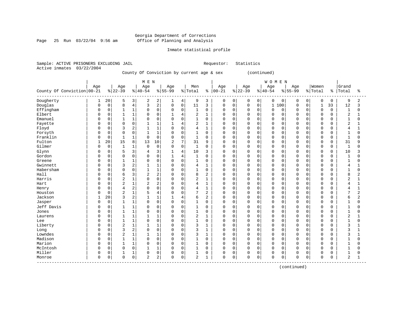Page 25 Run 03/22/04 9:56 am

#### Inmate statistical profile

Sample: ACTIVE PRISONERS EXCLUDING JAIL Requestor: Statistics Active inmates 03/22/2004

County Of Conviction by current age & sex (continued)

|                                     |              |             |                |                | M E N          |                |                |                     |                |                |             |             |          |             | WOMEN       |             |             |             |              |          |                |                |
|-------------------------------------|--------------|-------------|----------------|----------------|----------------|----------------|----------------|---------------------|----------------|----------------|-------------|-------------|----------|-------------|-------------|-------------|-------------|-------------|--------------|----------|----------------|----------------|
|                                     | Age          |             | Age            |                | Age            |                | Age            |                     | Men            |                | Age         |             | Age      |             | Age         |             | Age         |             | Women        |          | Grand          |                |
| County Of Conviction   00-21        |              |             | $ 22-39$       |                | $ 40-54$       |                | $8 55-99$      |                     | % Total        | နွ             | $ 00-21$    |             | $ 22-39$ |             | $ 40-54$    |             | $8 55-99$   |             | % Total      | န္       | Total          | ႜ              |
| Dougherty                           |              | 20          | 5              | 3              | 2              | 2              | 1              | 4                   | 9              | 3              | 0           | 0           | 0        | $\mathbf 0$ | 0           | 0           | 0           | 0           | 0            | 0        | 9              | 2              |
| Douglas                             | $\Omega$     | $\mathsf 0$ | 8              | $\overline{4}$ | 3              | $\overline{2}$ | 0              | 0 <sup>1</sup>      | 11             | 3              | $\mathbf 0$ | $\mathbf 0$ | $\Omega$ | 0           | $\mathbf 1$ | 100         | $\mathbf 0$ | $\mathbf 0$ | $\mathbf{1}$ | 33       | 12             | 3              |
| Effingham                           | <sup>0</sup> | $\mathbf 0$ | $\mathbf{1}$   | 1              | $\mathbf 0$    | $\Omega$       | $\Omega$       | 0                   | $\mathbf 1$    | $\mathbf 0$    | $\Omega$    | $\mathbf 0$ | $\Omega$ | $\Omega$    | $\Omega$    | $\Omega$    | $\mathbf 0$ | $\Omega$    | $\mathbf 0$  | $\Omega$ | $\mathbf{1}$   | $\Omega$       |
| Elbert                              | 0            | $\Omega$    | 1              | $\mathbf{1}$   | $\mathbf 0$    | $\Omega$       | $\mathbf{1}$   | $\overline{4}$      | 2              | $\mathbf{1}$   | $\Omega$    | $\Omega$    | $\Omega$ | $\Omega$    | $\Omega$    | $\Omega$    | $\Omega$    | $\Omega$    | $\Omega$     | $\Omega$ | $\overline{2}$ | 1              |
| Emanuel                             |              | $\mathsf 0$ |                | $1\,$          | 0              | $\mathsf 0$    | $\Omega$       | $\mathbf 0$         | $\mathbf{1}$   | $\mathbf 0$    | $\Omega$    | 0           | $\Omega$ | $\mathbf 0$ | $\mathbf 0$ | $\mathbf 0$ | $\Omega$    | $\Omega$    | $\circ$      | 0        | $\mathbf{1}$   | 0              |
| Fayette                             |              | $\mathbf 0$ | $\Omega$       | $\mathbf 0$    | $\mathbf{1}$   | 1              | $\mathbf{1}$   | 4                   | 2              | $\mathbf{1}$   | $\Omega$    | $\mathbf 0$ | $\Omega$ | $\Omega$    | $\Omega$    | $\Omega$    | $\Omega$    | $\Omega$    | $\mathbf 0$  | $\Omega$ | $\overline{2}$ | $\mathbf{1}$   |
| Floyd                               | $\Omega$     | $\mathbf 0$ | 3              | $\overline{2}$ | $\mathbf{1}$   | $\mathbf{1}$   | $\Omega$       | $\mathbf 0$         | 4              | $\mathbf{1}$   | $\Omega$    | $\Omega$    | $\Omega$ | $\Omega$    | $\Omega$    | $\Omega$    | $\Omega$    | $\Omega$    | $\Omega$     | 0        | 4              | $\mathbf{1}$   |
| Forsyth                             |              | $\mathsf 0$ | $\Omega$       | $\mathbf 0$    |                | $\mathbf{1}$   | 0              | $\mathbf 0$         | 1              | $\mathsf 0$    | $\Omega$    | $\mathbf 0$ | $\Omega$ | $\Omega$    | $\Omega$    | $\mathbf 0$ | $\Omega$    | $\Omega$    | $\mathbf 0$  | 0        | $\mathbf{1}$   | 0              |
| Franklin                            |              | $\mathbf 0$ | $\mathbf{1}$   | $\mathbf{1}$   | $\Omega$       | $\Omega$       | $\Omega$       | $\mathbf 0$         | $\mathbf 1$    | $\mathbf 0$    | $\Omega$    | $\Omega$    | $\Omega$ | $\Omega$    | $\Omega$    | $\Omega$    | $\Omega$    | $\Omega$    | $\mathbf 0$  | $\Omega$ | $\overline{1}$ | $\Omega$       |
| Fulton                              |              | 20          | 15             | 8              | 13             | 10             | $\overline{2}$ | 7                   | 31             | 9              | $\Omega$    | $\Omega$    | $\Omega$ | $\Omega$    | $\Omega$    | $\Omega$    | $\Omega$    | $\Omega$    | $\Omega$     | $\Omega$ | 31             | 9              |
| Gilmer                              | $\Omega$     | $\mathbf 0$ | $\mathbf{1}$   | $\mathbf{1}$   | $\mathbf 0$    | $\mathbf 0$    | $\Omega$       | $\mathsf{O}$        | 1              | $\mathbf 0$    | $\mathbf 0$ | $\mathbf 0$ | $\Omega$ | $\Omega$    | $\Omega$    | $\mathbf 0$ | $\mathbf 0$ | $\Omega$    | $\mathbf 0$  | 0        | $\mathbf{1}$   | $\Omega$       |
| Glynn                               | 0            | 0           | 5              | 3              | 4              | $\overline{3}$ | 1              | $\overline{4}$      | 10             | 3              | $\Omega$    | 0           | $\Omega$ | $\Omega$    | $\Omega$    | $\Omega$    | $\Omega$    | $\Omega$    | $\mathbf 0$  | 0        | 10             | 3              |
| Gordon                              |              | $\mathbf 0$ | $\Omega$       | $\mathbf 0$    | $\Omega$       | $\mathbf 0$    | 1              | 4                   | $\mathbf 1$    | $\mathbf 0$    | $\Omega$    | $\mathbf 0$ | $\Omega$ | $\mathbf 0$ | $\Omega$    | $\mathbf 0$ | 0           | $\Omega$    | $\Omega$     | 0        | $\mathbf 1$    | 0              |
| Greene                              |              | $\mathbf 0$ | 1              | $\mathbf{1}$   | $\Omega$       | $\Omega$       | $\Omega$       | $\mathbf 0$         | $\mathbf{1}$   | 0              | $\Omega$    | 0           | $\Omega$ | $\Omega$    | $\Omega$    | $\Omega$    | $\Omega$    | $\Omega$    | $\Omega$     | $\Omega$ | $\mathbf{1}$   | 0              |
| Gwinnett                            | $\Omega$     | $\mathbf 0$ | 3              | $\overline{2}$ | $\mathbf{1}$   | $\mathbf{1}$   | $\Omega$       | $\mathbf 0$         | $\overline{4}$ | $\mathbf{1}$   | $\mathbf 0$ | $\mathbf 0$ | $\Omega$ | $\Omega$    | $\Omega$    | $\mathbf 0$ | $\mathbf 0$ | $\Omega$    | $\Omega$     | 0        | 4              | 1              |
| Habersham                           |              | $\mathbf 0$ | $\Omega$       | $\mathbf 0$    |                | $\mathbf{1}$   | 0              | $\mathbf 0$         | 1              | $\mathbf 0$    | $\mathbf 0$ | $\mathbf 0$ | $\Omega$ | $\Omega$    | $\Omega$    | $\Omega$    | $\Omega$    | $\Omega$    | $\mathbf 0$  | 0        | $\mathbf{1}$   | $\Omega$       |
| Hall                                | $\Omega$     | $\Omega$    | 6              | $\overline{3}$ | 2              | $\overline{2}$ | $\Omega$       | $\mathbf 0$         | 8              | $\overline{2}$ | $\Omega$    | $\Omega$    | $\Omega$ | $\Omega$    | $\Omega$    | $\Omega$    | $\Omega$    | $\Omega$    | $\Omega$     | $\Omega$ | 8              | $\overline{2}$ |
| Harris                              | $\Omega$     | $\mathbf 0$ | $\overline{2}$ | $1\,$          | $\mathbf 0$    | $\Omega$       | $\Omega$       | $\mathbf 0$         | 2              | $\mathbf{1}$   | $\Omega$    | $\mathbf 0$ | $\Omega$ | $\Omega$    | $\Omega$    | $\Omega$    | $\mathbf 0$ | $\Omega$    | $\mathbf 0$  | $\Omega$ | $\overline{2}$ | 1              |
| Hart                                | $\Omega$     | $\mathbf 0$ | $\overline{2}$ | $1\,$          | 2              | $\overline{2}$ | $\Omega$       | $\mathsf{O}$        | 4              | $\mathbf{1}$   | $\Omega$    | $\mathbf 0$ | $\Omega$ | $\Omega$    | $\mathbf 0$ | $\Omega$    | $\mathbf 0$ | $\Omega$    | $\Omega$     | $\Omega$ | 4              | $\mathbf 1$    |
| Henry                               |              | $\mathbf 0$ | 4              | $\overline{c}$ | $\Omega$       | $\mathbf 0$    | 0              | $\mathbf 0$         | 4              | $\mathbf{1}$   | $\Omega$    | $\mathbf 0$ | $\Omega$ | $\Omega$    | $\Omega$    | $\Omega$    | $\Omega$    | $\Omega$    | $\Omega$     | 0        | 4              | $\mathbf{1}$   |
| Houston                             |              | $\mathbf 0$ | $\overline{c}$ | $\mathbf{1}$   | 5              | $\overline{4}$ | $\Omega$       | $\mathbf 0$         | 7              | $\overline{2}$ | $\Omega$    | 0           | $\Omega$ | $\Omega$    | $\Omega$    | $\mathbf 0$ | $\mathbf 0$ | $\Omega$    | $\circ$      | $\Omega$ | 7              | 2              |
| Jackson                             |              | 20          | 3              | $\overline{2}$ |                | $\mathbf{1}$   | $\mathbf{1}$   | $\overline{4}$      | 6              | 2              | $\Omega$    | $\mathbf 0$ | $\Omega$ | $\Omega$    | $\mathbf 0$ | $\mathbf 0$ | $\Omega$    | $\Omega$    | $\Omega$     | 0        | 6              | 2              |
| Jasper                              | $\Omega$     | $\mathbf 0$ |                | $\mathbf{1}$   | $\mathbf 0$    | $\mathbf 0$    | $\Omega$       | $\mathbf 0$         | 1              | $\mathbf 0$    | $\mathbf 0$ | 0           | $\Omega$ | $\Omega$    | $\Omega$    | $\Omega$    | $\Omega$    | $\Omega$    | $\mathbf 0$  | U        | 1              | $\Omega$       |
| Jeff Davis                          |              | $\mathbf 0$ |                | 1              | 0              | $\mathbf 0$    | 0              | $\mathbf 0$         | 1              | 0              | $\Omega$    | 0           | $\Omega$ | $\Omega$    | $\Omega$    | $\Omega$    | $\Omega$    | $\Omega$    | 0            | 0        | 1              | 0              |
| Jones                               |              | $\mathbf 0$ | $\mathbf{1}$   | $\mathbf{1}$   | $\mathbf 0$    | $\Omega$       | $\Omega$       | $\mathbf 0$         | $\mathbf{1}$   | $\mathbf 0$    | $\Omega$    | $\mathbf 0$ | $\Omega$ | $\Omega$    | $\Omega$    | $\Omega$    | $\Omega$    | $\Omega$    | $\mathbf 0$  | U        | $\overline{1}$ | $\Omega$       |
| Laurens                             | <sup>0</sup> | $\Omega$    | $\mathbf{1}$   | $\mathbf{1}$   | $\mathbf{1}$   | $\mathbf{1}$   | $\Omega$       | $\mathbf 0$         | 2              | $\mathbf{1}$   | $\Omega$    | $\Omega$    | $\Omega$ | $\Omega$    | $\Omega$    | $\Omega$    | $\Omega$    | $\Omega$    | $\mathbf 0$  | $\Omega$ | 2              | 1              |
| Lee                                 | 0            | $\Omega$    | 1              | $\mathbf{1}$   | $\mathbf 0$    | $\Omega$       | $\Omega$       | $\mathbf 0$         | $\mathbf{1}$   | $\mathbf 0$    | $\Omega$    | $\Omega$    | $\Omega$ | $\Omega$    | $\Omega$    | $\Omega$    | $\Omega$    | $\Omega$    | $\Omega$     | 0        | $\mathbf{1}$   | 0              |
| Liberty                             |              | $\mathbf 0$ | $\overline{2}$ | $\mathbf{1}$   |                | $\mathbf{1}$   | 0              | $\mathbf 0$         | 3              | $\mathbf{1}$   | $\Omega$    | $\mathbf 0$ | $\Omega$ | $\mathbf 0$ | $\Omega$    | $\mathbf 0$ | $\Omega$    | $\mathbf 0$ | $\circ$      | 0        | 3              | 1              |
| Long                                |              | $\mathbf 0$ | ζ              | $\overline{c}$ | $\mathbf 0$    | $\Omega$       | $\Omega$       | $\mathbf 0$         | 3              | $\mathbf{1}$   | $\Omega$    | $\mathbf 0$ | $\Omega$ | $\Omega$    | $\Omega$    | $\Omega$    | $\mathbf 0$ | $\Omega$    | $\mathbf 0$  | $\Omega$ | 3              | $\mathbf{1}$   |
| Lowndes                             | $\Omega$     | $\mathbf 0$ | $\overline{c}$ | $\mathbf{1}$   | $\mathbf{1}$   | $\mathbf{1}$   | 0              | $\mathbf 0$         | 3              | $\mathbf{1}$   | $\Omega$    | 0           | $\Omega$ | $\Omega$    | $\Omega$    | $\Omega$    | $\Omega$    | $\Omega$    | $\Omega$     | $\Omega$ | 3              | $\mathbf{1}$   |
| Madison                             | $\Omega$     | $\mathbf 0$ |                | $1\,$          | $\mathbf 0$    | $\mathbf 0$    | 0              | $\mathbf 0$         | 1              | $\mathbf 0$    | $\mathbf 0$ | $\mathbf 0$ | $\Omega$ | $\Omega$    | $\mathbf 0$ | $\Omega$    | 0           | $\Omega$    | $\mathbf 0$  | 0        | $\mathbf{1}$   | 0              |
| Marion                              | $\Omega$     | $\Omega$    | $\mathbf{1}$   | $\mathbf{1}$   | $\mathbf 0$    | $\Omega$       | $\Omega$       | $\mathbf 0$         | $\mathbf{1}$   | $\mathbf 0$    | $\Omega$    | $\mathbf 0$ | $\Omega$ | $\Omega$    | $\Omega$    | $\Omega$    | $\Omega$    | $\Omega$    | $\mathbf 0$  | $\Omega$ | $\mathbf{1}$   | $\Omega$       |
| McIntosh                            | $\Omega$     | $\Omega$    | $\Omega$       | $\Omega$       | $\mathbf 1$    | $\mathbf{1}$   | $\Omega$       | $\mathbf 0$         | 1              | $\Omega$       | $\Omega$    | $\Omega$    | $\Omega$ | $\Omega$    | $\Omega$    | $\Omega$    | $\Omega$    | $\Omega$    | $\Omega$     | $\Omega$ | $\mathbf{1}$   | 0              |
| Miller                              | 0            | $\mathbf 0$ |                | 1              | 0              | $\mathbf 0$    | 0              | $\mathbf 0$         | 1              | 0              | $\mathbf 0$ | 0           | 0        | $\mathbf 0$ | $\mathbf 0$ | $\mathbf 0$ | 0           | $\mathbf 0$ | 0            | O        |                | 0              |
| Monroe<br>------------------------- | $\Omega$     | 0           | $\Omega$       | $\mathsf 0$    | $\overline{2}$ | 2              | $\Omega$       | $\mathsf{O}\xspace$ | 2              | $\mathbf 1$    | $\mathbf 0$ | 0           | $\Omega$ | 0           | $\mathbf 0$ | 0           | $\Omega$    | 0           | $\Omega$     | 0        | $\overline{2}$ | $\mathbf{1}$   |

(continued)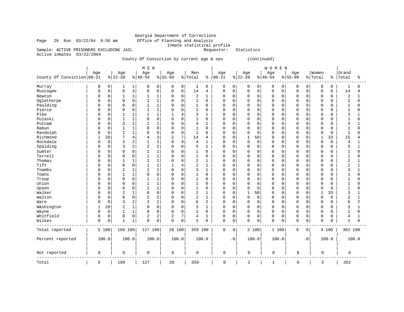# Georgia Department of Corrections<br>Office of Planning and Analysis Inmate statistical profile<br>Requestor: Statistics

Page 26 Run 03/22/04 9:56 am Sample: ACTIVE PRISONERS EXCLUDING JAIL

Active inmates 03/22/2004

County Of Conviction by current age & sex (continued)

|                            |              |             |                 |                | M E N            |                |                    |                     |                |              |                  |             |                  |             | WOMEN            |             |                    |             |                  |             |                |                |
|----------------------------|--------------|-------------|-----------------|----------------|------------------|----------------|--------------------|---------------------|----------------|--------------|------------------|-------------|------------------|-------------|------------------|-------------|--------------------|-------------|------------------|-------------|----------------|----------------|
| County Of Conviction 00-21 | Age          |             | Age<br>$ 22-39$ |                | Age<br>$8 40-54$ |                | Age<br>$8155 - 99$ |                     | Men<br>% Total | ి            | Age<br>$00 - 21$ |             | Age<br>$8 22-39$ |             | Age<br>$8 40-54$ |             | Age<br>$8155 - 99$ |             | Women<br>% Total | ి           | Grand<br>Total | နွ             |
| Murray                     | $\Omega$     | 0           | 1               | 1              | 0                | 0              | 0                  | 0                   | 1              | 0            | 0                | 0           | 0                | 0           | 0                | 0           | 0                  | 0           | 0                | 0           | 1              | 0              |
| Muscogee                   | $\Omega$     | $\mathsf 0$ | 6               | 3              | 8                | 6              | $\mathbf 0$        | $\mathsf{O}\xspace$ | 14             | 4            | $\mathsf 0$      | $\mathbf 0$ | $\mathbf 0$      | $\mathbf 0$ | $\mathbf 0$      | 0           | 0                  | 0           | 0                | 0           | 14             | $\overline{4}$ |
| Newton                     | 0            | 0           |                 | 1              | 1                | 1              | 0                  | 0                   | 2              | 1            | $\Omega$         | 0           | $\Omega$         | $\mathbf 0$ | 0                | $\mathbf 0$ | 0                  | 0           | 0                | 0           | 2              | 1              |
| Oglethorpe                 | <sup>0</sup> | $\mathbf 0$ | $\Omega$        | $\mathbf 0$    | $\mathbf{1}$     | $\mathbf{1}$   | 0                  | $\mathbf 0$         | $\mathbf{1}$   | 0            | $\Omega$         | 0           | $\Omega$         | $\Omega$    | $\mathbf 0$      | $\mathbf 0$ | $\Omega$           | $\Omega$    | $\Omega$         | 0           | 1              | $\Omega$       |
| Paulding                   | n            | 0           | $\Omega$        | $\mathbf 0$    | $\mathbf{1}$     | 1              | 0                  | $\mathbf 0$         | 1              | $\Omega$     | 0                | 0           | $\Omega$         | $\mathbf 0$ | $\mathbf 0$      | $\mathbf 0$ | $\Omega$           | $\mathbf 0$ | 0                | 0           | 1              | $\Omega$       |
| Pierce                     | <sup>0</sup> | $\mathbf 0$ | $\Omega$        | $\mathbf 0$    | $\mathbf{1}$     | $\mathbf{1}$   | 0                  | $\mathbf 0$         | $\mathbf{1}$   | $\Omega$     | $\Omega$         | $\Omega$    | $\Omega$         | $\Omega$    | $\mathbf 0$      | $\mathbf 0$ | O                  | $\Omega$    | $\Omega$         | O           |                | $\Omega$       |
| Pike                       | <sup>0</sup> | 0           | 1               | 1              | 1                | $\mathbf{1}$   | 1                  | 4                   | 3              | 1            | 0                | 0           | $\Omega$         | $\mathbf 0$ | $\mathbf 0$      | $\mathbf 0$ | 0                  | $\mathbf 0$ | 0                | 0           | 3              | 1              |
| Pulaski                    |              | 0           | $\mathbf{1}$    | $\mathbf{1}$   | $\Omega$         | $\mathbf 0$    | 0                  | $\mathbf 0$         | 1              | 0            | $\Omega$         | $\Omega$    | $\Omega$         | $\Omega$    | $\mathbf 0$      | 0           | $\Omega$           | $\Omega$    | $\Omega$         | 0           | 1              | $\Omega$       |
| Putnam                     | $\Omega$     | $\mathbf 0$ | 3               | $\overline{c}$ | 1                | 1              | 0                  | $\mathbf 0$         | 4              | 1            | $\Omega$         | 0           | $\Omega$         | $\Omega$    | $\Omega$         | 0           | $\Omega$           | $\Omega$    | $\Omega$         | 0           | 4              |                |
| Rabun                      | <sup>0</sup> | $\mathbf 0$ | 1               | $\mathbf{1}$   | 0                | $\Omega$       | 0                  | $\mathbf 0$         | 1              | $\Omega$     | $\Omega$         | $\Omega$    | $\Omega$         | 0           | $\mathbf 0$      | $\mathbf 0$ | 0                  | 0           | $\Omega$         | 0           | 1              | $\Omega$       |
| Randolph                   | <sup>0</sup> | $\mathbf 0$ |                 | $\mathbf{1}$   | $\Omega$         | $\mathbf 0$    | $\Omega$           | $\mathbf 0$         | $\mathbf{1}$   | $\Omega$     | $\Omega$         | $\mathbf 0$ | $\Omega$         | $\mathbf 0$ | $\Omega$         | 0           | O                  | $\mathbf 0$ | $\Omega$         | 0           | $\mathbf{1}$   | $\Omega$       |
| Richmond                   | 1            | 20          | 7               | $\overline{4}$ | 4                | 3              | 2                  | $7\phantom{.0}$     | 14             | 4            | $\Omega$         | 0           | 1                | 50          | 0                | 0           | $\Omega$           | 0           | $\mathbf{1}$     | 33          | 15             | 4              |
| Rockdale                   | $\Omega$     | $\mathsf 0$ | 3               | $\overline{2}$ | 1                | $\mathbf{1}$   | $\Omega$           | $\mathbf 0$         | 4              | 1            | $\Omega$         | $\mathbf 0$ | $\mathbf 0$      | $\mathbf 0$ | $\mathbf 0$      | $\mathbf 0$ | O                  | $\Omega$    | 0                | $\mathbf 0$ | 4              | 1              |
| Spalding                   | <sup>0</sup> | $\mathbf 0$ | 3               | $\overline{2}$ | $\overline{2}$   | $\overline{c}$ | 0                  | $\mathbf 0$         | 5              | 1            | 0                | 0           | $\Omega$         | $\mathbf 0$ | $\mathbf 0$      | $\mathbf 0$ | $\Omega$           | $\mathbf 0$ | 0                | 0           | 5              | 1              |
| Sumter                     | <sup>0</sup> | 0           | $\Omega$        | $\mathsf 0$    | 1                | $\mathbf{1}$   | 0                  | $\mathbf 0$         | 1              | 0            | 0                | 0           | 0                | $\mathbf 0$ | 0                | 0           | 0                  | $\mathbf 0$ | 0                | 0           |                | $\Omega$       |
| Terrell                    | n            | $\mathbf 0$ | $\Omega$        | $\mathbf 0$    | $\mathbf{1}$     | $\mathbf{1}$   | $\Omega$           | $\mathbf 0$         | $\mathbf{1}$   | 0            | $\Omega$         | 0           | $\Omega$         | $\mathbf 0$ | $\Omega$         | 0           | $\Omega$           | $\mathbf 0$ | $\Omega$         | 0           | 1              | $\Omega$       |
| Thomas                     | <sup>0</sup> | $\mathbf 0$ |                 | $\mathbf{1}$   | $\mathbf 1$      | $\mathbf{1}$   | 0                  | $\mathbf 0$         | 2              | 1            | $\Omega$         | $\Omega$    | $\Omega$         | $\Omega$    | $\mathbf 0$      | 0           | 0                  | $\Omega$    | $\Omega$         | 0           | 2              | $\mathbf{1}$   |
| Tift                       | <sup>0</sup> | $\mathbf 0$ | $\Omega$        | $\mathbf 0$    | $\mathbf{1}$     | $\mathbf{1}$   | $\mathbf{1}$       | 4                   | 2              | 1            | $\Omega$         | 0           | $\mathbf 0$      | $\mathbf 0$ | $\mathbf 0$      | $\mathbf 0$ | O                  | $\mathbf 0$ | 0                | 0           | $\overline{2}$ | $\mathbf{1}$   |
| Toombs                     | <sup>0</sup> | $\mathbf 0$ | $\overline{2}$  | $\mathbf{1}$   | $\mathbf{1}$     | $\mathbf{1}$   | $\Omega$           | $\mathbf 0$         | 3              | $\mathbf{1}$ | $\Omega$         | 0           | $\Omega$         | $\mathbf 0$ | $\Omega$         | 0           | O                  | $\Omega$    | $\Omega$         | 0           | 3              | 1              |
| Towns                      | <sup>0</sup> | 0           |                 | 1              | $\mathbf 0$      | $\mathbf 0$    | 0                  | $\mathbf 0$         | 1              | 0            | 0                | 0           | $\Omega$         | 0           | $\mathbf 0$      | 0           | 0                  | 0           | $\Omega$         | 0           | 1              | $\Omega$       |
| Troup                      | n            | $\mathbf 0$ | $\Omega$        | $\mathbf 0$    | $\mathbf{1}$     | $\mathbf{1}$   | 0                  | $\mathbf 0$         | 1              | 0            | $\Omega$         | $\Omega$    | $\Omega$         | $\Omega$    | $\mathbf 0$      | $\mathbf 0$ | $\Omega$           | $\Omega$    | $\Omega$         | 0           |                | $\Omega$       |
| Union                      | <sup>0</sup> | $\mathbf 0$ | 0               | $\mathbf 0$    | 1                | $\mathbf{1}$   | 0                  | $\mathbf 0$         | 1              | 0            | 0                | 0           | 0                | $\mathbf 0$ | $\mathbf 0$      | 0           | 0                  | $\mathbf 0$ | 0                | 0           | 1              | $\Omega$       |
| Upson                      |              | 0           | O               | $\mathbf 0$    | $\mathbf{1}$     | $\mathbf{1}$   | 0                  | $\mathbf 0$         | $\mathbf 1$    | 0            | $\Omega$         | 0           | $\mathbf 0$      | $\mathbf 0$ | $\mathbf 0$      | 0           | 0                  | 0           | $\Omega$         | 0           | 1              | $\Omega$       |
| Walker                     | $\Omega$     | $\mathbf 0$ | $\overline{2}$  | $\mathbf{1}$   | $\Omega$         | $\mathbf 0$    | 0                  | $\mathbf 0$         | 2              | $\mathbf{1}$ | $\Omega$         | 0           | $\mathbf 1$      | 50          | $\mathbf 0$      | 0           | $\Omega$           | $\Omega$    | $\mathbf{1}$     | 33          | 3              | $\mathbf{1}$   |
| Walton                     | <sup>0</sup> | $\mathbf 0$ | $\Omega$        | $\mathbf 0$    | $\overline{2}$   | $\overline{2}$ | 0                  | $\mathbf 0$         | 2              | $\mathbf{1}$ | $\Omega$         | 0           | 0                | $\mathbf 0$ | $\mathbf 0$      | $\mathbf 0$ | 0                  | 0           | 0                | 0           | 2              | 1              |
| Ware                       | <sup>0</sup> | $\mathbf 0$ | 3               | $\overline{c}$ | 3                | $\overline{c}$ | $\Omega$           | $\mathsf 0$         | 6              | 2            | $\Omega$         | $\mathbf 0$ | $\Omega$         | $\mathbf 0$ | $\mathbf 0$      | 0           | 0                  | $\mathbf 0$ | $\Omega$         | 0           | 6              | $\overline{2}$ |
| Washington                 |              | 20          | 2               | 1              | $\Omega$         | $\mathbf 0$    | $\Omega$           | $\mathbf 0$         | 3              | $\mathbf{1}$ | $\Omega$         | $\Omega$    | $\Omega$         | $\Omega$    | $\Omega$         | 0           | 0                  | $\Omega$    | $\Omega$         | 0           | 3              | 1              |
| Wayne                      | $\Omega$     | 0           |                 | $\mathbf{1}$   | 0                | $\mathbf 0$    | 0                  | $\mathbf 0$         | 1              | 0            | 0                | 0           | $\mathbf 0$      | $\mathbf 0$ | $\mathbf 0$      | 0           | $\Omega$           | 0           | 0                | 0           |                | $\Omega$       |
| Whitfield                  | 0            | 0           | $\Omega$        | $\mathbf 0$    | 2                | $\overline{2}$ | 2                  | 7                   | 4              | $\mathbf{1}$ | $\mathbf 0$      | 0           | $\mathbf 0$      | $\mathbf 0$ | $\mathbf 0$      | $\mathbf 0$ | 0                  | 0           | 0                | 0           | 4              | 1              |
| Wilkes                     | $\Omega$     | 0           |                 | 1              | $\mathbf 0$      | $\mathbf 0$    | 0                  | $\mathbf 0$         | 1              | 0            | $\mathbf 0$      | 0           | $\mathbf 0$      | $\mathbf 0$ | $\mathbf 0$      | 0           | 0                  | $\mathbf 0$ | $\Omega$         | 0           |                | $\mathbf 0$    |
| Total reported             |              | 5 100       | 199 100         |                | 127 100          |                | 28 100             |                     | 359 100        |              | $\mathbf 0$      | $\mathbf 0$ | 2 100            |             | 1 100            |             | 0                  | 0           | 3 100            |             | 362 100        |                |
| Percent reported           |              | 100.0       | 100.0           |                | 100.0            |                | 100.0              |                     | 100.0          |              |                  | $\cdot$ 0   | 100.0            |             | 100.0            |             |                    | $\cdot$ 0   | 100.0            |             |                | 100.0          |
| Not reported               | $\mathbf 0$  |             | $\mathbf 0$     |                | 0                |                | 0                  |                     | 0              |              | $\mathbf 0$      |             | 0                |             | 0                |             | 0                  |             | 0                |             | 0              |                |
| Total                      | 5            |             | 199             |                | 127              |                | 28                 |                     | 359            |              | $\mathbf 0$      |             | 2                |             | $\mathbf{1}$     |             | $\mathbf 0$        |             | 3                |             | 362            |                |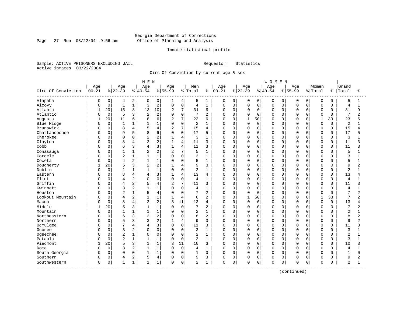Page 27 Run 03/22/04 9:56 am

#### Inmate statistical profile

Sample: ACTIVE PRISONERS EXCLUDING JAIL Requestor: Statistics Active inmates 03/22/2004

Circ Of Conviction by current age & sex

| Age<br>Age<br>Women<br>Grand<br>Age<br>Age<br>Men<br>Age<br>Age<br>Age<br>Age<br>Circ Of Conviction<br>$00 - 21$<br>$ 22-39$<br>$ 40-54$<br>$8 55-99$<br>$00 - 21$<br>$ 22-39$<br>$8 55-99$<br>% Total<br>$ 40-54$<br>% Total<br>Total<br>ႜ<br>နွ<br>Alapaha<br>0<br>2<br>0<br>0<br>0<br>0<br>$\mathbf 0$<br>5<br>0<br>0<br>4<br>5<br>0<br>0<br>0<br>0<br>0<br>4<br>1<br>0<br>1<br>$1\,$<br>$\overline{c}$<br>$\mathsf 0$<br>Alcovy<br>$\mathbf 0$<br>$\mathbf{1}$<br>3<br>$\mathbf 0$<br>$1\,$<br>$\mathbf 0$<br>$\mathbf 0$<br>$\mathbf 0$<br>$\mathbf 0$<br>$\overline{4}$<br>0<br>$\mathbf 0$<br>0<br>$\Omega$<br>$\Omega$<br>0<br>4<br>O<br>7<br>20<br>15<br>8<br>10<br>9<br>Atlanta<br>13<br>$\overline{2}$<br>31<br>0<br>$\mathbf 0$<br>$\mathbf 0$<br>0<br>$\Omega$<br>$\mathbf 0$<br>31<br>0<br>$\Omega$<br>$\Omega$<br>0<br>Atlantic<br>$\mathbf 0$<br>5<br>3<br>$\overline{c}$<br>$\mathbf 0$<br>7<br>$\overline{2}$<br>7<br>$\overline{2}$<br>$\Omega$<br>$\Omega$<br>$\mathbf 0$<br>0<br>$\Omega$<br>$\Omega$<br>$\Omega$<br>$\Omega$<br>$\Omega$<br>$\Omega$<br>$\cap$<br>7<br>20<br>6<br>6<br>22<br>Augusta<br>11<br>2<br>$\Omega$<br>$\mathbf{1}$<br>50<br>$\Omega$<br>$\mathbf{1}$<br>33<br>23<br>8<br>6<br><sup>0</sup><br>$\Omega$<br>U<br>n<br>$\mathbf 0$<br>$\mathbf 0$<br>$\mathbf 1$<br>$\mathbf{1}$<br>$\overline{2}$<br>Blue Ridge<br>$\mathbf{1}$<br>$\mathbf 0$<br>$\mathbf 0$<br>0<br>$\Omega$<br>$\Omega$<br>$\Omega$<br>$\mathbf 0$<br>$\Omega$<br>2<br>$\mathbf{1}$<br>0<br>$\Omega$<br>$\Omega$<br>C<br>7<br>Brunswick<br>4<br>4<br>$\overline{2}$<br>15<br>15<br>0<br>8<br>0<br>$\mathbf 0$<br>$\Omega$<br>$\mathbf 0$<br>$\mathbf 0$<br>4<br>0<br>0<br>0<br>$\Omega$<br>n<br>Chattahoochee<br>5<br>6<br>$\mathbf 0$<br>17<br>17<br>0<br>9<br>8<br>$\Omega$<br>5<br>$\Omega$<br>$\Omega$<br>$\Omega$<br>$\Omega$<br>0<br>0<br>0<br>$\Omega$<br>$\Omega$<br>$\Omega$<br>$\overline{2}$<br>Cherokee<br>$\overline{4}$<br>0<br>3<br>$\Omega$<br>$\mathbf 0$<br>3<br>0<br>$\Omega$<br>2<br>0<br>0<br>0<br>$\Omega$<br>0<br>$\Omega$<br>$\Omega$<br>0<br>2<br>Clayton<br>8<br>4<br>4<br>11<br>0<br>$\Omega$<br>0<br>3<br>$\Omega$<br>$\Omega$<br>0<br>$\Omega$<br>0<br>$\mathbf 0$<br>11<br>$\Omega$<br>$\cap$<br>3<br>3<br>4<br>Cobb<br>0<br>6<br>11<br>3<br>$\Omega$<br>$\Omega$<br>$\Omega$<br>11<br>$\mathbf{1}$<br>$\Omega$<br>$\Omega$<br>0<br>$\Omega$<br>$\Omega$<br>$\Omega$<br>$\Omega$<br>4<br>С<br>2<br>7<br>$\mathbf{1}$<br>$\overline{2}$<br>5<br>0<br>$\overline{2}$<br>5<br>$\mathbf{1}$<br>$\Omega$<br>$\Omega$<br>$\Omega$<br>$\mathbf 0$<br>Conasauga<br>-1<br>0<br>0<br>$\Omega$<br>$\Omega$<br>$\Omega$<br>$\Omega$<br>С<br>$1\,$<br>Cordele<br>0<br>$\overline{2}$<br>1<br>0<br>$\Omega$<br>$\Omega$<br>3<br>$\mathbf{1}$<br>$\Omega$<br>$\mathbf 0$<br>0<br>0<br>0<br>0<br>$\Omega$<br>3<br>$\Omega$<br>0<br>2<br>$1\,$<br>5<br>Coweta<br>0<br>$\mathbf{1}$<br>$\Omega$<br>5<br>$\Omega$<br>$\mathbf 0$<br>4<br>$\cap$<br>1<br>0<br>$\Omega$<br>0<br>$\Omega$<br>0<br>$\cap$<br>$\cap$<br>$\Omega$<br>Dougherty<br>5<br>3<br>$\overline{2}$<br>20<br>$\overline{4}$<br>9<br>3<br>$\Omega$<br>9<br>0<br>0<br>0<br>$\Omega$<br>$\cap$<br>0<br>0<br>$\Omega$<br>0<br>Dublin<br>$\mathbf{1}$<br>$\mathbf 0$<br>1<br>$\mathbf 0$<br>2<br>$\Omega$<br>$\mathbf 0$<br>2<br>1<br>$\Omega$<br>$\mathbf{1}$<br>0<br>$\Omega$<br>0<br>$\Omega$<br>0<br>0<br>$\cap$<br>$\Omega$<br>8<br>3<br>$\overline{4}$<br>0<br>4<br>13<br>$\Omega$<br>$\Omega$<br>13<br>Eastern<br>$\mathbf{1}$<br>$\Omega$<br>0<br>$\Omega$<br>$\Omega$<br>$\Omega$<br>$\Omega$<br>4<br>4<br>0<br>$\Omega$<br>$\overline{c}$<br>$\mathbf 0$<br>$\mathbf 0$<br>Flint<br>$\Omega$<br>0<br>$\overline{4}$<br>$\mathbf{1}$<br>$\mathbf 0$<br>0<br>$\Omega$<br>$\Omega$<br>$\Omega$<br>$\Omega$<br>$\mathbf 0$<br>$\mathbf 0$<br>4<br>4<br>$\Omega$<br>0<br>$\Omega$<br>C<br>Griffin<br>2<br>7<br>4<br>$\overline{2}$<br>$\Omega$<br>$\mathbf 0$<br>0<br>11<br>3<br>$\Omega$<br>$\Omega$<br>0<br>$\Omega$<br>0<br>$\Omega$<br>$\Omega$<br>11<br>$\Omega$<br>4<br>$\overline{a}$<br>ζ<br>$\mathbf{1}$<br>$\mathbf 0$<br>$\Omega$<br>$\Omega$<br>Gwinnett<br>0<br>$\mathbf{1}$<br>$\Omega$<br>4<br>$\mathbf{1}$<br>$\Omega$<br>$\mathbf 0$<br>$\mathbf 0$<br>$\Omega$<br>$\Omega$<br>4<br>$\Omega$<br>$\Omega$<br>$\Omega$<br>$\mathbf 1$<br>Houston<br>2<br>$\overline{4}$<br>$\mathbf 0$<br>7<br>$\overline{2}$<br>$\Omega$<br>7<br>0<br>5<br>$\mathbf 0$<br>0<br>$\Omega$<br>$\Omega$<br>0<br>0<br>0<br>$\Omega$<br>$\Omega$<br>$\Omega$<br>$\overline{2}$<br>$\mathbf{1}$<br>6<br>$\mathbf{1}$<br>7<br>Lookout Mountain<br>0<br>1<br>$\mathbf{1}$<br>4<br>2<br>$\Omega$<br>$\mathbf 0$<br>50<br>$\Omega$<br>$\Omega$<br>$\mathbf{1}$<br>33<br>$\overline{4}$<br>$\Omega$<br>$\cap$<br>2<br>0<br>4<br>3<br>11<br>8<br>$\overline{2}$<br>13<br>$\mathbf 0$<br>$\mathbf 0$<br>$\Omega$<br>0<br>$\Omega$<br>0<br>13<br>Macon<br>4<br>$\Omega$<br>$\Omega$<br>$\Omega$<br>$\Omega$<br>በ<br>Middle<br>3<br>20<br>5<br>$\mathbf{1}$<br>$\Omega$<br>$\overline{2}$<br>7<br>$\Omega$<br>$\Omega$<br>$\Omega$<br>$\Omega$<br>$\Omega$<br>$\Omega$<br>$\Omega$<br>7<br>$\Omega$<br>$\Omega$<br>$\Omega$<br>$\Omega$<br>$1\,$<br>Mountain<br>$\mathbf 0$<br>$\mathbf{1}$<br>1<br>$\mathbf 0$<br>2<br>$\Omega$<br>$\Omega$<br>$\overline{2}$<br>$\Omega$<br>$\mathbf{1}$<br>$\Omega$<br>$\mathbf 0$<br>0<br>$\Omega$<br>0<br>$\Omega$<br>$\Omega$<br>$\Omega$<br>3<br>$\overline{c}$<br>Northeastern<br>0<br>6<br>$\overline{a}$<br>$\Omega$<br>8<br>$\overline{2}$<br>$\Omega$<br>$\Omega$<br>8<br>$\Omega$<br>$\Omega$<br>$\Omega$<br>0<br>$\Omega$<br>0<br>$\Omega$<br>$\Omega$<br>$\Omega$<br>$\overline{c}$<br>Northern<br>5<br>3<br>$\overline{4}$<br>3<br>0<br>9<br>$\mathbf 0$<br>$\Omega$<br>$\mathbf 0$<br>9<br>0<br>0<br>0<br>0<br>$\Omega$<br>0<br>$\Omega$<br>3<br>Ocmulgee<br>7<br>$\overline{4}$<br>$\mathbf 0$<br>$\Omega$<br>$\Omega$<br>11<br>3<br>$\Omega$<br>0<br>$\Omega$<br>0<br>$\Omega$<br>11<br>$\Omega$<br><sup>0</sup><br>O<br>$\Omega$<br>$\cap$<br>4<br>$\overline{c}$<br>3<br>$\mathbf 0$<br>$\mathbf 0$<br>Oconee<br>0<br>$\Omega$<br>3<br>$\Omega$<br>$\Omega$<br>$\Omega$<br>3<br>$\cap$<br>$\mathbf{1}$<br>0<br>$\Omega$<br>0<br>$\Omega$<br>$\Omega$<br>$\cap$<br>$\Omega$<br>$\mathbf 1$<br>Ogeechee<br>2<br>0<br>$\mathsf 0$<br>$\overline{2}$<br>0<br>$\mathbf{1}$<br>$\mathbf 0$<br>0<br>$\Omega$<br>$\mathbf 0$<br>2<br>$\Omega$<br>0<br>0<br>0<br>$\Omega$<br>$\Omega$<br>0<br>O<br>$\overline{2}$<br>Pataula<br>$\mathbf{1}$<br>$1\,$<br>$\mathbf 0$<br>3<br>$\mathbf 0$<br>0<br>$\mathbf{1}$<br>$\Omega$<br>0<br>$\mathbf 0$<br>$\Omega$<br>3<br>$\Omega$<br>0<br>0<br>$\cap$<br>$\Omega$<br>0<br>Piedmont<br>3<br>20<br>5<br>$\mathbf{1}$<br>11<br>10<br>3<br>$\mathbf 0$<br>$\Omega$<br>$\mathbf 0$<br>10<br>3<br>0<br>0<br>0<br>$\Omega$<br>0<br>$\Omega$<br>0<br>2<br>$\mathbf 0$<br>3<br>1<br>$\mathbf 0$<br>0<br>$\Omega$<br>$\Omega$<br>$\mathbf 0$<br>4<br>0<br>0<br>0<br>$\Omega$<br>$\Omega$<br>Rome<br>$\Omega$<br>$\mathbf{1}$<br>0<br>4<br>South Georgia<br>0<br>0<br>1<br>$\mathbf 0$<br>$\Omega$<br>$\Omega$<br>$\Omega$<br>$\mathbf{1}$<br>$\Omega$<br>$\mathbf{1}$<br>$\Omega$<br>$\Omega$<br>$\Omega$<br>0<br>$\Omega$<br>0<br>$\Omega$<br>$\mathbf{1}$<br>$\Omega$<br>$\Omega$<br>U |          |  |  | M E N |                |  |  |  |  | <b>WOMEN</b> |  |  |  |                |
|-------------------------------------------------------------------------------------------------------------------------------------------------------------------------------------------------------------------------------------------------------------------------------------------------------------------------------------------------------------------------------------------------------------------------------------------------------------------------------------------------------------------------------------------------------------------------------------------------------------------------------------------------------------------------------------------------------------------------------------------------------------------------------------------------------------------------------------------------------------------------------------------------------------------------------------------------------------------------------------------------------------------------------------------------------------------------------------------------------------------------------------------------------------------------------------------------------------------------------------------------------------------------------------------------------------------------------------------------------------------------------------------------------------------------------------------------------------------------------------------------------------------------------------------------------------------------------------------------------------------------------------------------------------------------------------------------------------------------------------------------------------------------------------------------------------------------------------------------------------------------------------------------------------------------------------------------------------------------------------------------------------------------------------------------------------------------------------------------------------------------------------------------------------------------------------------------------------------------------------------------------------------------------------------------------------------------------------------------------------------------------------------------------------------------------------------------------------------------------------------------------------------------------------------------------------------------------------------------------------------------------------------------------------------------------------------------------------------------------------------------------------------------------------------------------------------------------------------------------------------------------------------------------------------------------------------------------------------------------------------------------------------------------------------------------------------------------------------------------------------------------------------------------------------------------------------------------------------------------------------------------------------------------------------------------------------------------------------------------------------------------------------------------------------------------------------------------------------------------------------------------------------------------------------------------------------------------------------------------------------------------------------------------------------------------------------------------------------------------------------------------------------------------------------------------------------------------------------------------------------------------------------------------------------------------------------------------------------------------------------------------------------------------------------------------------------------------------------------------------------------------------------------------------------------------------------------------------------------------------------------------------------------------------------------------------------------------------------------------------------------------------------------------------------------------------------------------------------------------------------------------------------------------------------------------------------------------------------------------------------------------------------------------------------------------------------------------------------------------------------------------------------------------------------------------------------------------------------------------------------------------------------------------------------------------------------------------------------------------------------------------------------------------------------------------------------------------------------------------------------------------------------------------------------------------------------------------------------------------------------------------------------------------------------------------------------------------------------------------------------------------------------------------------------------------------------------------------------------------------------------------------------------------------------------------------------------------------------------------------------------------------------------------------------------------------------------------------------------------------------------------------------------------------------------------------------------------------------------------------------------------------------------------------------------------------------------------------------------------------------------------------------------------------------------------------------------------------------------------------------------------------------------------------------------------------------------------------------------------------------------------------------------------------------------------------------------------------------------------------------------------------------------------------------------------------------------------------------------------------------------------------------------------------------------------------------------------------------------------------------------------------------------------------------------------------------------------------------------------------------------------------------------------------------------------------------------------------------------------------------------------------------------------------------------------------------------------------------------------------------------------------------------------------------------------------------------------------------------------------------------------------------------------------------------------------------------------------------------------------------------------------------------------------------------------------------------------------------------|----------|--|--|-------|----------------|--|--|--|--|--------------|--|--|--|----------------|
|                                                                                                                                                                                                                                                                                                                                                                                                                                                                                                                                                                                                                                                                                                                                                                                                                                                                                                                                                                                                                                                                                                                                                                                                                                                                                                                                                                                                                                                                                                                                                                                                                                                                                                                                                                                                                                                                                                                                                                                                                                                                                                                                                                                                                                                                                                                                                                                                                                                                                                                                                                                                                                                                                                                                                                                                                                                                                                                                                                                                                                                                                                                                                                                                                                                                                                                                                                                                                                                                                                                                                                                                                                                                                                                                                                                                                                                                                                                                                                                                                                                                                                                                                                                                                                                                                                                                                                                                                                                                                                                                                                                                                                                                                                                                                                                                                                                                                                                                                                                                                                                                                                                                                                                                                                                                                                                                                                                                                                                                                                                                                                                                                                                                                                                                                                                                                                                                                                                                                                                                                                                                                                                                                                                                                                                                                                                                                                                                                                                                                                                                                                                                                                                                                                                                                                                                                                                                                                                                                                                                                                                                                                                                                                                                                                                                                                                                                 |          |  |  |       |                |  |  |  |  |              |  |  |  |                |
|                                                                                                                                                                                                                                                                                                                                                                                                                                                                                                                                                                                                                                                                                                                                                                                                                                                                                                                                                                                                                                                                                                                                                                                                                                                                                                                                                                                                                                                                                                                                                                                                                                                                                                                                                                                                                                                                                                                                                                                                                                                                                                                                                                                                                                                                                                                                                                                                                                                                                                                                                                                                                                                                                                                                                                                                                                                                                                                                                                                                                                                                                                                                                                                                                                                                                                                                                                                                                                                                                                                                                                                                                                                                                                                                                                                                                                                                                                                                                                                                                                                                                                                                                                                                                                                                                                                                                                                                                                                                                                                                                                                                                                                                                                                                                                                                                                                                                                                                                                                                                                                                                                                                                                                                                                                                                                                                                                                                                                                                                                                                                                                                                                                                                                                                                                                                                                                                                                                                                                                                                                                                                                                                                                                                                                                                                                                                                                                                                                                                                                                                                                                                                                                                                                                                                                                                                                                                                                                                                                                                                                                                                                                                                                                                                                                                                                                                                 |          |  |  |       |                |  |  |  |  |              |  |  |  | ႜ              |
|                                                                                                                                                                                                                                                                                                                                                                                                                                                                                                                                                                                                                                                                                                                                                                                                                                                                                                                                                                                                                                                                                                                                                                                                                                                                                                                                                                                                                                                                                                                                                                                                                                                                                                                                                                                                                                                                                                                                                                                                                                                                                                                                                                                                                                                                                                                                                                                                                                                                                                                                                                                                                                                                                                                                                                                                                                                                                                                                                                                                                                                                                                                                                                                                                                                                                                                                                                                                                                                                                                                                                                                                                                                                                                                                                                                                                                                                                                                                                                                                                                                                                                                                                                                                                                                                                                                                                                                                                                                                                                                                                                                                                                                                                                                                                                                                                                                                                                                                                                                                                                                                                                                                                                                                                                                                                                                                                                                                                                                                                                                                                                                                                                                                                                                                                                                                                                                                                                                                                                                                                                                                                                                                                                                                                                                                                                                                                                                                                                                                                                                                                                                                                                                                                                                                                                                                                                                                                                                                                                                                                                                                                                                                                                                                                                                                                                                                                 |          |  |  |       |                |  |  |  |  |              |  |  |  | 1              |
|                                                                                                                                                                                                                                                                                                                                                                                                                                                                                                                                                                                                                                                                                                                                                                                                                                                                                                                                                                                                                                                                                                                                                                                                                                                                                                                                                                                                                                                                                                                                                                                                                                                                                                                                                                                                                                                                                                                                                                                                                                                                                                                                                                                                                                                                                                                                                                                                                                                                                                                                                                                                                                                                                                                                                                                                                                                                                                                                                                                                                                                                                                                                                                                                                                                                                                                                                                                                                                                                                                                                                                                                                                                                                                                                                                                                                                                                                                                                                                                                                                                                                                                                                                                                                                                                                                                                                                                                                                                                                                                                                                                                                                                                                                                                                                                                                                                                                                                                                                                                                                                                                                                                                                                                                                                                                                                                                                                                                                                                                                                                                                                                                                                                                                                                                                                                                                                                                                                                                                                                                                                                                                                                                                                                                                                                                                                                                                                                                                                                                                                                                                                                                                                                                                                                                                                                                                                                                                                                                                                                                                                                                                                                                                                                                                                                                                                                                 |          |  |  |       |                |  |  |  |  |              |  |  |  | $\mathbf{1}$   |
|                                                                                                                                                                                                                                                                                                                                                                                                                                                                                                                                                                                                                                                                                                                                                                                                                                                                                                                                                                                                                                                                                                                                                                                                                                                                                                                                                                                                                                                                                                                                                                                                                                                                                                                                                                                                                                                                                                                                                                                                                                                                                                                                                                                                                                                                                                                                                                                                                                                                                                                                                                                                                                                                                                                                                                                                                                                                                                                                                                                                                                                                                                                                                                                                                                                                                                                                                                                                                                                                                                                                                                                                                                                                                                                                                                                                                                                                                                                                                                                                                                                                                                                                                                                                                                                                                                                                                                                                                                                                                                                                                                                                                                                                                                                                                                                                                                                                                                                                                                                                                                                                                                                                                                                                                                                                                                                                                                                                                                                                                                                                                                                                                                                                                                                                                                                                                                                                                                                                                                                                                                                                                                                                                                                                                                                                                                                                                                                                                                                                                                                                                                                                                                                                                                                                                                                                                                                                                                                                                                                                                                                                                                                                                                                                                                                                                                                                                 |          |  |  |       |                |  |  |  |  |              |  |  |  | 9              |
|                                                                                                                                                                                                                                                                                                                                                                                                                                                                                                                                                                                                                                                                                                                                                                                                                                                                                                                                                                                                                                                                                                                                                                                                                                                                                                                                                                                                                                                                                                                                                                                                                                                                                                                                                                                                                                                                                                                                                                                                                                                                                                                                                                                                                                                                                                                                                                                                                                                                                                                                                                                                                                                                                                                                                                                                                                                                                                                                                                                                                                                                                                                                                                                                                                                                                                                                                                                                                                                                                                                                                                                                                                                                                                                                                                                                                                                                                                                                                                                                                                                                                                                                                                                                                                                                                                                                                                                                                                                                                                                                                                                                                                                                                                                                                                                                                                                                                                                                                                                                                                                                                                                                                                                                                                                                                                                                                                                                                                                                                                                                                                                                                                                                                                                                                                                                                                                                                                                                                                                                                                                                                                                                                                                                                                                                                                                                                                                                                                                                                                                                                                                                                                                                                                                                                                                                                                                                                                                                                                                                                                                                                                                                                                                                                                                                                                                                                 |          |  |  |       |                |  |  |  |  |              |  |  |  | $\overline{a}$ |
|                                                                                                                                                                                                                                                                                                                                                                                                                                                                                                                                                                                                                                                                                                                                                                                                                                                                                                                                                                                                                                                                                                                                                                                                                                                                                                                                                                                                                                                                                                                                                                                                                                                                                                                                                                                                                                                                                                                                                                                                                                                                                                                                                                                                                                                                                                                                                                                                                                                                                                                                                                                                                                                                                                                                                                                                                                                                                                                                                                                                                                                                                                                                                                                                                                                                                                                                                                                                                                                                                                                                                                                                                                                                                                                                                                                                                                                                                                                                                                                                                                                                                                                                                                                                                                                                                                                                                                                                                                                                                                                                                                                                                                                                                                                                                                                                                                                                                                                                                                                                                                                                                                                                                                                                                                                                                                                                                                                                                                                                                                                                                                                                                                                                                                                                                                                                                                                                                                                                                                                                                                                                                                                                                                                                                                                                                                                                                                                                                                                                                                                                                                                                                                                                                                                                                                                                                                                                                                                                                                                                                                                                                                                                                                                                                                                                                                                                                 |          |  |  |       |                |  |  |  |  |              |  |  |  | 6              |
|                                                                                                                                                                                                                                                                                                                                                                                                                                                                                                                                                                                                                                                                                                                                                                                                                                                                                                                                                                                                                                                                                                                                                                                                                                                                                                                                                                                                                                                                                                                                                                                                                                                                                                                                                                                                                                                                                                                                                                                                                                                                                                                                                                                                                                                                                                                                                                                                                                                                                                                                                                                                                                                                                                                                                                                                                                                                                                                                                                                                                                                                                                                                                                                                                                                                                                                                                                                                                                                                                                                                                                                                                                                                                                                                                                                                                                                                                                                                                                                                                                                                                                                                                                                                                                                                                                                                                                                                                                                                                                                                                                                                                                                                                                                                                                                                                                                                                                                                                                                                                                                                                                                                                                                                                                                                                                                                                                                                                                                                                                                                                                                                                                                                                                                                                                                                                                                                                                                                                                                                                                                                                                                                                                                                                                                                                                                                                                                                                                                                                                                                                                                                                                                                                                                                                                                                                                                                                                                                                                                                                                                                                                                                                                                                                                                                                                                                                 |          |  |  |       |                |  |  |  |  |              |  |  |  |                |
|                                                                                                                                                                                                                                                                                                                                                                                                                                                                                                                                                                                                                                                                                                                                                                                                                                                                                                                                                                                                                                                                                                                                                                                                                                                                                                                                                                                                                                                                                                                                                                                                                                                                                                                                                                                                                                                                                                                                                                                                                                                                                                                                                                                                                                                                                                                                                                                                                                                                                                                                                                                                                                                                                                                                                                                                                                                                                                                                                                                                                                                                                                                                                                                                                                                                                                                                                                                                                                                                                                                                                                                                                                                                                                                                                                                                                                                                                                                                                                                                                                                                                                                                                                                                                                                                                                                                                                                                                                                                                                                                                                                                                                                                                                                                                                                                                                                                                                                                                                                                                                                                                                                                                                                                                                                                                                                                                                                                                                                                                                                                                                                                                                                                                                                                                                                                                                                                                                                                                                                                                                                                                                                                                                                                                                                                                                                                                                                                                                                                                                                                                                                                                                                                                                                                                                                                                                                                                                                                                                                                                                                                                                                                                                                                                                                                                                                                                 |          |  |  |       |                |  |  |  |  |              |  |  |  | 4              |
|                                                                                                                                                                                                                                                                                                                                                                                                                                                                                                                                                                                                                                                                                                                                                                                                                                                                                                                                                                                                                                                                                                                                                                                                                                                                                                                                                                                                                                                                                                                                                                                                                                                                                                                                                                                                                                                                                                                                                                                                                                                                                                                                                                                                                                                                                                                                                                                                                                                                                                                                                                                                                                                                                                                                                                                                                                                                                                                                                                                                                                                                                                                                                                                                                                                                                                                                                                                                                                                                                                                                                                                                                                                                                                                                                                                                                                                                                                                                                                                                                                                                                                                                                                                                                                                                                                                                                                                                                                                                                                                                                                                                                                                                                                                                                                                                                                                                                                                                                                                                                                                                                                                                                                                                                                                                                                                                                                                                                                                                                                                                                                                                                                                                                                                                                                                                                                                                                                                                                                                                                                                                                                                                                                                                                                                                                                                                                                                                                                                                                                                                                                                                                                                                                                                                                                                                                                                                                                                                                                                                                                                                                                                                                                                                                                                                                                                                                 |          |  |  |       |                |  |  |  |  |              |  |  |  | 5              |
|                                                                                                                                                                                                                                                                                                                                                                                                                                                                                                                                                                                                                                                                                                                                                                                                                                                                                                                                                                                                                                                                                                                                                                                                                                                                                                                                                                                                                                                                                                                                                                                                                                                                                                                                                                                                                                                                                                                                                                                                                                                                                                                                                                                                                                                                                                                                                                                                                                                                                                                                                                                                                                                                                                                                                                                                                                                                                                                                                                                                                                                                                                                                                                                                                                                                                                                                                                                                                                                                                                                                                                                                                                                                                                                                                                                                                                                                                                                                                                                                                                                                                                                                                                                                                                                                                                                                                                                                                                                                                                                                                                                                                                                                                                                                                                                                                                                                                                                                                                                                                                                                                                                                                                                                                                                                                                                                                                                                                                                                                                                                                                                                                                                                                                                                                                                                                                                                                                                                                                                                                                                                                                                                                                                                                                                                                                                                                                                                                                                                                                                                                                                                                                                                                                                                                                                                                                                                                                                                                                                                                                                                                                                                                                                                                                                                                                                                                 |          |  |  |       |                |  |  |  |  |              |  |  |  |                |
|                                                                                                                                                                                                                                                                                                                                                                                                                                                                                                                                                                                                                                                                                                                                                                                                                                                                                                                                                                                                                                                                                                                                                                                                                                                                                                                                                                                                                                                                                                                                                                                                                                                                                                                                                                                                                                                                                                                                                                                                                                                                                                                                                                                                                                                                                                                                                                                                                                                                                                                                                                                                                                                                                                                                                                                                                                                                                                                                                                                                                                                                                                                                                                                                                                                                                                                                                                                                                                                                                                                                                                                                                                                                                                                                                                                                                                                                                                                                                                                                                                                                                                                                                                                                                                                                                                                                                                                                                                                                                                                                                                                                                                                                                                                                                                                                                                                                                                                                                                                                                                                                                                                                                                                                                                                                                                                                                                                                                                                                                                                                                                                                                                                                                                                                                                                                                                                                                                                                                                                                                                                                                                                                                                                                                                                                                                                                                                                                                                                                                                                                                                                                                                                                                                                                                                                                                                                                                                                                                                                                                                                                                                                                                                                                                                                                                                                                                 |          |  |  |       |                |  |  |  |  |              |  |  |  | 3              |
|                                                                                                                                                                                                                                                                                                                                                                                                                                                                                                                                                                                                                                                                                                                                                                                                                                                                                                                                                                                                                                                                                                                                                                                                                                                                                                                                                                                                                                                                                                                                                                                                                                                                                                                                                                                                                                                                                                                                                                                                                                                                                                                                                                                                                                                                                                                                                                                                                                                                                                                                                                                                                                                                                                                                                                                                                                                                                                                                                                                                                                                                                                                                                                                                                                                                                                                                                                                                                                                                                                                                                                                                                                                                                                                                                                                                                                                                                                                                                                                                                                                                                                                                                                                                                                                                                                                                                                                                                                                                                                                                                                                                                                                                                                                                                                                                                                                                                                                                                                                                                                                                                                                                                                                                                                                                                                                                                                                                                                                                                                                                                                                                                                                                                                                                                                                                                                                                                                                                                                                                                                                                                                                                                                                                                                                                                                                                                                                                                                                                                                                                                                                                                                                                                                                                                                                                                                                                                                                                                                                                                                                                                                                                                                                                                                                                                                                                                 |          |  |  |       |                |  |  |  |  |              |  |  |  | 3              |
|                                                                                                                                                                                                                                                                                                                                                                                                                                                                                                                                                                                                                                                                                                                                                                                                                                                                                                                                                                                                                                                                                                                                                                                                                                                                                                                                                                                                                                                                                                                                                                                                                                                                                                                                                                                                                                                                                                                                                                                                                                                                                                                                                                                                                                                                                                                                                                                                                                                                                                                                                                                                                                                                                                                                                                                                                                                                                                                                                                                                                                                                                                                                                                                                                                                                                                                                                                                                                                                                                                                                                                                                                                                                                                                                                                                                                                                                                                                                                                                                                                                                                                                                                                                                                                                                                                                                                                                                                                                                                                                                                                                                                                                                                                                                                                                                                                                                                                                                                                                                                                                                                                                                                                                                                                                                                                                                                                                                                                                                                                                                                                                                                                                                                                                                                                                                                                                                                                                                                                                                                                                                                                                                                                                                                                                                                                                                                                                                                                                                                                                                                                                                                                                                                                                                                                                                                                                                                                                                                                                                                                                                                                                                                                                                                                                                                                                                                 |          |  |  |       |                |  |  |  |  |              |  |  |  |                |
|                                                                                                                                                                                                                                                                                                                                                                                                                                                                                                                                                                                                                                                                                                                                                                                                                                                                                                                                                                                                                                                                                                                                                                                                                                                                                                                                                                                                                                                                                                                                                                                                                                                                                                                                                                                                                                                                                                                                                                                                                                                                                                                                                                                                                                                                                                                                                                                                                                                                                                                                                                                                                                                                                                                                                                                                                                                                                                                                                                                                                                                                                                                                                                                                                                                                                                                                                                                                                                                                                                                                                                                                                                                                                                                                                                                                                                                                                                                                                                                                                                                                                                                                                                                                                                                                                                                                                                                                                                                                                                                                                                                                                                                                                                                                                                                                                                                                                                                                                                                                                                                                                                                                                                                                                                                                                                                                                                                                                                                                                                                                                                                                                                                                                                                                                                                                                                                                                                                                                                                                                                                                                                                                                                                                                                                                                                                                                                                                                                                                                                                                                                                                                                                                                                                                                                                                                                                                                                                                                                                                                                                                                                                                                                                                                                                                                                                                                 |          |  |  |       |                |  |  |  |  |              |  |  |  |                |
|                                                                                                                                                                                                                                                                                                                                                                                                                                                                                                                                                                                                                                                                                                                                                                                                                                                                                                                                                                                                                                                                                                                                                                                                                                                                                                                                                                                                                                                                                                                                                                                                                                                                                                                                                                                                                                                                                                                                                                                                                                                                                                                                                                                                                                                                                                                                                                                                                                                                                                                                                                                                                                                                                                                                                                                                                                                                                                                                                                                                                                                                                                                                                                                                                                                                                                                                                                                                                                                                                                                                                                                                                                                                                                                                                                                                                                                                                                                                                                                                                                                                                                                                                                                                                                                                                                                                                                                                                                                                                                                                                                                                                                                                                                                                                                                                                                                                                                                                                                                                                                                                                                                                                                                                                                                                                                                                                                                                                                                                                                                                                                                                                                                                                                                                                                                                                                                                                                                                                                                                                                                                                                                                                                                                                                                                                                                                                                                                                                                                                                                                                                                                                                                                                                                                                                                                                                                                                                                                                                                                                                                                                                                                                                                                                                                                                                                                                 |          |  |  |       |                |  |  |  |  |              |  |  |  | $\mathbf{1}$   |
|                                                                                                                                                                                                                                                                                                                                                                                                                                                                                                                                                                                                                                                                                                                                                                                                                                                                                                                                                                                                                                                                                                                                                                                                                                                                                                                                                                                                                                                                                                                                                                                                                                                                                                                                                                                                                                                                                                                                                                                                                                                                                                                                                                                                                                                                                                                                                                                                                                                                                                                                                                                                                                                                                                                                                                                                                                                                                                                                                                                                                                                                                                                                                                                                                                                                                                                                                                                                                                                                                                                                                                                                                                                                                                                                                                                                                                                                                                                                                                                                                                                                                                                                                                                                                                                                                                                                                                                                                                                                                                                                                                                                                                                                                                                                                                                                                                                                                                                                                                                                                                                                                                                                                                                                                                                                                                                                                                                                                                                                                                                                                                                                                                                                                                                                                                                                                                                                                                                                                                                                                                                                                                                                                                                                                                                                                                                                                                                                                                                                                                                                                                                                                                                                                                                                                                                                                                                                                                                                                                                                                                                                                                                                                                                                                                                                                                                                                 |          |  |  |       |                |  |  |  |  |              |  |  |  | 2              |
|                                                                                                                                                                                                                                                                                                                                                                                                                                                                                                                                                                                                                                                                                                                                                                                                                                                                                                                                                                                                                                                                                                                                                                                                                                                                                                                                                                                                                                                                                                                                                                                                                                                                                                                                                                                                                                                                                                                                                                                                                                                                                                                                                                                                                                                                                                                                                                                                                                                                                                                                                                                                                                                                                                                                                                                                                                                                                                                                                                                                                                                                                                                                                                                                                                                                                                                                                                                                                                                                                                                                                                                                                                                                                                                                                                                                                                                                                                                                                                                                                                                                                                                                                                                                                                                                                                                                                                                                                                                                                                                                                                                                                                                                                                                                                                                                                                                                                                                                                                                                                                                                                                                                                                                                                                                                                                                                                                                                                                                                                                                                                                                                                                                                                                                                                                                                                                                                                                                                                                                                                                                                                                                                                                                                                                                                                                                                                                                                                                                                                                                                                                                                                                                                                                                                                                                                                                                                                                                                                                                                                                                                                                                                                                                                                                                                                                                                                 |          |  |  |       |                |  |  |  |  |              |  |  |  |                |
|                                                                                                                                                                                                                                                                                                                                                                                                                                                                                                                                                                                                                                                                                                                                                                                                                                                                                                                                                                                                                                                                                                                                                                                                                                                                                                                                                                                                                                                                                                                                                                                                                                                                                                                                                                                                                                                                                                                                                                                                                                                                                                                                                                                                                                                                                                                                                                                                                                                                                                                                                                                                                                                                                                                                                                                                                                                                                                                                                                                                                                                                                                                                                                                                                                                                                                                                                                                                                                                                                                                                                                                                                                                                                                                                                                                                                                                                                                                                                                                                                                                                                                                                                                                                                                                                                                                                                                                                                                                                                                                                                                                                                                                                                                                                                                                                                                                                                                                                                                                                                                                                                                                                                                                                                                                                                                                                                                                                                                                                                                                                                                                                                                                                                                                                                                                                                                                                                                                                                                                                                                                                                                                                                                                                                                                                                                                                                                                                                                                                                                                                                                                                                                                                                                                                                                                                                                                                                                                                                                                                                                                                                                                                                                                                                                                                                                                                                 |          |  |  |       |                |  |  |  |  |              |  |  |  | 4              |
|                                                                                                                                                                                                                                                                                                                                                                                                                                                                                                                                                                                                                                                                                                                                                                                                                                                                                                                                                                                                                                                                                                                                                                                                                                                                                                                                                                                                                                                                                                                                                                                                                                                                                                                                                                                                                                                                                                                                                                                                                                                                                                                                                                                                                                                                                                                                                                                                                                                                                                                                                                                                                                                                                                                                                                                                                                                                                                                                                                                                                                                                                                                                                                                                                                                                                                                                                                                                                                                                                                                                                                                                                                                                                                                                                                                                                                                                                                                                                                                                                                                                                                                                                                                                                                                                                                                                                                                                                                                                                                                                                                                                                                                                                                                                                                                                                                                                                                                                                                                                                                                                                                                                                                                                                                                                                                                                                                                                                                                                                                                                                                                                                                                                                                                                                                                                                                                                                                                                                                                                                                                                                                                                                                                                                                                                                                                                                                                                                                                                                                                                                                                                                                                                                                                                                                                                                                                                                                                                                                                                                                                                                                                                                                                                                                                                                                                                                 |          |  |  |       |                |  |  |  |  |              |  |  |  |                |
|                                                                                                                                                                                                                                                                                                                                                                                                                                                                                                                                                                                                                                                                                                                                                                                                                                                                                                                                                                                                                                                                                                                                                                                                                                                                                                                                                                                                                                                                                                                                                                                                                                                                                                                                                                                                                                                                                                                                                                                                                                                                                                                                                                                                                                                                                                                                                                                                                                                                                                                                                                                                                                                                                                                                                                                                                                                                                                                                                                                                                                                                                                                                                                                                                                                                                                                                                                                                                                                                                                                                                                                                                                                                                                                                                                                                                                                                                                                                                                                                                                                                                                                                                                                                                                                                                                                                                                                                                                                                                                                                                                                                                                                                                                                                                                                                                                                                                                                                                                                                                                                                                                                                                                                                                                                                                                                                                                                                                                                                                                                                                                                                                                                                                                                                                                                                                                                                                                                                                                                                                                                                                                                                                                                                                                                                                                                                                                                                                                                                                                                                                                                                                                                                                                                                                                                                                                                                                                                                                                                                                                                                                                                                                                                                                                                                                                                                                 |          |  |  |       |                |  |  |  |  |              |  |  |  | 3              |
|                                                                                                                                                                                                                                                                                                                                                                                                                                                                                                                                                                                                                                                                                                                                                                                                                                                                                                                                                                                                                                                                                                                                                                                                                                                                                                                                                                                                                                                                                                                                                                                                                                                                                                                                                                                                                                                                                                                                                                                                                                                                                                                                                                                                                                                                                                                                                                                                                                                                                                                                                                                                                                                                                                                                                                                                                                                                                                                                                                                                                                                                                                                                                                                                                                                                                                                                                                                                                                                                                                                                                                                                                                                                                                                                                                                                                                                                                                                                                                                                                                                                                                                                                                                                                                                                                                                                                                                                                                                                                                                                                                                                                                                                                                                                                                                                                                                                                                                                                                                                                                                                                                                                                                                                                                                                                                                                                                                                                                                                                                                                                                                                                                                                                                                                                                                                                                                                                                                                                                                                                                                                                                                                                                                                                                                                                                                                                                                                                                                                                                                                                                                                                                                                                                                                                                                                                                                                                                                                                                                                                                                                                                                                                                                                                                                                                                                                                 |          |  |  |       |                |  |  |  |  |              |  |  |  | $\mathbf{1}$   |
|                                                                                                                                                                                                                                                                                                                                                                                                                                                                                                                                                                                                                                                                                                                                                                                                                                                                                                                                                                                                                                                                                                                                                                                                                                                                                                                                                                                                                                                                                                                                                                                                                                                                                                                                                                                                                                                                                                                                                                                                                                                                                                                                                                                                                                                                                                                                                                                                                                                                                                                                                                                                                                                                                                                                                                                                                                                                                                                                                                                                                                                                                                                                                                                                                                                                                                                                                                                                                                                                                                                                                                                                                                                                                                                                                                                                                                                                                                                                                                                                                                                                                                                                                                                                                                                                                                                                                                                                                                                                                                                                                                                                                                                                                                                                                                                                                                                                                                                                                                                                                                                                                                                                                                                                                                                                                                                                                                                                                                                                                                                                                                                                                                                                                                                                                                                                                                                                                                                                                                                                                                                                                                                                                                                                                                                                                                                                                                                                                                                                                                                                                                                                                                                                                                                                                                                                                                                                                                                                                                                                                                                                                                                                                                                                                                                                                                                                                 |          |  |  |       |                |  |  |  |  |              |  |  |  | $\overline{2}$ |
|                                                                                                                                                                                                                                                                                                                                                                                                                                                                                                                                                                                                                                                                                                                                                                                                                                                                                                                                                                                                                                                                                                                                                                                                                                                                                                                                                                                                                                                                                                                                                                                                                                                                                                                                                                                                                                                                                                                                                                                                                                                                                                                                                                                                                                                                                                                                                                                                                                                                                                                                                                                                                                                                                                                                                                                                                                                                                                                                                                                                                                                                                                                                                                                                                                                                                                                                                                                                                                                                                                                                                                                                                                                                                                                                                                                                                                                                                                                                                                                                                                                                                                                                                                                                                                                                                                                                                                                                                                                                                                                                                                                                                                                                                                                                                                                                                                                                                                                                                                                                                                                                                                                                                                                                                                                                                                                                                                                                                                                                                                                                                                                                                                                                                                                                                                                                                                                                                                                                                                                                                                                                                                                                                                                                                                                                                                                                                                                                                                                                                                                                                                                                                                                                                                                                                                                                                                                                                                                                                                                                                                                                                                                                                                                                                                                                                                                                                 |          |  |  |       |                |  |  |  |  |              |  |  |  | $\overline{a}$ |
|                                                                                                                                                                                                                                                                                                                                                                                                                                                                                                                                                                                                                                                                                                                                                                                                                                                                                                                                                                                                                                                                                                                                                                                                                                                                                                                                                                                                                                                                                                                                                                                                                                                                                                                                                                                                                                                                                                                                                                                                                                                                                                                                                                                                                                                                                                                                                                                                                                                                                                                                                                                                                                                                                                                                                                                                                                                                                                                                                                                                                                                                                                                                                                                                                                                                                                                                                                                                                                                                                                                                                                                                                                                                                                                                                                                                                                                                                                                                                                                                                                                                                                                                                                                                                                                                                                                                                                                                                                                                                                                                                                                                                                                                                                                                                                                                                                                                                                                                                                                                                                                                                                                                                                                                                                                                                                                                                                                                                                                                                                                                                                                                                                                                                                                                                                                                                                                                                                                                                                                                                                                                                                                                                                                                                                                                                                                                                                                                                                                                                                                                                                                                                                                                                                                                                                                                                                                                                                                                                                                                                                                                                                                                                                                                                                                                                                                                                 |          |  |  |       |                |  |  |  |  |              |  |  |  | 4              |
|                                                                                                                                                                                                                                                                                                                                                                                                                                                                                                                                                                                                                                                                                                                                                                                                                                                                                                                                                                                                                                                                                                                                                                                                                                                                                                                                                                                                                                                                                                                                                                                                                                                                                                                                                                                                                                                                                                                                                                                                                                                                                                                                                                                                                                                                                                                                                                                                                                                                                                                                                                                                                                                                                                                                                                                                                                                                                                                                                                                                                                                                                                                                                                                                                                                                                                                                                                                                                                                                                                                                                                                                                                                                                                                                                                                                                                                                                                                                                                                                                                                                                                                                                                                                                                                                                                                                                                                                                                                                                                                                                                                                                                                                                                                                                                                                                                                                                                                                                                                                                                                                                                                                                                                                                                                                                                                                                                                                                                                                                                                                                                                                                                                                                                                                                                                                                                                                                                                                                                                                                                                                                                                                                                                                                                                                                                                                                                                                                                                                                                                                                                                                                                                                                                                                                                                                                                                                                                                                                                                                                                                                                                                                                                                                                                                                                                                                                 |          |  |  |       |                |  |  |  |  |              |  |  |  | 2              |
|                                                                                                                                                                                                                                                                                                                                                                                                                                                                                                                                                                                                                                                                                                                                                                                                                                                                                                                                                                                                                                                                                                                                                                                                                                                                                                                                                                                                                                                                                                                                                                                                                                                                                                                                                                                                                                                                                                                                                                                                                                                                                                                                                                                                                                                                                                                                                                                                                                                                                                                                                                                                                                                                                                                                                                                                                                                                                                                                                                                                                                                                                                                                                                                                                                                                                                                                                                                                                                                                                                                                                                                                                                                                                                                                                                                                                                                                                                                                                                                                                                                                                                                                                                                                                                                                                                                                                                                                                                                                                                                                                                                                                                                                                                                                                                                                                                                                                                                                                                                                                                                                                                                                                                                                                                                                                                                                                                                                                                                                                                                                                                                                                                                                                                                                                                                                                                                                                                                                                                                                                                                                                                                                                                                                                                                                                                                                                                                                                                                                                                                                                                                                                                                                                                                                                                                                                                                                                                                                                                                                                                                                                                                                                                                                                                                                                                                                                 |          |  |  |       |                |  |  |  |  |              |  |  |  |                |
|                                                                                                                                                                                                                                                                                                                                                                                                                                                                                                                                                                                                                                                                                                                                                                                                                                                                                                                                                                                                                                                                                                                                                                                                                                                                                                                                                                                                                                                                                                                                                                                                                                                                                                                                                                                                                                                                                                                                                                                                                                                                                                                                                                                                                                                                                                                                                                                                                                                                                                                                                                                                                                                                                                                                                                                                                                                                                                                                                                                                                                                                                                                                                                                                                                                                                                                                                                                                                                                                                                                                                                                                                                                                                                                                                                                                                                                                                                                                                                                                                                                                                                                                                                                                                                                                                                                                                                                                                                                                                                                                                                                                                                                                                                                                                                                                                                                                                                                                                                                                                                                                                                                                                                                                                                                                                                                                                                                                                                                                                                                                                                                                                                                                                                                                                                                                                                                                                                                                                                                                                                                                                                                                                                                                                                                                                                                                                                                                                                                                                                                                                                                                                                                                                                                                                                                                                                                                                                                                                                                                                                                                                                                                                                                                                                                                                                                                                 |          |  |  |       |                |  |  |  |  |              |  |  |  | $\overline{a}$ |
|                                                                                                                                                                                                                                                                                                                                                                                                                                                                                                                                                                                                                                                                                                                                                                                                                                                                                                                                                                                                                                                                                                                                                                                                                                                                                                                                                                                                                                                                                                                                                                                                                                                                                                                                                                                                                                                                                                                                                                                                                                                                                                                                                                                                                                                                                                                                                                                                                                                                                                                                                                                                                                                                                                                                                                                                                                                                                                                                                                                                                                                                                                                                                                                                                                                                                                                                                                                                                                                                                                                                                                                                                                                                                                                                                                                                                                                                                                                                                                                                                                                                                                                                                                                                                                                                                                                                                                                                                                                                                                                                                                                                                                                                                                                                                                                                                                                                                                                                                                                                                                                                                                                                                                                                                                                                                                                                                                                                                                                                                                                                                                                                                                                                                                                                                                                                                                                                                                                                                                                                                                                                                                                                                                                                                                                                                                                                                                                                                                                                                                                                                                                                                                                                                                                                                                                                                                                                                                                                                                                                                                                                                                                                                                                                                                                                                                                                                 |          |  |  |       |                |  |  |  |  |              |  |  |  | 2              |
|                                                                                                                                                                                                                                                                                                                                                                                                                                                                                                                                                                                                                                                                                                                                                                                                                                                                                                                                                                                                                                                                                                                                                                                                                                                                                                                                                                                                                                                                                                                                                                                                                                                                                                                                                                                                                                                                                                                                                                                                                                                                                                                                                                                                                                                                                                                                                                                                                                                                                                                                                                                                                                                                                                                                                                                                                                                                                                                                                                                                                                                                                                                                                                                                                                                                                                                                                                                                                                                                                                                                                                                                                                                                                                                                                                                                                                                                                                                                                                                                                                                                                                                                                                                                                                                                                                                                                                                                                                                                                                                                                                                                                                                                                                                                                                                                                                                                                                                                                                                                                                                                                                                                                                                                                                                                                                                                                                                                                                                                                                                                                                                                                                                                                                                                                                                                                                                                                                                                                                                                                                                                                                                                                                                                                                                                                                                                                                                                                                                                                                                                                                                                                                                                                                                                                                                                                                                                                                                                                                                                                                                                                                                                                                                                                                                                                                                                                 |          |  |  |       |                |  |  |  |  |              |  |  |  | 3              |
|                                                                                                                                                                                                                                                                                                                                                                                                                                                                                                                                                                                                                                                                                                                                                                                                                                                                                                                                                                                                                                                                                                                                                                                                                                                                                                                                                                                                                                                                                                                                                                                                                                                                                                                                                                                                                                                                                                                                                                                                                                                                                                                                                                                                                                                                                                                                                                                                                                                                                                                                                                                                                                                                                                                                                                                                                                                                                                                                                                                                                                                                                                                                                                                                                                                                                                                                                                                                                                                                                                                                                                                                                                                                                                                                                                                                                                                                                                                                                                                                                                                                                                                                                                                                                                                                                                                                                                                                                                                                                                                                                                                                                                                                                                                                                                                                                                                                                                                                                                                                                                                                                                                                                                                                                                                                                                                                                                                                                                                                                                                                                                                                                                                                                                                                                                                                                                                                                                                                                                                                                                                                                                                                                                                                                                                                                                                                                                                                                                                                                                                                                                                                                                                                                                                                                                                                                                                                                                                                                                                                                                                                                                                                                                                                                                                                                                                                                 |          |  |  |       |                |  |  |  |  |              |  |  |  |                |
|                                                                                                                                                                                                                                                                                                                                                                                                                                                                                                                                                                                                                                                                                                                                                                                                                                                                                                                                                                                                                                                                                                                                                                                                                                                                                                                                                                                                                                                                                                                                                                                                                                                                                                                                                                                                                                                                                                                                                                                                                                                                                                                                                                                                                                                                                                                                                                                                                                                                                                                                                                                                                                                                                                                                                                                                                                                                                                                                                                                                                                                                                                                                                                                                                                                                                                                                                                                                                                                                                                                                                                                                                                                                                                                                                                                                                                                                                                                                                                                                                                                                                                                                                                                                                                                                                                                                                                                                                                                                                                                                                                                                                                                                                                                                                                                                                                                                                                                                                                                                                                                                                                                                                                                                                                                                                                                                                                                                                                                                                                                                                                                                                                                                                                                                                                                                                                                                                                                                                                                                                                                                                                                                                                                                                                                                                                                                                                                                                                                                                                                                                                                                                                                                                                                                                                                                                                                                                                                                                                                                                                                                                                                                                                                                                                                                                                                                                 |          |  |  |       |                |  |  |  |  |              |  |  |  | 1              |
|                                                                                                                                                                                                                                                                                                                                                                                                                                                                                                                                                                                                                                                                                                                                                                                                                                                                                                                                                                                                                                                                                                                                                                                                                                                                                                                                                                                                                                                                                                                                                                                                                                                                                                                                                                                                                                                                                                                                                                                                                                                                                                                                                                                                                                                                                                                                                                                                                                                                                                                                                                                                                                                                                                                                                                                                                                                                                                                                                                                                                                                                                                                                                                                                                                                                                                                                                                                                                                                                                                                                                                                                                                                                                                                                                                                                                                                                                                                                                                                                                                                                                                                                                                                                                                                                                                                                                                                                                                                                                                                                                                                                                                                                                                                                                                                                                                                                                                                                                                                                                                                                                                                                                                                                                                                                                                                                                                                                                                                                                                                                                                                                                                                                                                                                                                                                                                                                                                                                                                                                                                                                                                                                                                                                                                                                                                                                                                                                                                                                                                                                                                                                                                                                                                                                                                                                                                                                                                                                                                                                                                                                                                                                                                                                                                                                                                                                                 |          |  |  |       |                |  |  |  |  |              |  |  |  |                |
|                                                                                                                                                                                                                                                                                                                                                                                                                                                                                                                                                                                                                                                                                                                                                                                                                                                                                                                                                                                                                                                                                                                                                                                                                                                                                                                                                                                                                                                                                                                                                                                                                                                                                                                                                                                                                                                                                                                                                                                                                                                                                                                                                                                                                                                                                                                                                                                                                                                                                                                                                                                                                                                                                                                                                                                                                                                                                                                                                                                                                                                                                                                                                                                                                                                                                                                                                                                                                                                                                                                                                                                                                                                                                                                                                                                                                                                                                                                                                                                                                                                                                                                                                                                                                                                                                                                                                                                                                                                                                                                                                                                                                                                                                                                                                                                                                                                                                                                                                                                                                                                                                                                                                                                                                                                                                                                                                                                                                                                                                                                                                                                                                                                                                                                                                                                                                                                                                                                                                                                                                                                                                                                                                                                                                                                                                                                                                                                                                                                                                                                                                                                                                                                                                                                                                                                                                                                                                                                                                                                                                                                                                                                                                                                                                                                                                                                                                 |          |  |  |       |                |  |  |  |  |              |  |  |  | 3              |
|                                                                                                                                                                                                                                                                                                                                                                                                                                                                                                                                                                                                                                                                                                                                                                                                                                                                                                                                                                                                                                                                                                                                                                                                                                                                                                                                                                                                                                                                                                                                                                                                                                                                                                                                                                                                                                                                                                                                                                                                                                                                                                                                                                                                                                                                                                                                                                                                                                                                                                                                                                                                                                                                                                                                                                                                                                                                                                                                                                                                                                                                                                                                                                                                                                                                                                                                                                                                                                                                                                                                                                                                                                                                                                                                                                                                                                                                                                                                                                                                                                                                                                                                                                                                                                                                                                                                                                                                                                                                                                                                                                                                                                                                                                                                                                                                                                                                                                                                                                                                                                                                                                                                                                                                                                                                                                                                                                                                                                                                                                                                                                                                                                                                                                                                                                                                                                                                                                                                                                                                                                                                                                                                                                                                                                                                                                                                                                                                                                                                                                                                                                                                                                                                                                                                                                                                                                                                                                                                                                                                                                                                                                                                                                                                                                                                                                                                                 |          |  |  |       |                |  |  |  |  |              |  |  |  |                |
|                                                                                                                                                                                                                                                                                                                                                                                                                                                                                                                                                                                                                                                                                                                                                                                                                                                                                                                                                                                                                                                                                                                                                                                                                                                                                                                                                                                                                                                                                                                                                                                                                                                                                                                                                                                                                                                                                                                                                                                                                                                                                                                                                                                                                                                                                                                                                                                                                                                                                                                                                                                                                                                                                                                                                                                                                                                                                                                                                                                                                                                                                                                                                                                                                                                                                                                                                                                                                                                                                                                                                                                                                                                                                                                                                                                                                                                                                                                                                                                                                                                                                                                                                                                                                                                                                                                                                                                                                                                                                                                                                                                                                                                                                                                                                                                                                                                                                                                                                                                                                                                                                                                                                                                                                                                                                                                                                                                                                                                                                                                                                                                                                                                                                                                                                                                                                                                                                                                                                                                                                                                                                                                                                                                                                                                                                                                                                                                                                                                                                                                                                                                                                                                                                                                                                                                                                                                                                                                                                                                                                                                                                                                                                                                                                                                                                                                                                 |          |  |  |       |                |  |  |  |  |              |  |  |  | $\Omega$       |
| 0<br>2<br>5<br>$\mathbf 0$<br>9<br>3<br>$\mathbf 0$<br>$\Omega$<br>0<br>$\Omega$<br>9<br>$\Omega$<br>0<br>0<br>0<br>$\Omega$<br>$\Omega$<br>4<br>$\Omega$<br>0                                                                                                                                                                                                                                                                                                                                                                                                                                                                                                                                                                                                                                                                                                                                                                                                                                                                                                                                                                                                                                                                                                                                                                                                                                                                                                                                                                                                                                                                                                                                                                                                                                                                                                                                                                                                                                                                                                                                                                                                                                                                                                                                                                                                                                                                                                                                                                                                                                                                                                                                                                                                                                                                                                                                                                                                                                                                                                                                                                                                                                                                                                                                                                                                                                                                                                                                                                                                                                                                                                                                                                                                                                                                                                                                                                                                                                                                                                                                                                                                                                                                                                                                                                                                                                                                                                                                                                                                                                                                                                                                                                                                                                                                                                                                                                                                                                                                                                                                                                                                                                                                                                                                                                                                                                                                                                                                                                                                                                                                                                                                                                                                                                                                                                                                                                                                                                                                                                                                                                                                                                                                                                                                                                                                                                                                                                                                                                                                                                                                                                                                                                                                                                                                                                                                                                                                                                                                                                                                                                                                                                                                                                                                                                                  | Southern |  |  |       | $\overline{4}$ |  |  |  |  |              |  |  |  | 2              |
| 0<br>0<br>2<br>0<br>Southwestern<br>1<br>1<br>0<br>0<br>0<br>$\mathbf 0$<br>$\Omega$<br>2<br>0<br>1<br>1<br>$\Omega$<br>0<br>0<br>0<br>1<br>0                                                                                                                                                                                                                                                                                                                                                                                                                                                                                                                                                                                                                                                                                                                                                                                                                                                                                                                                                                                                                                                                                                                                                                                                                                                                                                                                                                                                                                                                                                                                                                                                                                                                                                                                                                                                                                                                                                                                                                                                                                                                                                                                                                                                                                                                                                                                                                                                                                                                                                                                                                                                                                                                                                                                                                                                                                                                                                                                                                                                                                                                                                                                                                                                                                                                                                                                                                                                                                                                                                                                                                                                                                                                                                                                                                                                                                                                                                                                                                                                                                                                                                                                                                                                                                                                                                                                                                                                                                                                                                                                                                                                                                                                                                                                                                                                                                                                                                                                                                                                                                                                                                                                                                                                                                                                                                                                                                                                                                                                                                                                                                                                                                                                                                                                                                                                                                                                                                                                                                                                                                                                                                                                                                                                                                                                                                                                                                                                                                                                                                                                                                                                                                                                                                                                                                                                                                                                                                                                                                                                                                                                                                                                                                                                   |          |  |  |       |                |  |  |  |  |              |  |  |  | 1              |

(continued)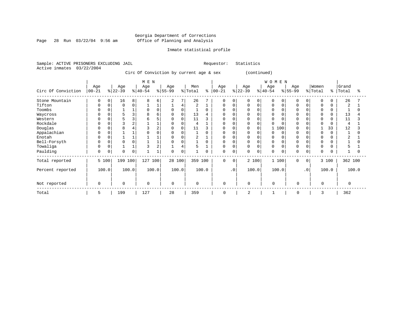Page 28 Run  $03/22/04$  9:56 am

#### Inmate statistical profile

Sample: ACTIVE PRISONERS EXCLUDING JAIL Requestor: Statistics Active inmates 03/22/2004

Circ Of Conviction by current age & sex (continued)

|                    | M E N            |       |                  |                |                  |                |                  |                |                |          |                   |           |                  |             | WOMEN           |             |                 |           |                  |          |                |       |
|--------------------|------------------|-------|------------------|----------------|------------------|----------------|------------------|----------------|----------------|----------|-------------------|-----------|------------------|-------------|-----------------|-------------|-----------------|-----------|------------------|----------|----------------|-------|
| Circ Of Conviction | Age<br>$00 - 21$ |       | Age<br>$ 22-39 $ |                | Age<br>$ 40-54 $ |                | Age<br>$8 55-99$ |                | Men<br>% Total | နွ       | Age<br>$ 00 - 21$ |           | Age<br>$ 22-39 $ |             | Age<br>$ 40-54$ |             | Age<br>$ 55-99$ |           | Women<br>% Total | ⊱        | Grand<br>Total | °     |
| Stone Mountain     | 0                | 0     | 16               | 8              | 8                | 6              | 2                | 7 <sup>1</sup> | 26             |          | $\mathbf 0$       | 0         | 0                | $\mathbf 0$ | 0               | $\mathbf 0$ | 0               | 0         | 0                | $\Omega$ | 26             |       |
| Tifton             | $\Omega$         | 0     | 0                | 0              |                  |                |                  | 4              | 2              |          | 0                 | $\Omega$  | 0                | $\mathbf 0$ | 0               | 0           | $\Omega$        |           | 0                |          | $\overline{2}$ |       |
| Toombs             | 0                |       |                  |                | $\Omega$         | $\Omega$       | $\mathbf 0$      | 0              |                | $\Omega$ | 0                 |           |                  | 0           | 0               |             | $\Omega$        |           | 0                | 0        |                |       |
| Waycross           | 0                |       | 5                | 3              | 8                | 6              | 0                | 0              | 13             |          | <sup>0</sup>      |           | U                |             |                 |             |                 |           | $\Omega$         |          | 13             |       |
| Western            | 0                |       |                  | 3              |                  |                | 0                | 0              | 11             | 3        | O                 |           |                  |             |                 |             |                 |           | $\Omega$         |          | 11             |       |
| Rockdale           |                  |       |                  | $\overline{2}$ |                  |                | $\Omega$         |                | 4              |          | <sup>0</sup>      |           | U                | $\Omega$    |                 |             | $\cap$          |           | $\Omega$         |          | $\overline{4}$ |       |
| Douglas            | $\Omega$         |       |                  |                |                  |                | 0                | 0              | 11             | 3        | 0                 |           |                  | 0           |                 | 100         | <sup>0</sup>    |           |                  | 33       | 12             |       |
| Appalachian        | 0                |       |                  |                |                  |                | $\Omega$         |                |                | $\Omega$ | <sup>0</sup>      |           | N                | $\Omega$    |                 | $\Omega$    |                 |           | $\Omega$         | $\Omega$ |                |       |
| Enotah             | $\Omega$         |       |                  |                |                  |                | $\Omega$         |                | 2              |          | <sup>0</sup>      |           | O                | $\Omega$    | O               |             |                 |           | $\Omega$         |          | 2              |       |
| Bell-Forsyth       | 0                |       |                  | $\Omega$       |                  |                | $\Omega$         |                |                | $\Omega$ | 0                 |           | <sup>0</sup>     | $\Omega$    | 0               |             | $\Omega$        |           | $\Omega$         |          |                |       |
| Towaliga           | $\Omega$         |       |                  |                |                  | $\overline{2}$ |                  | 4              | 5              |          | $\Omega$          |           | 0                | $\Omega$    | $\Omega$        |             | $\Omega$        |           | $\Omega$         |          | 5              |       |
| Paulding           | 0                | 0     | $\Omega$         | 0              |                  |                | $\Omega$         | 0              |                | 0        | $\mathbf 0$       | 0         | 0                | $\mathbf 0$ | 0               | $\mathbf 0$ | $\Omega$        | 0         | $\Omega$         | $\Omega$ |                |       |
| Total reported     |                  | 5 100 | 199              | 100            | 127              | 100            | 28 100           |                | 359            | 100      | $\Omega$          | $\Omega$  |                  | 2 100       | 1 100           |             | $\Omega$        | $\Omega$  |                  | 3 100    | 362 100        |       |
| Percent reported   |                  | 100.0 |                  | 100.0          |                  | 100.0          |                  | 100.0          |                | 100.0    |                   | $\cdot$ 0 |                  | 100.0       | 100.0           |             |                 | $\cdot$ 0 |                  | 100.0    |                | 100.0 |
| Not reported       | $\mathbf 0$      |       | $\Omega$         |                | $\mathbf 0$      |                | $\Omega$         |                | $\mathbf 0$    |          | 0                 |           | $\mathbf 0$      |             | $\Omega$        |             | $\mathbf 0$     |           | $\Omega$         |          | $\Omega$       |       |
| Total              | 5                |       | 199              |                | 127              |                | 28               |                | 359            |          | $\mathbf 0$       |           | 2                |             |                 |             | 0               |           | 3                |          | 362            |       |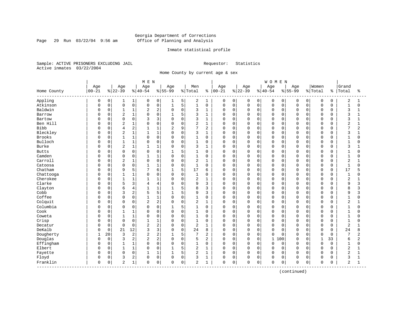Page 29 Run 03/22/04 9:56 am

#### Inmate statistical profile

Sample: ACTIVE PRISONERS EXCLUDING JAIL Requestor: Statistics Active inmates 03/22/2004

Home County by current age & sex

|                      |           |              |                |              | M E N          |                |              |   |                |                |          |                     |             |             | <b>WOMEN</b> |             |             |                |              |             |                |                |
|----------------------|-----------|--------------|----------------|--------------|----------------|----------------|--------------|---|----------------|----------------|----------|---------------------|-------------|-------------|--------------|-------------|-------------|----------------|--------------|-------------|----------------|----------------|
|                      | Age       |              | Age            |              | Age            |                | Age          |   | Men            |                | Age      |                     | Age         |             | Age          |             | Age         |                | Women        |             | Grand          |                |
| Home County          | $00 - 21$ |              | $ 22-39$       |              | $ 40-54$       |                | $8155 - 99$  |   | % Total        | ိ              | $ 00-21$ |                     | $ 22-39$    |             | $8 40-54$    |             | $8155 - 99$ |                | % Total      | နွ          | Total          | ႜ              |
| Appling              | 0         | 0            | 1              | 1            | 0              | 0              | 1            | 5 | 2              | 1              | 0        | 0                   | 0           | 0           | 0            | 0           | 0           | $\overline{0}$ | 0            | 0           | $\overline{c}$ | 1              |
| Atkinson             | $\Omega$  | $\mathsf{O}$ | $\mathsf 0$    | 0            | $\mathbf 0$    | 0              | $1\,$        | 5 | $\mathbf{1}$   | $\mathsf 0$    | $\Omega$ | $\mathsf{O}\xspace$ | $\mathbf 0$ | $\mathsf 0$ | 0            | $\mathbf 0$ | $\mathsf 0$ | 0              | $\mathsf 0$  | $\mathbf 0$ | $\mathbf{1}$   | $\Omega$       |
| Baldwin              | $\Omega$  | 0            | $\mathbf{1}$   | $\mathbf{1}$ | 2              | 2              | $\mathbf 0$  | 0 | 3              | $1\,$          | 0        | $\mathbf 0$         | 0           | $\mathbf 0$ | 0            | $\mathbf 0$ | $\Omega$    | 0              | $\mathbf 0$  | 0           | 3              |                |
| Barrow               | $\Omega$  | 0            | $\overline{2}$ | 1            | O              | 0              | 1            | 5 | 3              | 1              | 0        | $\mathbf 0$         | 0           | $\mathbf 0$ | 0            | 0           | $\Omega$    | 0              | $\mathbf 0$  | $\Omega$    | 3              |                |
| Bartow               | U         | $\mathbf 0$  | $\Omega$       | 0            | κ              | 3              | $\mathbf 0$  | 0 | 3              | $\mathbf{1}$   | 0        | $\mathbf 0$         | 0           | $\Omega$    | 0            | $\Omega$    | $\Omega$    | U              | $\Omega$     | $\Omega$    | 3              |                |
| Ben Hill             | U         | $\Omega$     | $\overline{2}$ | 1            | O              | $\Omega$       | $\mathbf 0$  | 0 | 2              | 1              | 0        | $\mathbf 0$         | 0           | $\Omega$    | 0            | $\Omega$    | $\Omega$    | $\Omega$       | $\Omega$     | U           | 2              |                |
| Bibb                 | U         | $\Omega$     | 4              | 2            | 1              | 1              | 2            | 9 | 7              | 2              | 0        | $\mathsf 0$         | 0           | 0           | 0            | $\mathbf 0$ | $\Omega$    | $\Omega$       | $\Omega$     | $\Omega$    | 7              | $\overline{2}$ |
| Bleckley             | C         | 0            | $\overline{c}$ | 1            | $\mathbf{1}$   | 1              | $\Omega$     | 0 | 3              | $1\,$          | 0        | $\mathbf 0$         | 0           | $\mathbf 0$ | 0            | $\mathbf 0$ | $\Omega$    | $\Omega$       | $\mathbf 0$  | $\Omega$    | 3              |                |
| <b>Brooks</b>        | $\Omega$  | 0            | $\mathbf{1}$   | 1            | $\Omega$       | 0              | 0            | 0 |                | $\mathbf 0$    | $\Omega$ | $\mathbf 0$         | 0           | $\mathbf 0$ | 0            | 0           | 0           | $\Omega$       | $\mathbf 0$  | 0           | 1              | O              |
| Bulloch              | U         | 0            | $\mathbf{1}$   | 1            | O              | 0              | 0            | 0 | $\mathbf{1}$   | $\mathbf 0$    | $\Omega$ | $\mathbf 0$         | $\Omega$    | $\mathbf 0$ | 0            | $\Omega$    | $\Omega$    | O              | $\Omega$     | $\Omega$    | $\mathbf{1}$   |                |
| <b>Burke</b>         | ∩         | 0            | $\overline{2}$ | $\mathbf 1$  | 1              | 1              | 0            | 0 | 3              | 1              | $\Omega$ | $\mathbf 0$         | 0           | $\mathbf 0$ | 0            | 0           | $\Omega$    | $\Omega$       | $\mathbf 0$  | $\Omega$    | 3              |                |
| <b>Butts</b>         | 0         | $\Omega$     | $\Omega$       | $\Omega$     | $\Omega$       | $\Omega$       | 1            | 5 | 1              | $\Omega$       | $\Omega$ | $\mathbf 0$         | 0           | $\Omega$    | $\Omega$     | $\Omega$    | $\Omega$    | $\Omega$       | $\Omega$     | $\Omega$    | $\mathbf{1}$   | U              |
| Camden               | 0         | $\Omega$     | $\mathbf 0$    | 0            | $\mathbf{1}$   | $\mathbf{1}$   | $\Omega$     | 0 | $\mathbf{1}$   | $\mathbf 0$    | 0        | $\mathbf 0$         | $\Omega$    | $\Omega$    | 0            | $\mathbf 0$ | $\Omega$    | $\Omega$       | $\Omega$     | $\Omega$    | $\mathbf 1$    | O              |
| Carroll              | C         | $\mathbf 0$  | $\overline{2}$ | 1            | 0              | 0              | $\Omega$     | 0 | $\overline{2}$ | $\mathbf{1}$   | 0        | $\mathbf 0$         | $\Omega$    | $\mathbf 0$ | $\Omega$     | $\mathbf 0$ | $\Omega$    | 0              | $\Omega$     | $\Omega$    | $\overline{2}$ |                |
| Catoosa              | $\Omega$  | 0            | $\Omega$       | 0            | $\mathbf{1}$   | $\mathbf{1}$   | $\Omega$     | 0 | $\mathbf{1}$   | $\mathbf 0$    | 0        | $\mathbf 0$         | $\Omega$    | $\mathbf 0$ | 0            | $\mathbf 0$ | $\Omega$    | $\Omega$       | $\Omega$     | $\Omega$    | $\mathbf{1}$   | O              |
| Chatham              | O         | $\Omega$     | 9              | 5            | 7              | 6              | $\mathbf{1}$ | 5 | 17             | 6              | $\Omega$ | $\mathbf 0$         | $\Omega$    | $\mathbf 0$ | O            | $\Omega$    | $\Omega$    | O              | $\Omega$     | $\Omega$    | 17             |                |
| Chattooga            | U         | $\Omega$     | $\mathbf{1}$   | $\mathbf{1}$ | O              | $\Omega$       | $\Omega$     | 0 | $\mathbf{1}$   | $\Omega$       | $\Omega$ | $\mathbf 0$         | $\Omega$    | $\Omega$    | $\Omega$     | $\Omega$    | $\Omega$    | O              | $\Omega$     | $\Omega$    | $\mathbf{1}$   | U              |
| Cherokee             | U         | $\Omega$     | -1             | 1            | 1              | $\mathbf{1}$   | $\Omega$     | 0 | 2              | $\mathbf{1}$   | 0        | $\mathbf 0$         | $\Omega$    | $\Omega$    | 0            | $\Omega$    | $\Omega$    | $\Omega$       | $\Omega$     | $\Omega$    | 2              |                |
| Clarke               | C         | 0            | 5              | 3            | 4              | 4              | $\Omega$     | 0 | 9              | 3              | $\Omega$ | $\mathsf 0$         | $\Omega$    | $\mathbf 0$ | $\Omega$     | $\mathbf 0$ | $\Omega$    | $\Omega$       | $\Omega$     | $\Omega$    | 9              | 3              |
| Clayton              | C         | $\Omega$     | 6              | 4            | $\mathbf{1}$   | $\mathbf{1}$   | 1            | 5 | 8              | 3              | O        | $\mathbf 0$         | 0           | $\mathbf 0$ | 0            | 0           | $\Omega$    | 0              | $\Omega$     | $\Omega$    | 8              | κ              |
| Cobb                 | O         | 0            | 3              | 2            | 5              | 5              | $\mathbf{1}$ | 5 | 9              | 3              | 0        | $\mathbf 0$         | 0           | $\mathbf 0$ | 0            | 0           | $\Omega$    | O              | $\Omega$     | $\Omega$    | 9              | 3              |
| Coffee               | U         | $\mathbf 0$  | $\Omega$       | 0            | $\mathbf{1}$   | $\mathbf{1}$   | $\mathbf 0$  | 0 |                | $\mathbf 0$    | $\Omega$ | $\mathbf 0$         | $\Omega$    | $\mathbf 0$ | 0            | $\Omega$    | $\Omega$    | $\Omega$       | $\Omega$     | $\Omega$    | 1              | O              |
| Colquit              | U         | 0            | $\Omega$       | 0            | $\overline{2}$ | $\overline{c}$ | $\Omega$     | 0 | $\overline{2}$ | 1              | $\Omega$ | $\mathbf 0$         | $\Omega$    | $\mathbf 0$ | 0            | $\mathbf 0$ | $\Omega$    | $\Omega$       | $\Omega$     | $\Omega$    | $\overline{c}$ |                |
| Columbia             | 0         | 0            | 0              | 0            | 0              | 0              | 1            | 5 | 1              | 0              | 0        | 0                   | 0           | 0           | 0            | 0           | $\Omega$    | $\Omega$       | $\Omega$     | O           | 1              | O              |
| Cook                 | 0         | 0            | 1              | 1            | 0              | 0              | $\Omega$     | 0 |                | $\mathbf 0$    | 0        | $\mathsf 0$         | 0           | $\mathbf 0$ | 0            | $\mathbf 0$ | $\Omega$    | 0              | $\mathbf 0$  | 0           | $\mathbf 1$    | 0              |
| Coweta               | C         | 0            | $\mathbf{1}$   | 1            | 0              | 0              | $\Omega$     | 0 | $\mathbf{1}$   | $\mathbf 0$    | 0        | $\mathbf 0$         | 0           | $\mathbf 0$ | 0            | $\mathbf 0$ | $\Omega$    | 0              | $\mathbf 0$  | $\Omega$    | $\mathbf 1$    | U              |
| Crisp                | O         | 0            | $\Omega$       | 0            | $\mathbf{1}$   | $\mathbf{1}$   | $\mathbf 0$  | 0 | $\mathbf{1}$   | $\mathbf 0$    | 0        | $\mathbf 0$         | 0           | $\mathbf 0$ | 0            | $\mathbf 0$ | $\Omega$    | 0              | $\mathbf 0$  | 0           | $\mathbf{1}$   | O              |
| Decatur              | C         | 0            | $\Omega$       | 0            | $\overline{2}$ | 2              | $\Omega$     | 0 | 2              | $\mathbf{1}$   | 0        | $\mathbf 0$         | $\Omega$    | $\Omega$    | $\Omega$     | $\Omega$    | $\Omega$    | $\Omega$       | $\Omega$     | $\Omega$    | $\overline{2}$ |                |
| DeKalb               | 0         | $\Omega$     | 21             | 12           | 3              | 3              | $\Omega$     | 0 | 24             | 8              | $\Omega$ | $\mathbf 0$         | $\Omega$    | $\Omega$    | $\Omega$     | $\Omega$    | $\Omega$    | $\Omega$       | $\Omega$     | $\Omega$    | 24             | 8              |
| Dougherty            | 1         | 20           | 3              | 2            | 2              | $\overline{c}$ | $\mathbf{1}$ | 5 | 7              | 2              | $\Omega$ | $\mathbf 0$         | 0           | $\mathbf 0$ | $\Omega$     | $\Omega$    | $\Omega$    | $\Omega$       | $\mathbf 0$  | $\Omega$    | 7              | 2              |
| Douglas              | $\Omega$  | $\mathbf 0$  | 3              | 2            | 2              | 2              | 0            | 0 | 5              | $\overline{2}$ | 0        | $\mathbf 0$         | $\Omega$    | $\mathbf 0$ | $\mathbf 1$  | 100         | $\Omega$    | $\Omega$       | $\mathbf{1}$ | 33          | 6              | 2              |
| Effingham            | $\Omega$  | $\mathbf 0$  | $\mathbf{1}$   | 1            | O              | 0              | $\Omega$     | 0 | $\mathbf{1}$   | $\mathbf 0$    | $\Omega$ | $\mathbf 0$         | $\Omega$    | $\mathbf 0$ | $\Omega$     | $\mathbf 0$ | $\Omega$    | $\Omega$       | $\mathbf 0$  | $\Omega$    | $\mathbf 1$    | 0              |
| Elbert               | 0         | 0            | $\mathbf{1}$   | $\mathbf{1}$ | 0              | 0              | $\mathbf{1}$ | 5 | $\overline{2}$ | 1              | $\Omega$ | $\mathbf 0$         | 0           | $\mathbf 0$ | 0            | 0           | $\mathbf 0$ | 0              | $\Omega$     | $\Omega$    | $\overline{2}$ |                |
| Fayette              | $\Omega$  | 0            | $\Omega$       | 0            | $\mathbf{1}$   | 1              | 1            | 5 | $\overline{2}$ | 1              | $\Omega$ | $\mathbf 0$         | $\Omega$    | $\mathbf 0$ | 0            | $\mathbf 0$ | $\mathbf 0$ | $\Omega$       | $\Omega$     | $\Omega$    | $\overline{2}$ | $\mathbf{1}$   |
| Floyd                | 0         | 0            | 3              | 2            | 0              | 0              | $\Omega$     | 0 | 3              | 1              | 0        | $\mathbf 0$         | 0           | $\mathbf 0$ | 0            | $\mathbf 0$ | $\Omega$    | 0              | $\Omega$     | $\Omega$    | 3              | -1             |
| Franklin<br>-------- | 0         | 0            | 2              | $\mathbf{1}$ | 0              | 0              | 0            | 0 | 2              | 1              | 0        | 0                   | 0           | $\mathsf 0$ | 0            | 0           | $\Omega$    | 0              | $\mathbf 0$  | $\Omega$    | 2              | 1              |

(continued)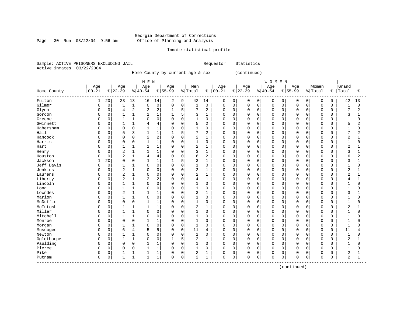Page 30 Run 03/22/04 9:56 am

#### Inmate statistical profile

Sample: ACTIVE PRISONERS EXCLUDING JAIL Requestor: Statistics Active inmates 03/22/2004

Home County by current age & sex (continued)

|             | Age          |             |                |                |                |                |              |             |                |                |             |             |             |          |             |          |             |             |                |             |                |              |
|-------------|--------------|-------------|----------------|----------------|----------------|----------------|--------------|-------------|----------------|----------------|-------------|-------------|-------------|----------|-------------|----------|-------------|-------------|----------------|-------------|----------------|--------------|
|             |              |             | Age            |                | Age            |                | Age          |             | Men            |                | Age         |             | Age         |          | Age         |          | Age         |             | Women          |             | Grand          |              |
| Home County | $00 - 21$    |             | $ 22-39$       |                | $ 40-54$       |                | $8 55-99$    |             | % Total        | ႜ              | $ 00 - 21$  |             | $ 22-39$    |          | $ 40-54$    |          | $8155 - 99$ |             | % Total        | န္          | Total          | ႜ            |
| Fulton      | 1            | 20          | 23             | 13             | 16             | 14             | 2            | 9           | 42             | 14             | $\mathbf 0$ | 0           | 0           | 0        | $\mathbf 0$ | 0        | 0           | 0           | $\mathbf 0$    | $\mathbf 0$ | 42             | 13           |
| Gilmer      | $\Omega$     | $\mathbf 0$ | $\mathbf 1$    | $\mathbf 1$    | $\mathbf 0$    | $\mathbf 0$    | $\mathbf 0$  | $\mathbf 0$ | $\mathbf{1}$   | $\mathbf 0$    | $\mathbf 0$ | $\mathbf 0$ | $\mathbf 0$ | 0        | $\mathbf 0$ | 0        | $\Omega$    | $\Omega$    | $\mathbf 0$    | $\mathbf 0$ | $\mathbf{1}$   | $\Omega$     |
| Glynn       | $\Omega$     | $\mathbf 0$ | 4              | $\overline{c}$ | 2              | $\overline{2}$ | 1            | 5           | 7              | $\overline{c}$ | 0           | $\mathbf 0$ | $\Omega$    | $\Omega$ | $\Omega$    | $\Omega$ | $\Omega$    | $\Omega$    | $\mathbf 0$    | $\mathbf 0$ | 7              | 2            |
| Gordon      | 0            | $\mathbf 0$ |                | 1              |                | $\mathbf{1}$   | $\mathbf{1}$ | 5           | 3              | $\mathbf{1}$   | 0           | $\mathbf 0$ | $\Omega$    | $\Omega$ | $\Omega$    | 0        | $\Omega$    | $\Omega$    | $\Omega$       | $\Omega$    | 3              |              |
| Greene      |              | $\mathbf 0$ | 1              | 1              | $\Omega$       | $\mathbf 0$    | $\Omega$     | $\Omega$    | $\mathbf{1}$   | $\mathbf 0$    | 0           | $\mathbf 0$ | $\Omega$    | $\Omega$ | $\Omega$    | 0        | $\Omega$    | $\cap$      | $\mathbf 0$    | $\Omega$    | $\mathbf{1}$   | $\Omega$     |
| Gwinnett    | $\Omega$     | $\mathbf 0$ |                | 1              | 4              | $\overline{4}$ | $\Omega$     | $\Omega$    | 5              | $\overline{2}$ | 0           | $\mathbf 0$ | $\mathbf 0$ | $\Omega$ | $\Omega$    | 0        | $\Omega$    | $\Omega$    | $\Omega$       | $\Omega$    | 5              | 2            |
| Habersham   | $\Omega$     | $\mathbf 0$ | $\Omega$       | $\mathbf 0$    |                | 1              | 0            | $\Omega$    |                | $\mathbf 0$    | U           | 0           | 0           | $\Omega$ | $\Omega$    | 0        | $\Omega$    | $\Omega$    | $\Omega$       | $\Omega$    | 1              | $\Omega$     |
| Hall        | <sup>0</sup> | $\Omega$    |                | 3              | 1              | $\mathbf{1}$   | $\mathbf{1}$ | 5           | 7              | 2              | $\Omega$    | $\Omega$    | $\Omega$    | $\Omega$ | $\Omega$    | $\Omega$ | $\Omega$    | $\Omega$    | $\Omega$       | $\Omega$    | $\overline{7}$ | 2            |
| Hancock     | <sup>0</sup> | $\mathbf 0$ | $\Omega$       | $\mathbf 0$    | $\overline{2}$ | $\overline{2}$ | $\mathbf 0$  | $\Omega$    | 2              | 1              | U           | $\mathbf 0$ | $\Omega$    | $\Omega$ | $\Omega$    | $\Omega$ | $\Omega$    | $\Omega$    | $\Omega$       | 0           | $\overline{2}$ | $\mathbf{1}$ |
| Harris      | <sup>0</sup> | $\mathbf 0$ | $\mathbf 0$    | $\mathbf 0$    | 1              | $\mathbf{1}$   | $\mathbf 0$  | $\Omega$    | 1              | $\mathbf 0$    | O           | $\mathbf 0$ | $\Omega$    | $\Omega$ | $\Omega$    | $\Omega$ | $\Omega$    | $\Omega$    | $\mathbf 0$    | $\Omega$    | $\mathbf{1}$   | $\mathbf 0$  |
| Hart        | <sup>0</sup> | $\mathbf 0$ |                | 1              |                | $\mathbf{1}$   | $\Omega$     | $\mathbf 0$ | $\overline{2}$ | 1              | U           | 0           | 0           | 0        | $\Omega$    | 0        | $\Omega$    | $\mathbf 0$ | $\Omega$       | $\Omega$    | $\overline{2}$ |              |
| Henry       |              | 0           | 2              | 1              |                | $\mathbf{1}$   | 0            | $\mathbf 0$ | 3              | $\mathbf{1}$   | 0           | $\mathbf 0$ | 0           | 0        | $\Omega$    | 0        | $\Omega$    | $\mathbf 0$ | $\mathbf 0$    | $\Omega$    | 3              |              |
| Houston     |              | $\mathbf 0$ | 2              | $\mathbf{1}$   | 4              | $\overline{4}$ | 0            | $\Omega$    | 6              | $\overline{c}$ | U           | 0           | 0           | $\Omega$ | $\Omega$    | 0        | $\Omega$    | $\Omega$    | $\Omega$       | $\Omega$    | 6              | 2            |
| Jackson     | 1            | 20          | $\Omega$       | $\mathbf 0$    | 1              | $\mathbf{1}$   | 1            | 5           | 3              | $\mathbf{1}$   | $\Omega$    | $\Omega$    | 0           | $\Omega$ | $\Omega$    | $\Omega$ | $\Omega$    | $\Omega$    | $\Omega$       | $\Omega$    | 3              | 1            |
| Jeff Davis  | $\Omega$     | $\mathbf 0$ |                | 1              | $\Omega$       | $\mathbf 0$    | $\mathbf 0$  | $\Omega$    |                | $\mathbf 0$    | 0           | 0           | 0           | $\Omega$ | $\Omega$    | 0        | $\Omega$    | $\Omega$    | $\Omega$       | $\Omega$    | 1              | O            |
| Jenkins     | n            | 0           | 2              | $\mathbf 1$    | $\Omega$       | $\mathbf 0$    | $\Omega$     | $\Omega$    | 2              | $\mathbf{1}$   | $\Omega$    | $\Omega$    | $\mathbf 0$ | $\Omega$ | $\mathbf 0$ | $\Omega$ | $\Omega$    | $\Omega$    | $\Omega$       | $\Omega$    | $\overline{2}$ |              |
| Laurens     | <sup>0</sup> | $\Omega$    | 2              | 1              | $\Omega$       | $\Omega$       | $\Omega$     | $\Omega$    | 2              | 1              | U           | $\Omega$    | 0           | 0        | $\Omega$    | $\Omega$ | $\Omega$    | $\Omega$    | $\Omega$       | $\Omega$    | $\overline{2}$ |              |
| Liberty     | <sup>0</sup> | $\Omega$    | $\overline{2}$ | $\mathbf 1$    | 2              | $\overline{2}$ | $\Omega$     | $\Omega$    | $\overline{4}$ | $\mathbf{1}$   | 0           | $\Omega$    | $\Omega$    | $\Omega$ | $\Omega$    | $\Omega$ | $\Omega$    | $\Omega$    | $\Omega$       | $\Omega$    | 4              | 1            |
| Lincoln     | 0            | $\mathbf 0$ |                | 1              | $\Omega$       | $\mathbf 0$    | 0            | $\mathbf 0$ | $\mathbf{1}$   | $\mathbf 0$    | 0           | $\mathbf 0$ | 0           | 0        | $\mathbf 0$ | 0        | $\Omega$    | $\mathbf 0$ | $\overline{0}$ | $\Omega$    | $\mathbf{1}$   | $\Omega$     |
| Long        |              | 0           | $\mathbf{1}$   | 1              | $\Omega$       | $\mathbf 0$    | $\Omega$     | $\Omega$    | $\mathbf{1}$   | $\mathbf 0$    | O           | $\mathbf 0$ | $\mathbf 0$ | $\Omega$ | $\Omega$    | 0        | $\Omega$    | $\Omega$    | $\mathbf 0$    | $\Omega$    | $\mathbf{1}$   | U            |
| Lowndes     | $\Omega$     | $\mathbf 0$ | $\overline{2}$ | 1              |                | $\mathbf{1}$   | $\Omega$     | $\Omega$    | 3              | 1              | U           | 0           | 0           | $\Omega$ | $\Omega$    | 0        | $\Omega$    | $\Omega$    | $\Omega$       | $\Omega$    | 3              |              |
| Marion      | <sup>0</sup> | $\mathbf 0$ |                | 1              | $\Omega$       | $\mathbf 0$    | $\Omega$     | $\Omega$    | 1              | $\mathbf 0$    | 0           | 0           | 0           | 0        | $\Omega$    | $\Omega$ | $\Omega$    | $\Omega$    | $\Omega$       | 0           |                | O            |
| McDuffie    | <sup>0</sup> | $\mathbf 0$ | $\Omega$       | $\mathbf 0$    |                | $\mathbf{1}$   | $\Omega$     | $\mathbf 0$ | $\mathbf{1}$   | $\mathbf 0$    | $\mathbf 0$ | $\Omega$    | $\mathbf 0$ | 0        | $\mathbf 0$ | 0        | $\Omega$    | $\Omega$    | $\Omega$       | $\Omega$    | $\mathbf{1}$   | O            |
| McIntosh    | $\Omega$     | $\mathbf 0$ |                | $\mathbf{1}$   |                | $\mathbf{1}$   | $\Omega$     | $\Omega$    | $\overline{2}$ | 1              | $\Omega$    | $\Omega$    | 0           | $\Omega$ | $\Omega$    | $\Omega$ | $\Omega$    | $\Omega$    | $\Omega$       | O           | $\overline{a}$ |              |
| Miller      | n            | $\Omega$    | 1              | 1              | $\Omega$       | $\Omega$       | $\mathbf 0$  | $\Omega$    | $\mathbf{1}$   | $\Omega$       | $\Omega$    | $\Omega$    | $\Omega$    | $\Omega$ | $\Omega$    | $\Omega$ | $\Omega$    | $\cap$      | $\Omega$       | $\Omega$    | $\mathbf{1}$   | $\Omega$     |
| Mitchell    | <sup>0</sup> | $\mathbf 0$ | $\mathbf{1}$   | $\mathbf 1$    | $\Omega$       | $\mathbf 0$    | $\mathbf 0$  | $\Omega$    | $\mathbf{1}$   | $\Omega$       | 0           | $\mathbf 0$ | $\Omega$    | $\Omega$ | $\Omega$    | $\Omega$ | $\Omega$    | $\Omega$    | $\Omega$       | $\Omega$    | $\mathbf{1}$   | U            |
| Monroe      | <sup>0</sup> | $\mathbf 0$ | $\Omega$       | $\mathbf 0$    |                | $\mathbf{1}$   | 0            | $\mathbf 0$ | $\mathbf{1}$   | 0              | U           | $\mathbf 0$ | $\Omega$    | $\Omega$ | $\Omega$    | 0        | $\Omega$    | $\Omega$    | $\mathbf 0$    | $\Omega$    | $\mathbf{1}$   |              |
| Morgan      |              | $\mathbf 0$ |                | $\mathbf{1}$   | $\Omega$       | $\mathbf 0$    | $\Omega$     | $\Omega$    | $\mathbf{1}$   | $\Omega$       | 0           | $\mathbf 0$ | $\mathbf 0$ | $\Omega$ | $\Omega$    | 0        | $\Omega$    | $\Omega$    | $\Omega$       | $\Omega$    | $\mathbf{1}$   |              |
| Muscogee    | $\Omega$     | $\mathbf 0$ | 6              | 4              |                | 5              | $\Omega$     | $\mathbf 0$ | 11             | 4              | 0           | $\mathbf 0$ | $\mathbf 0$ | $\Omega$ | $\mathbf 0$ | 0        | $\Omega$    | $\Omega$    | $\mathbf 0$    | $\Omega$    | 11             | 4            |
| Newton      | $\Omega$     | 0           |                | 1              | O              | $\mathbf 0$    | 0            | $\mathbf 0$ | $\mathbf{1}$   | $\mathbf 0$    | O           | $\mathbf 0$ | 0           | $\Omega$ | $\Omega$    | 0        | $\Omega$    | $\Omega$    | $\mathbf 0$    | $\Omega$    | $\mathbf{1}$   | O            |
| Oglethorpe  | $\Omega$     | $\mathbf 0$ |                | 1              | $\Omega$       | $\mathbf 0$    |              | 5           | 2              | 1              | $\Omega$    | 0           | 0           | $\Omega$ | $\mathbf 0$ | 0        | $\Omega$    | $\Omega$    | $\Omega$       | $\Omega$    | $\overline{2}$ |              |
| Paulding    | <sup>0</sup> | $\Omega$    | $\Omega$       | $\mathbf 0$    |                | $\mathbf{1}$   | $\Omega$     | $\Omega$    | 1              | $\Omega$       | $\Omega$    | $\Omega$    | $\mathbf 0$ | $\Omega$ | $\Omega$    | $\Omega$ | $\Omega$    | $\Omega$    | $\Omega$       | $\Omega$    | $\mathbf{1}$   | $\cap$       |
| Pierce      | $\Omega$     | $\mathbf 0$ | $\mathbf 0$    | $\mathbf 0$    | 1              | $\mathbf{1}$   | $\mathbf 0$  | $\mathbf 0$ | 1              | $\mathbf 0$    | 0           | $\mathbf 0$ | $\mathbf 0$ | $\Omega$ | $\mathbf 0$ | 0        | $\Omega$    | $\Omega$    | $\Omega$       | $\Omega$    | $\mathbf{1}$   | $\Omega$     |
| Pike        | 0            | 0           |                | 1              |                | $\mathbf{1}$   | 0            | $\mathbf 0$ | 2              | 1              | 0           | $\mathbf 0$ | 0           | 0        | $\Omega$    | 0        | $\Omega$    | $\mathbf 0$ | $\Omega$       | O           | 2              |              |
| Putnam      | $\Omega$     | 0           | $\mathbf{1}$   | 1              | $\mathbf{1}$   | 1              | $\Omega$     | 0           | $\overline{2}$ | 1              | $\mathbf 0$ | 0           | $\Omega$    | 0        | $\mathbf 0$ | 0        | $\Omega$    | 0           | $\mathbf 0$    | $\Omega$    | $\overline{2}$ | 1            |

(continued)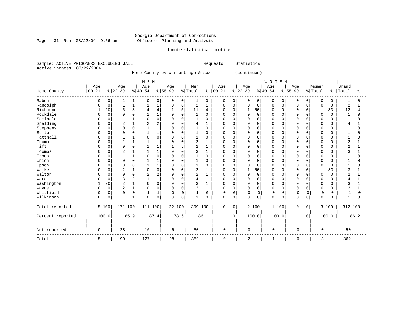Page 31 Run  $03/22/04$  9:56 am

### Inmate statistical profile

Sample: ACTIVE PRISONERS EXCLUDING JAIL Requestor: Statistics Active inmates 03/22/2004

Home County by current age & sex (continued)

|                  |              |             |                |                | M E N    |                |             |             |                |             |              |           |             |             | <b>WOMEN</b> |             |             |             |              |               |                |          |
|------------------|--------------|-------------|----------------|----------------|----------|----------------|-------------|-------------|----------------|-------------|--------------|-----------|-------------|-------------|--------------|-------------|-------------|-------------|--------------|---------------|----------------|----------|
|                  | Age          |             | Age            |                | Age      |                | Age         |             | Men            |             | Age          |           | Age         |             | Age          |             | Age         |             | Women        |               | Grand          |          |
| Home County      | $00 - 21$    |             | $8 22-39$      |                | $ 40-54$ |                | $8 55-99$   |             | % Total        | နွ          | $ 00 - 21$   |           | $ 22-39$    |             | $8140 - 54$  |             | $8 55-99$   |             | % Total      | $\frac{8}{6}$ | Total          | ႜ        |
| Rabun            | 0            | 0           |                | 1              | $\Omega$ | 0              | 0           | 0           | 1              | 0           | 0            | 0         | 0           | 0           | $\Omega$     | 0           | $\Omega$    | 0           | 0            | O             | -1             | 0        |
| Randolph         | O            | 0           |                | $\mathbf{1}$   |          |                | $\mathbf 0$ | $\mathbf 0$ | 2              | 1           | 0            | 0         | $\Omega$    | $\mathbf 0$ | $\Omega$     | $\Omega$    | $\Omega$    | 0           | 0            | $\Omega$      | $\overline{2}$ |          |
| Richmond         | 1            | 20          |                | 3              |          | $\overline{4}$ |             | 5           | 11             | 4           | 0            | 0         | 1           | 50          | $\Omega$     | $\Omega$    | $\Omega$    | $\Omega$    | 1            | 33            | 12             | 4        |
| Rockdale         | U            | $\mathbf 0$ |                | $\mathbf 0$    |          | $\mathbf{1}$   | 0           | $\Omega$    | 1              | 0           | <sup>0</sup> | $\Omega$  | $\Omega$    | $\mathbf 0$ | $\Omega$     | $\Omega$    | $\cap$      | $\Omega$    | $\mathbf 0$  | $\Omega$      | $\mathbf{1}$   | $\Omega$ |
| Seminole         |              | 0           |                | 1              |          | $\mathbf 0$    | 0           | $\Omega$    |                | 0           | 0            | $\Omega$  | $\Omega$    | $\Omega$    | $\Omega$     | $\Omega$    |             | $\Omega$    | $\Omega$     | U             |                | O        |
| Spalding         |              | $\mathbf 0$ | $\overline{2}$ | $\mathbf{1}$   | 2        | $\overline{2}$ | 0           | $\Omega$    | 4              | 1           | 0            | O         | $\Omega$    | $\Omega$    | $\Omega$     | $\Omega$    | $\Omega$    | $\Omega$    | $\Omega$     |               |                |          |
| Stephens         |              | $\Omega$    | $\Omega$       | $\Omega$       |          |                | $\Omega$    | $\cap$      |                | $\Omega$    | <sup>0</sup> | $\Omega$  | $\Omega$    | $\Omega$    | $\Omega$     | $\Omega$    | n           | $\Omega$    | $\Omega$     | በ             |                | U        |
| Sumter           |              | $\Omega$    | $\Omega$       | $\Omega$       |          | $\mathbf{1}$   | $\Omega$    | ∩           | 1              | $\Omega$    | <sup>0</sup> | $\cap$    | $\Omega$    | $\Omega$    | $\Omega$     | $\cap$      | $\cap$      | $\Omega$    | $\Omega$     | ∩             | -1             | U        |
| Tattnall         | U            | 0           |                | 1              | C        | $\Omega$       | $\Omega$    | $\cap$      |                | $\Omega$    | <sup>0</sup> | 0         | $\Omega$    | $\Omega$    | $\Omega$     | $\Omega$    | $\cap$      | $\Omega$    | $\Omega$     |               |                | U        |
| Thomas           |              | 0           |                | 1              |          |                | 0           | $\Omega$    | 2              |             | <sup>0</sup> | 0         | $\Omega$    | 0           | $\Omega$     | $\Omega$    |             |             | $\Omega$     |               | 2              |          |
| Tift             | <sup>0</sup> | $\mathbf 0$ | $\Omega$       | $\mathbf 0$    |          |                |             | 5           | $\overline{2}$ | 1           | $\Omega$     | O         | $\Omega$    | 0           | $\Omega$     | $\Omega$    | $\cap$      | $\Omega$    | $\Omega$     | O             | $\overline{c}$ |          |
| Toombs           |              | 0           | 2              | 1              |          |                | 0           | $\Omega$    | 3              | 1           | 0            | 0         | $\Omega$    | 0           | 0            | $\Omega$    |             | $\Omega$    | $\Omega$     |               |                |          |
| Troup            |              | 0           |                | $\mathbf{1}$   |          | $\Omega$       | 0           | $\Omega$    |                | 0           | 0            | O         | $\Omega$    | 0           | $\Omega$     | $\Omega$    |             | $\Omega$    | $\Omega$     | በ             |                | U        |
| Union            |              | $\Omega$    | $\Omega$       | $\Omega$       |          |                | $\Omega$    | ∩           |                | $\Omega$    | 0            | U         | $\Omega$    | $\Omega$    | $\cap$       | $\cap$      | $\cap$      | $\Omega$    | $\Omega$     | U             |                | N        |
| Upson            | U            | 0           | $\Omega$       | $\Omega$       |          |                | 0           | ∩           |                | 0           | <sup>0</sup> | U         | $\Omega$    | $\Omega$    | $\Omega$     | U           | O           | $\Omega$    | $\Omega$     | ∩             |                | N        |
| Walker           | O            | 0           | 2              | 1              |          | $\Omega$       | 0           | $\Omega$    | 2              |             | 0            | O         | 1           | 50          | $\Omega$     | O           | ∩           | $\Omega$    | $\mathbf{1}$ | 33            |                |          |
| Walton           | U            | 0           |                | $\mathbf 0$    |          | $\overline{c}$ | 0           | $\Omega$    | $\overline{2}$ |             | $\Omega$     |           | $\Omega$    | $\Omega$    | $\Omega$     | O           | n           |             | $\mathbf 0$  | $\Omega$      | $\overline{2}$ |          |
| Ware             | U            | $\mathbf 0$ | 3              | $\overline{2}$ |          |                | 0           | $\cap$      | 4              | 1           | 0            | 0         | $\Omega$    | $\Omega$    | $\Omega$     | O           | $\Omega$    | $\Omega$    | 0            | U             | 4              |          |
| Washington       | 1            | 20          | $\overline{2}$ | $\mathbf{1}$   | $\Omega$ | $\mathbf 0$    | $\Omega$    | $\Omega$    | 3              | 1           | $\Omega$     | 0         | $\Omega$    | $\Omega$    | $\Omega$     | $\Omega$    | $\Omega$    | $\Omega$    | $\mathbf 0$  | O             | 3              |          |
| Wayne            | 0            | $\mathbf 0$ | 2              | 1              | 0        | $\mathbf 0$    | $\Omega$    | $\Omega$    | 2              | 1           | $\Omega$     | $\Omega$  | $\Omega$    | $\Omega$    | $\Omega$     | 0           | $\Omega$    | $\Omega$    | $\Omega$     | 0             | 2              |          |
| Whitfield        | 0            | $\mathbf 0$ | $\Omega$       | $\mathbf 0$    |          | $\mathbf{1}$   | 0           | $\Omega$    |                | O           | 0            | 0         | 0           | 0           | $\Omega$     | 0           | 0           | 0           | 0            | 0             |                | $\Omega$ |
| Wilkinson        | $\mathbf 0$  | $\mathsf 0$ |                | $\mathbf{1}$   | $\Omega$ | $\mathbf 0$    | $\Omega$    | $\Omega$    | $\mathbf{1}$   | $\mathbf 0$ | $\mathbf 0$  | $\Omega$  | $\mathbf 0$ | $\mathbf 0$ | $\Omega$     | $\mathbf 0$ | $\Omega$    | $\mathbf 0$ | $\Omega$     | U             | 1              | O        |
| Total reported   |              | 5 100       | 171 100        |                | 111 100  |                | 22 100      |             | 309 100        |             | $\Omega$     | $\Omega$  |             | 2 100       |              | 1 100       | $\mathbf 0$ | 0           |              | 3 100         | 312 100        |          |
| Percent reported |              | 100.0       |                | 85.9           |          | 87.4           |             | 78.6        |                | 86.1        |              | $\cdot$ 0 |             | 100.0       |              | 100.0       |             | $\cdot$ 0   |              | 100.0         |                | 86.2     |
| Not reported     | 0            |             | 28             |                | 16       |                | 6           |             | 50             |             | 0            |           | 0           |             | $\mathbf 0$  |             | 0           |             | $\mathbf 0$  |               | 50             |          |
| Total            | 5            |             | 199            |                | 127      |                | 28          |             | 359            |             | $\mathbf 0$  |           | 2           |             |              |             | 0           |             | 3            |               | 362            |          |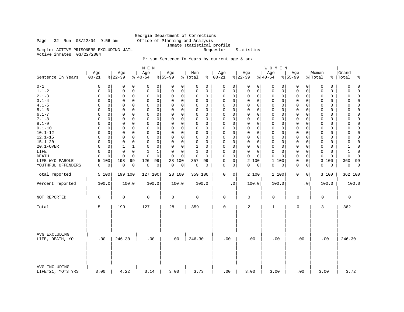### Page 32 Run 03/22/04 9:56 am Office of Planning and Analysis

 Georgia Department of Corrections Inmate statistical profile Sample: ACTIVE PRISONERS EXCLUDING JAIL Requestor: Statistics

Active inmates 03/22/2004

### Prison Sentence In Years by current age & sex

|                                    |                             |                            | M E N                        |                      |                            |                         |                            | WOMEN                      |                      |                  |                          |
|------------------------------------|-----------------------------|----------------------------|------------------------------|----------------------|----------------------------|-------------------------|----------------------------|----------------------------|----------------------|------------------|--------------------------|
| Sentence In Years<br>-------       | Age<br>$00 - 21$            | Age<br>$ 22-39 $           | Age<br>$8140 - 54$           | Age<br>$8155 - 99$   | Men<br>% Total             | Age<br>$8   00 - 21$    | Age<br>$ 22-39 $           | Age<br>$ 40-54$            | Age<br>$8155 - 99$   | Women<br>% Total | Grand<br>%   Total<br>ಕಿ |
| $0 - 1$                            | 0<br>0                      | 0<br>0                     | 0<br>0                       | 0<br>0               | 0<br>0                     | 0<br>$\Omega$           | 0<br>$\mathbf 0$           | 0<br>0                     | 0<br>0               | 0<br>0           | $\Omega$<br>$\Omega$     |
| $1.1 - 2$                          | $\mathsf 0$<br>0            | $\mathbf 0$<br>$\mathbf 0$ | $\mathsf{O}$<br>0            | 0<br>$\mathbf 0$     | 0<br>$\mathbf 0$           | 0<br>$\Omega$           | 0<br>$\mathbf 0$           | $\mathbf 0$<br>$\mathbf 0$ | 0<br>0               | 0<br>0           | $\mathbf 0$<br>$\Omega$  |
| $2.1 - 3$                          | $\mathsf 0$<br>$\Omega$     | $\mathbf 0$<br>$\mathbf 0$ | $\mathsf{O}\xspace$<br>0     | 0<br>$\mathbf 0$     | 0<br>$\mathbf 0$           | $\mathbf 0$<br>0        | 0<br>$\mathbf 0$           | $\circ$<br>0               | 0<br>0               | 0<br>0           | $\Omega$<br>$\Omega$     |
| $3.1 - 4$                          | $\mathbf 0$<br><sup>0</sup> | $\mathbf 0$<br>$\Omega$    | $\mathbf 0$<br>0             | $\Omega$<br>$\Omega$ | $\mathbf 0$<br>0           | 0<br>$\Omega$           | 0<br>$\Omega$              | $\mathbf 0$<br>0           | $\Omega$<br>0        | 0<br>0           | $\Omega$<br><sup>0</sup> |
| $4.1 - 5$                          | $\mathbf 0$<br>$\Omega$     | $\mathbf 0$<br>$\Omega$    | $\mathsf{O}$<br>0            | $\Omega$<br>$\Omega$ | 0<br>$\mathbf 0$           | $\mathbf 0$<br>$\Omega$ | $\mathbf 0$<br>$\Omega$    | $\mathbf 0$<br>$\mathbf 0$ | 0<br>0               | 0<br>0           | $\mathbf 0$<br>$\Omega$  |
| $5.1 - 6$                          | $\mathbf 0$                 | $\Omega$<br>$\Omega$       | $\Omega$<br>$\mathbf 0$      | $\Omega$<br>$\Omega$ | $\mathbf 0$<br>$\Omega$    | $\mathbf 0$<br>$\Omega$ | $\mathbf 0$<br>$\Omega$    | $\Omega$<br>0              | $\Omega$<br>0        | 0<br>0           | $\Omega$<br>$\Omega$     |
| $6.1 - 7$                          | $\mathbf 0$                 | $\Omega$<br>$\Omega$       | $\mathbf 0$<br>$\Omega$      | $\Omega$<br>$\Omega$ | 0<br>$\mathbf 0$           | $\Omega$<br>$\Omega$    | $\mathbf 0$<br>$\Omega$    | $\mathbf 0$<br>0           | 0<br>$\Omega$        | 0<br>0           | $\Omega$<br>$\Omega$     |
| $7.1 - 8$                          | $\mathbf 0$<br>$\Omega$     | 0<br>$\mathbf 0$           | $\mathsf 0$<br>0             | 0<br>$\mathbf 0$     | 0<br>$\mathbf 0$           | 0<br>0                  | 0<br>$\mathbf 0$           | $\mathbf 0$<br>0           | 0<br>$\Omega$        | 0<br>0           | $\mathbf 0$<br>$\Omega$  |
| $8.1 - 9$                          | $\mathbf 0$<br>U            | $\mathbf 0$<br>$\Omega$    | $\Omega$<br>$\mathbf 0$      | 0<br>0               | 0<br>0                     | $\mathbf 0$<br>$\Omega$ | $\mathbf 0$<br>$\Omega$    | $\Omega$<br>0              | $\Omega$<br>0        | 0<br>0           | $\Omega$<br>$\cap$       |
| $9.1 - 10$                         | $\mathbf 0$<br>O            | $\Omega$<br>$\mathbf 0$    | $\mathbf 0$<br>$\Omega$      | $\Omega$<br>$\Omega$ | $\mathsf 0$<br>$\mathbf 0$ | $\Omega$<br>$\Omega$    | $\mathbf 0$<br>$\Omega$    | $\mathbf 0$<br>0           | 0<br>$\Omega$        | 0<br>0           | $\Omega$<br>$\Omega$     |
| $10.1 - 12$                        | $\mathbf 0$<br>U            | $\Omega$<br>$\Omega$       | $\mathbf 0$<br>O             | $\Omega$<br>0        | 0<br>0                     | 0<br>$\Omega$           | $\Omega$<br>0              | $\mathbf 0$<br>0           | 0<br>$\Omega$        | 0<br>0           | 0<br>$\Omega$            |
| $12.1 - 15$                        | $\mathbf 0$                 | $\mathbf 0$<br>0           | $\mathsf 0$<br>0             | 0<br>$\mathbf 0$     | $\mathsf 0$<br>$\mathbf 0$ | $\mathbf 0$<br>0        | $\mathbf 0$<br>$\mathbf 0$ | $\mathbf 0$<br>0           | $\Omega$<br>0        | 0<br>0           | $\Omega$<br>$\cap$       |
| $15.1 - 20$                        | $\mathbf 0$<br>O            | $\Omega$<br>$\mathbf 0$    | $\Omega$<br>$\mathbf 0$      | 0<br>$\mathbf 0$     | $\mathbf 0$<br>0           | $\mathbf 0$<br>$\Omega$ | $\mathbf 0$<br>$\mathbf 0$ | $\mathbf 0$<br>$\mathbf 0$ | 0<br>$\Omega$        | 0<br>0           | $\Omega$<br>$\cap$       |
| 20.1-OVER                          | $\mathbf 0$<br>0            | 1<br>1                     | 0<br>$\Omega$                | 0<br>$\mathbf 0$     | 1<br>0                     | 0<br>0                  | $\mathbf 0$<br>0           | $\mathbf 0$<br>0           | 0<br>$\Omega$        | 0<br>0           | $\cap$                   |
| LIFE                               | $\mathbf 0$<br>O            | $\Omega$<br>$\Omega$       | $\mathbf{1}$<br>$\mathbf{1}$ | 0<br>$\Omega$        | $1\,$<br>$\Omega$          | $\mathbf 0$<br>$\Omega$ | $\mathbf 0$<br>$\Omega$    | $\mathbf 0$<br>$\mathbf 0$ | $\Omega$<br>$\Omega$ | 0<br>$\Omega$    | $\mathbf{1}$<br>$\Omega$ |
| <b>DEATH</b>                       | $\mathbf 0$                 | $\Omega$<br>$\Omega$       | $\Omega$<br>$\mathbf 0$      | $\Omega$<br>$\Omega$ | $\mathbf 0$<br>$\Omega$    | $\Omega$<br>$\Omega$    | $\mathbf 0$<br>$\Omega$    | $\Omega$<br>0              | $\Omega$<br>0        | 0<br>0           | $\Omega$<br>$\Omega$     |
| LIFE W/O PAROLE                    | 100<br>5                    | 198<br>99                  | 126<br>99                    | 28<br>100            | 357<br>99                  | $\mathbf 0$<br>0        | 2 100                      | $\mathbf{1}$<br>100        | 0<br>0               | 3 100            | 360<br>99                |
| YOUTHFUL OFFENDERS                 | 0<br>0                      | 0<br>0                     | 0<br>$\circ$                 | 0<br>0               | 0<br>0                     | 0<br>0                  | 0<br>0                     | 0<br>0                     | 0<br>0               | 0<br>0           | 0<br>0                   |
|                                    |                             |                            |                              |                      |                            |                         |                            |                            |                      |                  |                          |
| Total reported                     | 5 100                       | 199 100                    | 127 100                      | 28 100               | 359 100                    | $\Omega$<br>0           | 2 100                      | 1 100                      | 0<br>0               | 3 100            | 362 100                  |
| Percent reported                   | 100.0                       | 100.0                      | 100.0                        | 100.0                | 100.0                      | $\cdot$ 0               | 100.0                      | 100.0                      | $\cdot$ 0            | 100.0            | 100.0                    |
| NOT REPORTED                       | 0                           | 0                          | 0                            | 0                    | $\mathbf 0$                | $\mathbf 0$             | 0                          | 0                          | 0                    | 0                | 0                        |
| Total                              | 5                           | 199                        | 127                          | 28                   | 359                        | $\mathbf 0$             | $\overline{2}$             | $\mathbf{1}$               | $\mathbf 0$          | 3                | 362                      |
| AVG EXCLUDING<br>LIFE, DEATH, YO   | .00                         | 246.30                     | .00                          | .00                  | 246.30                     | .00                     | .00                        | .00                        | .00                  | .00              | 246.30                   |
| AVG INCLUDING<br>LIFE=21, YO=3 YRS | 3.00                        | 4.22                       | 3.14                         | 3.00                 | 3.73                       | .00                     | 3.00                       | 3.00                       | .00                  | 3.00             | 3.72                     |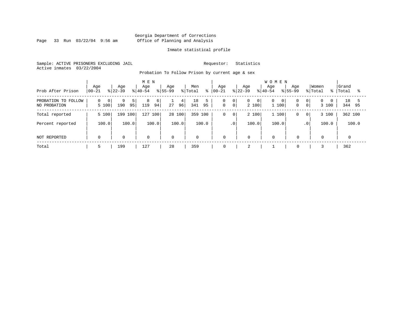Page 33 Run 03/22/04 9:56 am

#### Inmate statistical profile

Sample: ACTIVE PRISONERS EXCLUDING JAIL Requestor: Statistics Active inmates 03/22/2004

Probation To Follow Prison by current age & sex

| Prob After Prison                   | Age<br>$00 - 21$             | Age<br>$ 22-39 $      | M E N<br>Age<br>$8 40-54$ | Age<br>$ 55-99 $ | Men<br>% Total<br>⊱ | Age<br>$ 00 - 21 $                         | Age<br>$8 22-39$                          | <b>WOMEN</b><br>Age<br>Age<br>$8155 - 99$<br>$8 40-54$ | Women<br>% Total<br>%                     | Grand<br>Total |
|-------------------------------------|------------------------------|-----------------------|---------------------------|------------------|---------------------|--------------------------------------------|-------------------------------------------|--------------------------------------------------------|-------------------------------------------|----------------|
| PROBATION TO FOLLOW<br>NO PROBATION | 0<br>$\overline{0}$<br>5 100 | 9<br>5  <br>190<br>95 | 8<br>6<br>94 <br>119      | 4<br>96 <br>27   | 18<br>341<br>95     | 0<br> 0 <br>0 <sup>1</sup><br>$\mathsf{O}$ | $\overline{0}$<br>$\overline{0}$<br>2 100 | 0<br>$\overline{0}$<br>1 100<br>$\mathbf{0}$           | 0 <sup>1</sup><br>0 <sup>1</sup><br>3 100 | 18<br>344 95   |
| Total reported                      | 5 100                        | 199 100               | 100<br>127                | 28 100           | 100<br>359          | 0<br>$\mathbf 0$                           | 2 100                                     | 1 100<br>0                                             | 3 100<br>$\overline{0}$                   | 362 100        |
| Percent reported                    | 100.0                        | 100.0                 | 100.0                     | 100.0            | 100.0               | $\cdot$ 0                                  | 100.0                                     | 100.0                                                  | 100.0<br>.0 <sup>1</sup>                  | 100.0          |
| NOT REPORTED                        | $\Omega$                     | $\mathbf 0$           | $\mathbf 0$               | $\mathbf 0$      | $\mathbf 0$         | $\mathbf 0$                                | $\mathbf 0$                               | $\Omega$<br>$\Omega$                                   | $\mathbf 0$                               |                |
| Total                               |                              | 199                   | 127                       | 28               | 359                 | 0                                          | $\bigcap$<br>∠                            | $\mathbf 0$                                            |                                           | 362            |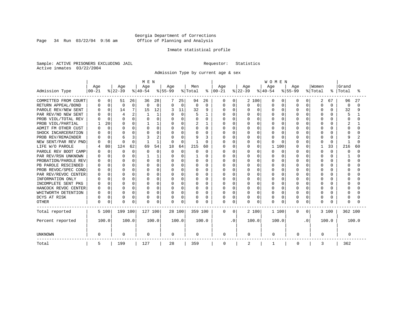Page 34 Run 03/22/04 9:56 am

#### Inmate statistical profile

Sample: ACTIVE PRISONERS EXCLUDING JAIL Requestor: Statistics Active inmates 03/22/2004

Admission Type by current age & sex

|                      |           |          |                |             | M E N     |                |           |          |          |          |           |             |          |          | <b>WOMEN</b> |              |           |           |          |          |          |          |  |
|----------------------|-----------|----------|----------------|-------------|-----------|----------------|-----------|----------|----------|----------|-----------|-------------|----------|----------|--------------|--------------|-----------|-----------|----------|----------|----------|----------|--|
|                      | Age       |          | Age            |             | Age       |                | Age       |          | Men      |          | Age       |             | Age      |          | Age          |              | Age       |           | Women    |          | Grand    |          |  |
| Admission Type       | $00 - 21$ |          | $ 22-39$       |             | $8 40-54$ |                | $8 55-99$ |          | % Total  | ႜ        | $00 - 21$ |             | $ 22-39$ |          | $8 40-54$    |              | $8 55-99$ |           | % Total  | ႜ        | Total    | °        |  |
| COMMITTED FROM COURT | 0         | $\Omega$ | 51             | 26          | 36        | 28             |           | 25       | 94       | 26       | 0         | 0           |          | 2 100    | $\Omega$     | 0            | O         | 0         | 2        | 67       | 96       | 27       |  |
| RETURN APPEAL/BOND   |           | $\Omega$ | $\Omega$       | $\mathbf 0$ | U         | $\Omega$       | $\Omega$  | $\Omega$ | $\Omega$ | $\Omega$ | 0         | $\Omega$    | 0        | $\Omega$ | $\Omega$     | $\Omega$     | $\cap$    | $\Omega$  | $\Omega$ | $\Omega$ | $\Omega$ | $\Omega$ |  |
| PAROLE REV/NEW SENT  |           | $\Omega$ | 14             | 7           | 15        | 12             |           | 11       | 32       | 9        | O         | $\Omega$    | U        | U        | $\cap$       | <sup>0</sup> | $\cap$    | $\cap$    | $\Omega$ | U        | 32       | 9        |  |
| PAR REV/NO NEW SENT  |           | $\cap$   | $\overline{4}$ | 2           |           |                | $\Omega$  | $\Omega$ |          | 1        | U         | $\Omega$    | U        | $\Omega$ | $\Omega$     | O            |           |           | $\Omega$ |          |          |          |  |
| PROB VIOL/TOTAL REV  |           | $\Omega$ | $\Omega$       | 0           |           | O              | $\Omega$  | O        | $\Omega$ | $\Omega$ | Ω         | $\mathbf 0$ | U        | $\Omega$ | $\Omega$     | U            |           |           | $\Omega$ |          | O        | O        |  |
| PROB VIOL/PARTIAL    |           | 20       | O              | 0           |           |                |           | O        | 2        |          |           | $\mathbf 0$ |          | $\Omega$ | $\Omega$     | U            |           |           | 0        |          |          |          |  |
| ADMIT FM OTHER CUST  |           | $\Omega$ | $\Omega$       | 0           |           | 0              |           | U        | $\Omega$ | 0        | Ω         | 0           |          | O        | $\Omega$     | O            |           |           | $\Omega$ |          |          |          |  |
| SHOCK INCARCERATION  |           | $\Omega$ | $\Omega$       | 0           |           | 0              | O         | U        | $\Omega$ | $\Omega$ | U         | $\mathbf 0$ | U        | O        | $\Omega$     | O            |           | $\cap$    | 0        |          |          |          |  |
| PROB REV/REMAINDER   |           | $\Omega$ | 6              | 3           |           | $\overline{2}$ | $\Omega$  | U        | 9        | κ        | U         | $\Omega$    | U        | $\Omega$ | $\cap$       | <sup>0</sup> |           | $\cap$    | $\Omega$ | n        | q        | 2        |  |
| NEW SENT/PAR REV PND |           | $\Omega$ | ∩              | $\Omega$    |           | $\mathbf{1}$   | $\Omega$  | $\Omega$ |          | $\Omega$ | Λ         | $\Omega$    | U        | $\Omega$ | $\cap$       | <sup>n</sup> |           | $\cap$    | $\Omega$ | $\Omega$ |          | $\cap$   |  |
| LIFE W/O PAROLE      |           | 80       | 124            | 62          | 69        | 54             | 18        | 64       | 215      | 60       | N         | $\mathbf 0$ | 0        | 0        | 1            | 100          |           | $\Omega$  |          | 33       | 216      | 60       |  |
| PAROLE REV BOOT CAMP |           | $\Omega$ | $\Omega$       | 0           |           | $\Omega$       | $\Omega$  | $\Omega$ | O        | $\Omega$ | 0         | $\Omega$    | 0        | U        | $\Omega$     | $\Omega$     |           | $\Omega$  | $\Omega$ | $\cap$   | O        | $\Omega$ |  |
| PAR REV/RSN UNKNOWN  |           | $\Omega$ | ∩              | 0           |           |                | $\Omega$  | U        |          | $\Omega$ | Ω         | $\Omega$    | U        | $\Omega$ | $\Omega$     | $\Omega$     |           | $\Omega$  | $\Omega$ | ∩        |          | U        |  |
| PROBATION/PAROLE REV |           | $\cap$   | $\cap$         | 0           |           | $\Omega$       | U         | U        | $\Omega$ | $\Omega$ | Ω         | $\Omega$    |          | $\Omega$ | $\Omega$     | $\Omega$     |           | $\cap$    | $\Omega$ |          | O        | U        |  |
| PB PAROLE RESCINDED  |           | $\cap$   | $\cap$         | O           | U         | $\Omega$       | O         | U        | $\Omega$ | $\cap$   | Λ         | $\Omega$    |          | U        | $\cap$       | U            |           |           | $\Omega$ |          | U        | U        |  |
| PROB REVOC/SPEC COND |           | ∩        | $\Omega$       | 0           | U         | O              | $\Omega$  | O        | $\Omega$ | $\Omega$ | Λ         | $\mathbf 0$ |          | $\Omega$ | $\Omega$     | O            |           |           | $\Omega$ |          |          | U        |  |
| PAR REV/REVOC CENTER |           | $\Omega$ | ∩              | 0           | U         | O              |           | O        |          | $\Omega$ | Ω         | $\mathbf 0$ |          | $\Omega$ | $\Omega$     | O            |           |           | n        |          |          |          |  |
| INFORMATION ONLY     |           |          | ∩              | 0           |           | 0              |           | O        |          | O        |           | $\mathbf 0$ |          | O        | $\Omega$     |              |           |           | n        |          |          |          |  |
| INCOMPLETE SENT PKG  |           |          | ∩              | 0           |           | 0              | O         | O        | $\Omega$ | 0        | Ω         | $\mathbf 0$ |          | O        | $\Omega$     | O            |           |           | 0        |          |          |          |  |
| HANCOCK REVOC CENTER | n         | $\Omega$ | $\Omega$       | 0           | U         | 0              | 0         | O        | $\Omega$ | $\Omega$ | U         | $\mathbf 0$ | U        | $\Omega$ | $\Omega$     | O            |           | $\cap$    | 0        | U        |          |          |  |
| WHITWORTH DETENTION  |           | $\Omega$ | $\Omega$       | $\Omega$    | U         | 0              | $\Omega$  | O        | $\Omega$ | $\Omega$ | U         | $\Omega$    | U        | $\Omega$ | $\Omega$     | $\Omega$     | ∩         | $\Omega$  | $\Omega$ | U        |          |          |  |
| DCYS AT RISK         |           | $\Omega$ | $\Omega$       | 0           | U         | 0              | 0         | $\Omega$ | $\Omega$ | $\Omega$ | O         | $\mathbf 0$ | 0        | $\Omega$ | $\Omega$     | $\Omega$     |           | $\Omega$  | $\Omega$ | U        | U        |          |  |
| <b>OTHER</b>         | $\Omega$  | 0        | $\Omega$       | 0           | U         | 0              | $\Omega$  | 0        | $\Omega$ | $\Omega$ | 0         | $\mathbf 0$ | U        | $\Omega$ | $\Omega$     | 0            | $\Omega$  | 0         | $\Omega$ |          |          |          |  |
| Total reported       |           | 5 100    | 199 100        |             | 127 100   |                |           | 28 100   | 359 100  |          | $\Omega$  | $\Omega$    |          | 2 100    | 1 100        |              | $\Omega$  | 0         |          | 3 100    | 362 100  |          |  |
| Percent reported     |           | 100.0    |                | 100.0       |           | 100.0          |           | 100.0    |          | 100.0    |           | . 0         |          | 100.0    | 100.0        |              |           | $\cdot$ 0 |          | 100.0    |          | 100.0    |  |
| <b>UNKNOWN</b>       | 0         |          | 0              |             | 0         |                | 0         |          | 0        |          | 0         |             | 0        |          | 0            |              | 0         |           | 0        |          | 0        |          |  |
| Total                | 5         |          | 199            |             | 127       |                | 28        |          | 359      |          | 0         |             | 2        |          | -1           |              | 0         |           | 3        |          | 362      |          |  |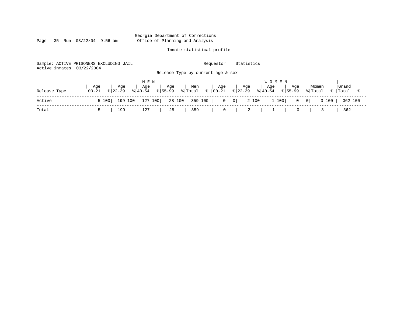Page 35 Run 03/22/04 9:56 am

#### Inmate statistical profile

Sample: ACTIVE PRISONERS EXCLUDING JAIL Requestor: Statistics Active inmates 03/22/2004 Release Type by current age & sex

|              |                   |     | MEN |                      |     |     |     | <b>WOMEN</b>                                                                                                                                                                 |                            |       |
|--------------|-------------------|-----|-----|----------------------|-----|-----|-----|------------------------------------------------------------------------------------------------------------------------------------------------------------------------------|----------------------------|-------|
| Release Type | Age<br>$100 - 21$ | Age | Age | Age                  | Men | Age | Age | Age<br>Age<br>$\frac{1}{22-39}$ $\frac{1}{40-54}$ $\frac{1}{55-99}$ $\frac{1}{57}$ $\frac{1}{100-1}$ $\frac{1}{52-39}$ $\frac{1}{22-39}$ $\frac{1}{40-54}$ $\frac{1}{55-99}$ | Women<br>% Total % Total % | Grand |
| Active       |                   |     |     |                      |     |     |     | 5 100   199 100   127 100   28 100   359 100   0 0   0   2 100   1 100   0 0   3 100   362 100                                                                               |                            |       |
| Total        |                   |     |     | 199   127   28   359 |     |     |     |                                                                                                                                                                              | $0 \quad   \quad 3$        | 362   |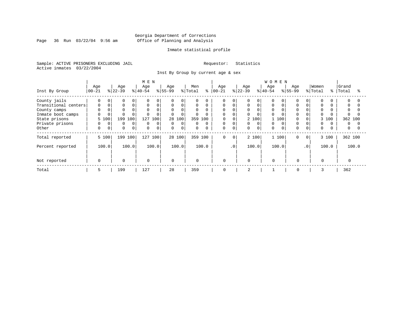Page 36 Run  $03/22/04$  9:56 am

#### Inmate statistical profile

Sample: ACTIVE PRISONERS EXCLUDING JAIL Requestor: Statistics Active inmates 03/22/2004

Inst By Group by current age & sex

|                      |             |             |           |          | M E N       |          |             |          |             |           |             |             |           |          | <b>WOMEN</b> |       |             |           |             |       |          |          |
|----------------------|-------------|-------------|-----------|----------|-------------|----------|-------------|----------|-------------|-----------|-------------|-------------|-----------|----------|--------------|-------|-------------|-----------|-------------|-------|----------|----------|
|                      | Age         |             | Age       |          | Age         |          | Age         |          | Men         |           | Age         |             | Age       |          | Age          |       | Age         |           | Women       |       | Grand    |          |
| Inst By Group        | $ 00 - 21$  |             | $ 22-39 $ |          | $8 40-54$   |          | $ 55-99$    |          | % Total     | $\approx$ | $ 00 - 21$  |             | $ 22-39 $ |          | $8 40-54$    |       | $8 55-99$   |           | % Total     | န္    | Total    |          |
| County jails         | $\Omega$    | 0           |           | 0        | $\Omega$    | $\Omega$ | $\Omega$    |          | $\Omega$    | $\Omega$  | $\Omega$    |             |           | $\Omega$ |              |       |             | $\Omega$  | $\Omega$    |       | 0        |          |
| Transitional centers | 0           | $\Omega$    |           | 0        | $\mathbf 0$ | 0        | 0           | $\Omega$ | 0           | 0         | 0           |             | 0         | $\Omega$ | 0            |       | $\Omega$    |           | 0           |       | 0        |          |
| County camps         |             |             |           |          | $\Omega$    | $\Omega$ | $\mathbf 0$ | 0        | $\Omega$    |           | $\Omega$    |             | 0         | $\Omega$ | $\mathbf 0$  |       |             |           | $\Omega$    |       | $\Omega$ |          |
| Inmate boot camps    | $\Omega$    |             |           |          |             | 0        | $\mathbf 0$ |          |             |           | $\Omega$    |             | 0         |          | $\Omega$     |       |             |           | $\Omega$    |       |          |          |
| State prisons        | 5 100       |             | 199       | 100      | 127         | 100      | 28          | 100      | 359         | 100       | 0           | $\Omega$    |           | 2 100    |              | 100   |             |           |             | 3 100 | 362 100  |          |
| Private prisons      | $\Omega$    | $\Omega$    | $\Omega$  | $\Omega$ | $\Omega$    | $\Omega$ | $\mathbf 0$ | $\Omega$ | $\Omega$    | $\Omega$  | $\mathbf 0$ |             | 0         | $\Omega$ | $\Omega$     |       |             |           | $\Omega$    |       | $\Omega$ | $\Omega$ |
| Other                | $\mathbf 0$ | $\mathbf 0$ | $\Omega$  | 0        | $\Omega$    | 0        | $\mathbf 0$ | 0        | $\mathbf 0$ | $\Omega$  | $\mathbf 0$ | $\mathbf 0$ | 0         | $\Omega$ | $\Omega$     |       | $\Omega$    | 0         | $\mathbf 0$ |       | 0        |          |
| Total reported       |             | 5 100       | 199 100   |          | 127 100     |          |             | 28 100   |             | 359 100   | $\Omega$    | $\Omega$    |           | 2 100    |              | 1 100 | $\Omega$    | $\circ$   |             | 3 100 | 362 100  |          |
| Percent reported     |             | 100.0       |           | 100.0    |             | 100.0    |             | 100.0    |             | 100.0     |             | $\cdot$ 0   |           | 100.0    |              | 100.0 |             | $\cdot$ 0 |             | 100.0 |          | 100.0    |
|                      |             |             |           |          |             |          |             |          |             |           |             |             |           |          |              |       |             |           |             |       |          |          |
| Not reported         | $\Omega$    |             | $\Omega$  |          | 0           |          | $\Omega$    |          | $\mathbf 0$ |           | $\mathbf 0$ |             | $\Omega$  |          | $\Omega$     |       | $\Omega$    |           | $\Omega$    |       |          |          |
| Total                | 5           |             | 199       |          | 127         |          | 28          |          | 359         |           | 0           |             | 2         |          |              |       | $\mathbf 0$ |           | 3           |       | 362      |          |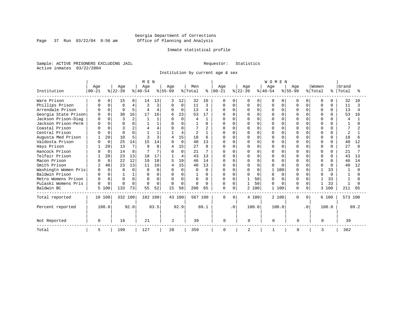Page 37 Run  $03/22/04$  9:56 am

#### Inmate statistical profile

Sample: ACTIVE PRISONERS EXCLUDING JAIL Requestor: Statistics Active inmates 03/22/2004

Institution by current age & sex

|                      |                |             |              |          | M E N    |              |                |          |              |                |               |           |           |          | <b>WOMEN</b> |              |              |              |              |              |                |      |
|----------------------|----------------|-------------|--------------|----------|----------|--------------|----------------|----------|--------------|----------------|---------------|-----------|-----------|----------|--------------|--------------|--------------|--------------|--------------|--------------|----------------|------|
|                      | Age            |             | Age          |          | Age      |              | Age            |          | Men          |                | Age           |           | Age       |          | Age          |              | Age          |              | Women        |              | Grand          |      |
| Institution          | $ 00 - 21$     |             | $ 22-39 $    |          | $ 40-54$ |              | $8 55-99$      |          | % Total      |                | $8   00 - 21$ |           | $ 22-39 $ |          | $ 40-54$     |              | $8155 - 99$  |              | % Total      | ႜ            | Total          |      |
| Ware Prison          |                | 0           | 15           | 8        | 14       | 13           |                | 12       | 32           | 10             | 0             | 0         | O         | 0        | 0            | <sup>0</sup> | U            | 0            | <sup>0</sup> |              | 32             | 10   |
| Phillips Prison      |                | $\Omega$    | $\mathsf{R}$ | 4        | κ        | 3            | $\Omega$       | 0        | 11           | 3              | 0             | $\Omega$  | O         | $\Omega$ | U            | $\Omega$     | U            | 0            | $\Omega$     | $\Omega$     | 11             |      |
| Arrendale Prison     |                | $\Omega$    | 9            | 5        |          | 4            | $\Omega$       | 0        | 13           | 4              | $\Omega$      | $\Omega$  | U         | $\Omega$ | 0            | $\Omega$     | U            | $\Omega$     | $\Omega$     | $\Omega$     | 13             |      |
| Georgia State Prison |                | $\cap$      | 30           | 16       | 17       | 16           | 6              | 23       | 53           | 17             |               | ∩         |           | $\Omega$ |              | $\Omega$     |              | O.           | $\Omega$     |              | 53             | 16   |
| Jackson Prison-Diag  | <sup>0</sup>   | $\cap$      | 3            | 2        |          |              | $\cap$         | $\Omega$ | 4            | $\mathbf{1}$   | U             | $\cap$    | U         | $\Omega$ |              | $\Omega$     | $\cap$       | <sup>n</sup> | $\Omega$     | <sup>n</sup> | $\overline{A}$ |      |
| Jackson Prison-Perm  | $\Omega$       | $\Omega$    | $\cap$       | 0        |          |              | O              | $\Omega$ |              | 0              | O             | $\cap$    | O         | $\Omega$ | U            | $\Omega$     | $\cap$       |              | $\Omega$     |              |                |      |
| Coastal Prison       |                |             |              | 2        |          |              | $\Omega$       | U        |              | $\mathfrak{D}$ | O             | $\cap$    | Λ         | $\Omega$ | ∩            | $\Omega$     | $\cap$       |              | $\Omega$     | <sup>n</sup> |                |      |
| Central Prison       |                | $\Omega$    | $\cap$       | $\Omega$ |          |              |                | 4        |              | $\mathbf{1}$   | 0             | $\Omega$  | Ω         | $\Omega$ | U            | $\Omega$     | $\Omega$     | O.           | $\Omega$     | $\Omega$     | 2              |      |
| Augusta Med Prison   |                | 20          | 10           | 5        |          | $\mathbf{3}$ | 4              | 15       | 18           | 6              | U             | $\Omega$  | U         | $\Omega$ |              | $\Omega$     | $\cap$       |              | $\cap$       | $\cap$       | 18             |      |
| Valdosta Prison      |                | $\mathbf 0$ | 25           | 14       | 15       | 14           | $\Omega$       | $\Omega$ | 40           | 13             | $\Omega$      | $\Omega$  | 0         | $\Omega$ | ∩            | $\Omega$     | $\cap$       |              | $\Omega$     | $\Omega$     | 40             | 12   |
| Hays Prison          |                | 20          | 13           | 7        | Q        | 8            | 4              | 15       | 27           | 8              | $\Omega$      | $\Omega$  | O         | $\Omega$ | U            | $\Omega$     | $\cap$       |              | $\Omega$     | $\Omega$     | 27             |      |
| Hancock Prison       |                | $\Omega$    | 14           | 8        |          | 7            |                | $\Omega$ | 21           |                | 0             | $\Omega$  |           | $\Omega$ |              | $\cap$       | 0            |              | $\Omega$     | $\Omega$     | 21             |      |
| Telfair Prison       |                | 20          | 23           | 13       | 18       | 17           |                | 4        | 43           | 13             | $\cap$        | $\Omega$  | O         | $\Omega$ | ∩            | $\Omega$     | $\cap$       | U            | $\Omega$     | <sup>n</sup> | 43             | 13   |
| Macon Prison         |                | $\Omega$    | 22           | 12       | 19       | 18           | 5              | 19       | 46           | 14             | $\Omega$      | $\Omega$  | O         | $\Omega$ | $\Omega$     | $\Omega$     | $\cap$       |              | $\Omega$     | $\cap$       | 46             | 14   |
| Smith Prison         | $\overline{2}$ | 40          | 23           | 13       | 11       | 10           | 4              | 15       | 40           | 13             | $\Omega$      | $\Omega$  | O         | $\Omega$ | U            | $\cap$       | ∩            | U            | $\Omega$     | $\cap$       | 40             | 12   |
| Washingtn Women Pris | $\Omega$       | $\Omega$    | $\Omega$     | $\Omega$ | $\Omega$ | $\Omega$     | $\Omega$       | $\Omega$ | <sup>0</sup> | $\Omega$       | 0             | $\Omega$  | O         | $\Omega$ | 1            | 100          | $\Omega$     | U            |              | 33           |                |      |
| Baldwin Prison       |                | $\Omega$    |              | 1        | U        | $\Omega$     | $\Omega$       | $\Omega$ |              | $\Omega$       | <sup>0</sup>  | $\Omega$  | O         | $\Omega$ | U            | $\Omega$     | $\cap$       | U            | $\cap$       | $\cap$       |                |      |
| Metro Womens Prison  | $\Omega$       | $\Omega$    | $\Omega$     | $\Omega$ | U        | 0            | $\Omega$       | $\Omega$ | U            | 0              | $\Omega$      | $\Omega$  |           | 50       | U            | O            | <sup>0</sup> | U            |              | 33           |                |      |
| Pulaski Womens Pris  | $\Omega$       | $\Omega$    | $\cap$       | $\Omega$ | $\Omega$ | $\Omega$     | $\Omega$       | $\Omega$ | $\Omega$     | $\Omega$       | $\Omega$      | $\Omega$  |           | 50       | U            | $\Omega$     | <sup>0</sup> | 0            | 1            | 33           | -1             |      |
| Baldwin BC           | 5              | 100         | 133          | 73       | 55       | 52           | 15             | 58       | 208          | 65             | $\mathbf 0$   | $\Omega$  |           | 2 100    | 1            | 100          | $\Omega$     | $\Omega$     | 3            | 100          | 211            | 65   |
| Total reported       |                | 10 100      | 332 100      |          | 182 100  |              |                | 43 100   | 567 100      |                | $\Omega$      | $\Omega$  |           | 4 100    | 2 100        |              | 0            | $\Omega$     |              | 6 100        | 573 100        |      |
| Percent reported     |                | 100.0       |              | 92.0     |          | 83.5         |                | 92.9     |              | 89.1           |               | $\cdot$ 0 | 100.0     |          | 100.0        |              |              | $\cdot$ 0    |              | 100.0        |                | 89.2 |
| Not Reported         | $\Omega$       |             | 16           |          | 21       |              | $\overline{2}$ |          | 39           |                | $\Omega$      |           | $\Omega$  |          | $\Omega$     |              | $\Omega$     |              | $\Omega$     |              | 39             |      |
| Total                | 5              |             | 199          |          | 127      |              | 28             |          | 359          |                | 0             |           | 2         |          |              |              | $\Omega$     |              | 3            |              | 362            |      |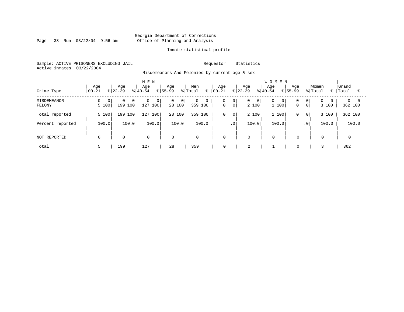Page 38 Run 03/22/04 9:56 am

#### Inmate statistical profile

Sample: ACTIVE PRISONERS EXCLUDING JAIL Requestor: Statistics Active inmates 03/22/2004

Misdemeanors And Felonies by current age & sex

| Crime Type            | Age<br>$ 00-21$ | Age<br>$8 22-39$                      | M E N<br>Age<br>$8 40-54$ | Aqe<br>% Total<br>$ 55-99 $                | Men<br>ႜ                       | Aqe<br>$ 00-21 $                           | Age<br>$ 22-39 $ | <b>WOMEN</b><br>Aqe<br>Aqe<br>$8155 - 99$<br>$8 40-54$ | Women<br>% Total<br>ႜႜ                                      | Grand<br>Total<br>°≈                  |
|-----------------------|-----------------|---------------------------------------|---------------------------|--------------------------------------------|--------------------------------|--------------------------------------------|------------------|--------------------------------------------------------|-------------------------------------------------------------|---------------------------------------|
| MISDEMEANOR<br>FELONY | 0<br>5 100      | $\Omega$<br>0 <sup>1</sup><br>199 100 | 0<br>0<br>127 100         | $\overline{0}$<br>0 <sup>1</sup><br>28 100 | $\mathbf 0$<br>0<br>359<br>100 | 0<br>$\overline{0}$<br>0<br>$\overline{0}$ | 0<br>0<br>2 100  | 0<br> 0 <br>1 100<br>$\mathbf 0$                       | 0 <br>$\overline{0}$<br>$\Omega$<br>$\overline{0}$<br>3 100 | $\Omega$<br>$\overline{0}$<br>362 100 |
| Total reported        | 5 100           | 199 100                               | 100<br>127                | 28 100                                     | 100<br>359                     | 0<br>$\mathbf 0$                           | 2 100            | 1 100<br>$\Omega$                                      | 3 100<br>$\mathbf{0}$                                       | 362 100                               |
| Percent reported      | 100.0           | 100.0                                 | 100.0                     | 100.0                                      | 100.0                          | $\cdot$ 0                                  | 100.0            | 100.0                                                  | 100.0<br>.0 <sup>1</sup>                                    | 100.0                                 |
| NOT REPORTED          | $\Omega$        | $\mathbf 0$                           | $\mathbf 0$               | $\mathbf 0$                                | $\mathbf 0$                    | $\mathbf 0$                                | $\mathbf 0$      | $\mathbf 0$<br>$\Omega$                                | 0                                                           |                                       |
| Total                 |                 | 199                                   | 127                       | 28                                         | 359                            | 0                                          | $\bigcap$<br>∠   | $\mathbf 0$                                            |                                                             | 362                                   |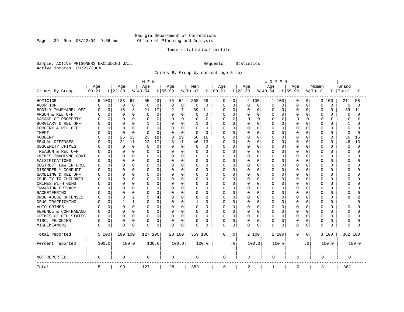Page 39 Run 03/22/04 9:56 am

#### Inmate statistical profile

Sample: ACTIVE PRISONERS EXCLUDING JAIL Requestor: Statistics Active inmates 03/22/2004

Crimes By Group by current age & sex

|                      | M E N     |          |              |             |              |             |           |             |              | WOMEN        |             |             |          |             |             |          |             |                |          |          |             |          |
|----------------------|-----------|----------|--------------|-------------|--------------|-------------|-----------|-------------|--------------|--------------|-------------|-------------|----------|-------------|-------------|----------|-------------|----------------|----------|----------|-------------|----------|
|                      | Age       |          | Age          |             | Age          |             | Age       |             | Men          |              | Age         |             | Age      |             | Age         |          | Age         |                | Women    |          | Grand       |          |
| Crimes By Group      | $00 - 21$ |          | $ 22-39$     |             | $8 40-54$    |             | $8 55-99$ |             | % Total      | ႜၟ           | $ 00 - 21$  |             | $ 22-39$ |             | $8 40-54$   |          | $8 55-99$   |                | % Total  | °        | Total       | °        |
| HOMICIDE             |           | 5 100    | 133          | 67          | 55           | 43          | 15        | 54          | 208          | 58           | 0           | 0           |          | 2 100       | 1 100       |          | 0           | 0              |          | 3 100    | 211         | 58       |
| ABORTION             | C         | 0        | 0            | 0           | $\Omega$     | $\mathbf 0$ | $\Omega$  | $\mathsf 0$ | $\Omega$     | $\mathbf 0$  | 0           | $\mathbf 0$ | 0        | $\mathbf 0$ | $\mathbf 0$ | 0        | $\Omega$    | 0              | $\Omega$ | $\Omega$ | $\mathbf 0$ | $\Omega$ |
| BODILY INJRY&REL OFF | C         | 0        | 16           | 8           | 21           | 17          | 2         | 7           | 39           | 11           | 0           | 0           | 0        | $\mathbf 0$ | 0           | 0        | 0           | 0              | 0        | 0        | 39          | 11       |
| ARSON & REL OFF      |           | $\Omega$ | $\Omega$     | 0           | O            | 0           |           | 0           |              | 0            | U           | 0           | 0        | 0           | 0           | 0        | O           | O              | $\Omega$ | O        | 0           | ∩        |
| DAMAGE OF PROPERTY   |           | $\Omega$ | $\Omega$     | $\Omega$    |              | $\Omega$    | ∩         | $\Omega$    | <sup>0</sup> | <sup>0</sup> | O           | $\Omega$    | O        | 0           | $\Omega$    | $\Omega$ | ∩           | <sup>0</sup>   | $\Omega$ | U        | 0           | U        |
| BURGLARY & REL OFF   |           | $\Omega$ | <sup>0</sup> | 0           |              | 1           | 0         | 0           | 1            | $\Omega$     | U           | 0           | U        | $\Omega$    | 0           | $\Omega$ | O           | 0              | $\Omega$ | U        | 1           |          |
| FORGERY & REL OFF    |           | $\Omega$ | $\Omega$     | 0           |              | $\Omega$    |           | 0           | O            | $\Omega$     | U           | $\mathbf 0$ | U        | $\Omega$    | $\Omega$    | $\Omega$ | $\Omega$    | 0              | $\Omega$ | $\cap$   | $\Omega$    |          |
| THEFT                |           | $\Omega$ | $\Omega$     | 0           | <sup>0</sup> | $\Omega$    | $\Omega$  | $\mathbf 0$ | $\Omega$     | $\Omega$     | O           | 0           | O        | $\Omega$    | 0           | O        | O           | 0              | $\Omega$ | $\Omega$ | $\Omega$    | $\cap$   |
| <b>ROBBERY</b>       |           | 0        | 25           | 13          | 23           | 18          | 8         | 29          | 56           | 16           | O           | $\mathbf 0$ | O        | $\Omega$    | 0           | O        | O           | O              | $\Omega$ | O        | 56          | 15       |
| SEXUAL OFFENSES      |           | $\Omega$ | 21           | 11          | 22           | 17          | 3         | 11          | 46           | 13           | O           | $\Omega$    | 0        | $\Omega$    | $\Omega$    | $\Omega$ | $\Omega$    | O              | $\Omega$ | $\Omega$ | 46          | 13       |
| OBSCENITY CRIMES     |           | $\Omega$ | $\Omega$     | $\mathbf 0$ | $\Omega$     | $\Omega$    | $\Omega$  | $\mathbf 0$ | $\Omega$     | $\Omega$     | 0           | 0           | 0        | $\Omega$    | 0           | 0        | $\Omega$    | 0              | $\Omega$ | $\Omega$ | $\Omega$    | $\cap$   |
| TREASON & REL OFF    |           | 0        | $\Omega$     | 0           | O            | $\Omega$    | 0         | 0           | O            | 0            | 0           | 0           | 0        | $\Omega$    | 0           | $\Omega$ | $\Omega$    | 0              | $\Omega$ | $\Omega$ | $\Omega$    |          |
| CRIMES INVOLVNG GOVT |           | $\Omega$ | $\Omega$     | 0           |              | 0           |           | 0           |              | $\Omega$     | Ω           | $\mathbf 0$ | 0        | $\Omega$    | 0           | $\Omega$ | $\Omega$    | 0              | $\Omega$ | $\Omega$ | $\Omega$    |          |
| FALSIFICATIONS       |           | 0        | $\Omega$     | 0           | O            | 0           | 0         | 0           | O            | $\mathbf 0$  | O           | 0           | 0        | $\Omega$    | 0           | $\Omega$ | $\Omega$    | 0              | $\Omega$ | O        | $\Omega$    |          |
| OBSTRUCT LAW ENFORCE |           | O        | <sup>0</sup> | 0           |              | O           | 0         | $\Omega$    | O            | 0            | U           | 0           | 0        | 0           | 0           | 0        | O           | O              | 0        | O        | $\Omega$    |          |
| DISORDERLY CONDUCT   |           | U        | $\Omega$     | 0           | U            | U           | $\Omega$  | $\Omega$    | O            | $\Omega$     | U           | 0           | U        | $\Omega$    | O           | O        | U           | U              | $\Omega$ | U        | ∩           |          |
| GAMBLING & REL OFF   |           | 0        | $\Omega$     | 0           |              | U           | 0         | 0           | O            | 0            | Ω           | 0           | 0        | $\Omega$    | 0           | $\Omega$ | O           | 0              | $\Omega$ | U        | U           |          |
| CRUELTY TO CHILDREN  |           | O        | $\Omega$     | 0           |              | 0           | 0         | 0           | O            | $\Omega$     | Ω           | $\mathbf 0$ | 0        | 0           | 0           | $\Omega$ | O           | 0              | $\Omega$ | O        | U           |          |
| CRIMES WITH GUNS     |           | $\Omega$ | $\Omega$     | 0           |              | O           | $\Omega$  | 0           | O            | $\Omega$     | U           | 0           | U        | $\Omega$    | 0           | O        | O           | 0              | $\Omega$ | O        | ∩           |          |
| INVASION PRIVACY     |           | O        | <sup>0</sup> | 0           | U            | O           | 0         | 0           | O            | 0            | 0           | 0           | U        | 0           | 0           | 0        | O           | O              | $\Omega$ | O        | ∩           |          |
| RACKETEERING         |           | U        | $\cap$       | O           |              | U           | $\Omega$  | $\Omega$    | O            | $\Omega$     | U           | 0           | U        | $\cap$      | $\Omega$    | $\Omega$ | $\cap$      | U              | $\cap$   | U        | C           |          |
| DRUG ABUSE OFFENSES  |           | 0        | 3            | 2           |              | 4           | $\Omega$  | 0           | 8            | 2            | 0           | 0           | 0        | 0           | 0           | $\Omega$ | O           | $\Omega$       | $\Omega$ | U        | 8           |          |
| DRUG TRAFFICKING     |           | $\Omega$ | $\mathbf{1}$ | 1           | O            | $\Omega$    | 0         | $\mathbf 0$ |              | $\Omega$     | Ω           | $\mathbf 0$ | 0        | 0           | 0           | 0        | $\Omega$    | 0              | $\Omega$ | O        |             |          |
| AUTO CRIMES          |           | 0        | $\Omega$     | 0           |              | 0           | 0         | 0           | 0            | $\Omega$     | 0           | 0           | 0        | 0           | 0           | $\Omega$ | $\Omega$    | 0              | $\Omega$ | O        | $\Omega$    |          |
| REVENUE & CONTRABAND |           | 0        | $\Omega$     | 0           | $\Omega$     | 0           | 0         | 0           | $\Omega$     | $\mathbf 0$  | U           | 0           | 0        | $\Omega$    | 0           | $\Omega$ | $\Omega$    | 0              | $\Omega$ | $\Omega$ | $\Omega$    |          |
| CRIMES OF OTH STATES | C         | 0        | $\Omega$     | 0           | $\Omega$     | 0           | $\Omega$  | 0           | 0            | 0            | 0           | 0           | 0        | 0           | 0           | $\Omega$ | $\Omega$    | O              | $\Omega$ | $\Omega$ | $\Omega$    |          |
| MISC. FELONIES       |           | 0        | $\Omega$     | 0           | 0            | 0           |           | 0           | 0            | 0            | 0           | 0           | 0        | 0           | 0           | $\Omega$ | $\Omega$    | 0              | $\Omega$ | $\Omega$ | $\Omega$    |          |
| MISDEMEANORS         | 0         | 0        | $\Omega$     | 0           | $\Omega$     | 0           | 0         | 0           | 0            | 0            | 0           | 0           | 0        | 0           | 0           | $\Omega$ | $\Omega$    | 0              | 0        | O        | $\Omega$    |          |
| Total reported       |           | 5 100    | 199 100      |             | 127 100      |             | 28 100    |             | 359 100      |              | 0           | 0           |          | 2 100       | 1 100       |          | $\mathbf 0$ | 0 <sup>1</sup> |          | 3 100    | 362 100     |          |
| Percent reported     |           | 100.0    |              | 100.0       |              | 100.0       |           | 100.0       |              | 100.0        |             | . 0         |          | 100.0       | 100.0       |          |             | $\cdot$ 0      |          | 100.0    |             | 100.0    |
| NOT REPORTED         | 0         |          | 0            |             | 0            |             | 0         |             | 0            |              | 0           |             | 0        |             | 0           |          | 0           |                | 0        |          | 0           |          |
| Total                | 5         |          | 199          |             | 127          |             | 28        |             | 359          |              | $\mathbf 0$ |             | 2        |             | 1           |          | 0           |                | 3        |          | 362         |          |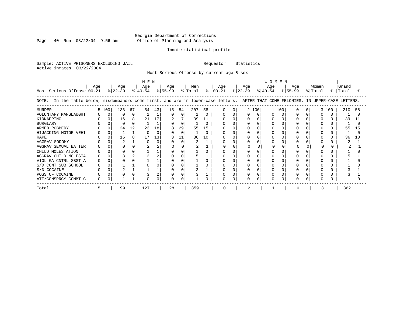Page 40 Run  $03/22/04$  9:56 am

#### Inmate statistical profile

Sample: ACTIVE PRISONERS EXCLUDING JAIL Requestor: Statistics Active inmates 03/22/2004

Most Serious Offense by current age & sex

| Most Serious Offense 00-21                                                                                                            | Age |          | Age<br>$ 22-39 $ |    | M E N<br>Age |    | Age<br>$\frac{1}{2}$  40-54 $\frac{1}{2}$  55-99 |          | Men<br>% Total |    | Age<br>$8 \mid 00-21$ | Age<br>% 22-39 |       | <b>WOMEN</b><br>Age<br>$ 40-54 $ |     | Age<br>% 55-99 | Women<br>% Total |       | Grand<br>%   Total |     |
|---------------------------------------------------------------------------------------------------------------------------------------|-----|----------|------------------|----|--------------|----|--------------------------------------------------|----------|----------------|----|-----------------------|----------------|-------|----------------------------------|-----|----------------|------------------|-------|--------------------|-----|
| In the table below, misdemeanors come first, and are in lower-case letters. AFTER THAT COME FELONIES, IN UPPER-CASE LETTERS.<br>NOTE: |     |          |                  |    |              |    |                                                  |          |                |    |                       |                |       |                                  |     |                |                  |       |                    |     |
| <b>MURDER</b>                                                                                                                         |     | 5 100    | 133              | 67 | 54           | 43 | 15                                               | 54       | 207            | 58 |                       |                | 2 100 |                                  | 100 |                |                  | 3 100 | 210                | 58  |
| VOLUNTARY MANSLAUGHT                                                                                                                  |     | $\Omega$ | $\Omega$         | 0  |              |    |                                                  | $\Omega$ |                |    |                       |                |       |                                  |     |                |                  |       |                    |     |
| KIDNAPPING                                                                                                                            |     |          | 16               | 8  | 21           | 17 | 2                                                |          | 39             | 11 |                       |                |       |                                  |     |                | $\Omega$         |       | 39                 | 11  |
| <b>BURGLARY</b>                                                                                                                       |     |          |                  | O  |              |    |                                                  | $\cap$   |                |    |                       |                |       |                                  |     |                |                  |       |                    |     |
| ARMED ROBBERY                                                                                                                         |     |          | 24               | 12 | 23           | 18 |                                                  | 29       | 55             | 15 |                       |                |       |                                  |     |                |                  |       | 55                 | 15  |
| HIJACKING MOTOR VEHI                                                                                                                  |     |          |                  |    |              |    |                                                  | $\cap$   |                |    |                       |                |       |                                  |     |                |                  |       |                    |     |
| <b>RAPE</b>                                                                                                                           |     |          | 16               | 8  | 17           | 13 |                                                  | 11       | 36             | 10 |                       |                |       |                                  |     |                |                  |       | 36                 | 1 O |
| AGGRAV SODOMY                                                                                                                         |     |          |                  |    |              |    |                                                  | $\cap$   |                |    |                       |                |       |                                  |     |                |                  |       |                    |     |
| AGGRAV SEXUAL BATTER                                                                                                                  |     |          |                  |    |              |    |                                                  |          |                |    |                       |                |       |                                  |     |                |                  |       |                    |     |
| CHILD MOLESTATION                                                                                                                     |     |          |                  | 0  |              |    |                                                  |          |                |    |                       |                |       |                                  |     |                |                  |       |                    |     |
| AGGRAV CHILD MOLESTA                                                                                                                  |     |          |                  | 2  |              |    |                                                  |          |                |    |                       |                |       |                                  |     |                |                  |       |                    |     |
| VIOL GA CNTRL SBST A                                                                                                                  |     |          |                  |    |              |    |                                                  |          |                |    |                       |                |       |                                  |     |                |                  |       |                    |     |
| S/D CONT SUB SCHOOL                                                                                                                   |     |          |                  |    |              |    |                                                  |          |                |    |                       |                |       |                                  |     |                |                  |       |                    |     |
| S/D COCAINE                                                                                                                           |     |          |                  |    |              |    |                                                  |          |                |    |                       |                |       |                                  |     |                |                  |       |                    |     |
| POSS OF COCAINE                                                                                                                       |     |          |                  |    |              |    |                                                  |          |                |    |                       |                |       |                                  |     |                |                  |       |                    |     |
| ATT/CONSPRCY COMMT C                                                                                                                  |     |          |                  |    |              |    |                                                  |          |                |    |                       | O              |       |                                  |     |                |                  |       |                    |     |
| Total                                                                                                                                 | 5   |          | 199              |    | 127          |    | 28                                               |          | 359            |    |                       |                |       |                                  |     |                |                  |       | 362                |     |